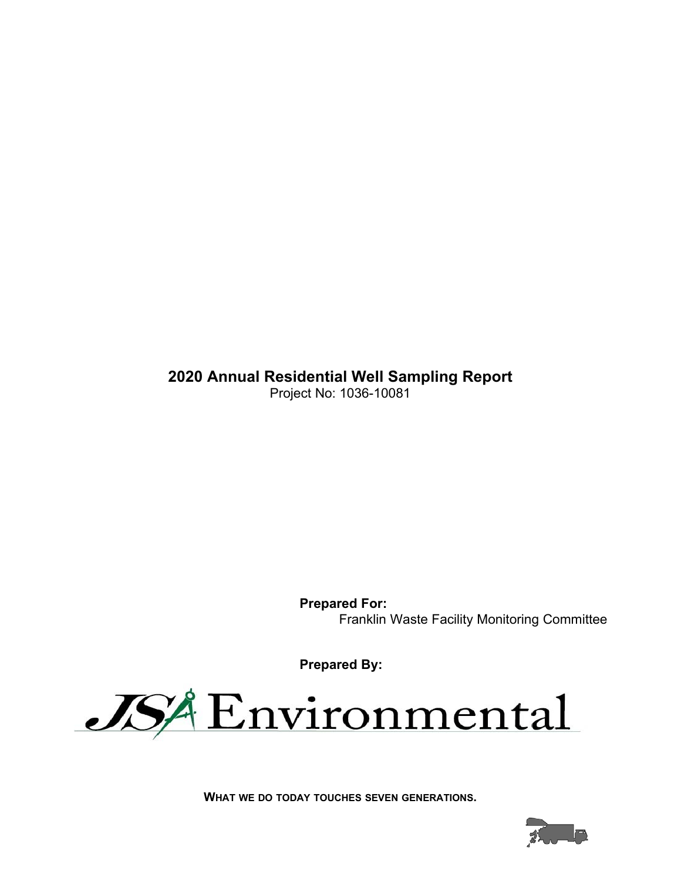**2020 Annual Residential Well Sampling Report** Project No: 1036-10081

> **Prepared For:** Franklin Waste Facility Monitoring Committee

**Prepared By:**



**WHAT WE DO TODAY TOUCHES SEVEN GENERATIONS.**

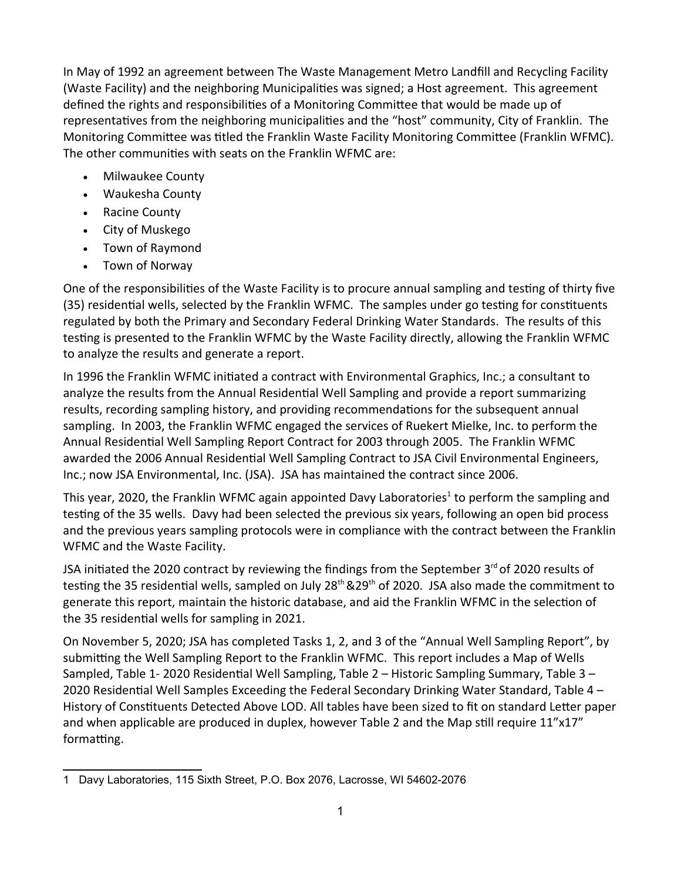In May of 1992 an agreement between The Waste Management Metro Landfill and Recycling Facility (Waste Facility) and the neighboring Municipalities was signed; a Host agreement. This agreement defined the rights and responsibilities of a Monitoring Committee that would be made up of representatives from the neighboring municipalities and the "host" community, City of Franklin. The Monitoring Committee was titled the Franklin Waste Facility Monitoring Committee (Franklin WFMC). The other communities with seats on the Franklin WFMC are:

- Milwaukee County
- Waukesha County
- Racine County
- City of Muskego
- Town of Raymond
- Town of Norway

One of the responsibilities of the Waste Facility is to procure annual sampling and testing of thirty five (35) residential wells, selected by the Franklin WFMC. The samples under go testing for constituents regulated by both the Primary and Secondary Federal Drinking Water Standards. The results of this testing is presented to the Franklin WFMC by the Waste Facility directly, allowing the Franklin WFMC to analyze the results and generate a report.

In 1996 the Franklin WFMC initiated a contract with Environmental Graphics, Inc.; a consultant to analyze the results from the Annual Residential Well Sampling and provide a report summarizing results, recording sampling history, and providing recommendations for the subsequent annual sampling. In 2003, the Franklin WFMC engaged the services of Ruekert Mielke, Inc. to perform the Annual Residential Well Sampling Report Contract for 2003 through 2005. The Franklin WFMC awarded the 2006 Annual Residential Well Sampling Contract to JSA Civil Environmental Engineers, Inc.; now JSA Environmental, Inc. (JSA). JSA has maintained the contract since 2006.

This year, 2020, the Franklin WFMC again appointed Davy Laboratories<sup>1</sup> to perform the sampling and testing of the 35 wells. Davy had been selected the previous six years, following an open bid process and the previous years sampling protocols were in compliance with the contract between the Franklin WFMC and the Waste Facility.

JSA initiated the 2020 contract by reviewing the findings from the September  $3^{rd}$  of 2020 results of testing the 35 residential wells, sampled on July  $28<sup>th</sup>$  &29<sup>th</sup> of 2020. JSA also made the commitment to generate this report, maintain the historic database, and aid the Franklin WFMC in the selection of the 35 residential wells for sampling in 2021.

On November 5, 2020; JSA has completed Tasks 1, 2, and 3 of the "Annual Well Sampling Report", by submitting the Well Sampling Report to the Franklin WFMC. This report includes a Map of Wells Sampled, Table 1- 2020 Residential Well Sampling, Table 2 – Historic Sampling Summary, Table 3 – 2020 Residential Well Samples Exceeding the Federal Secondary Drinking Water Standard, Table 4 -History of Constituents Detected Above LOD. All tables have been sized to fit on standard Letter paper and when applicable are produced in duplex, however Table 2 and the Map still require  $11"x17"$ formatting.

<sup>1</sup> Davy Laboratories, 115 Sixth Street, P.O. Box 2076, Lacrosse, WI 54602-2076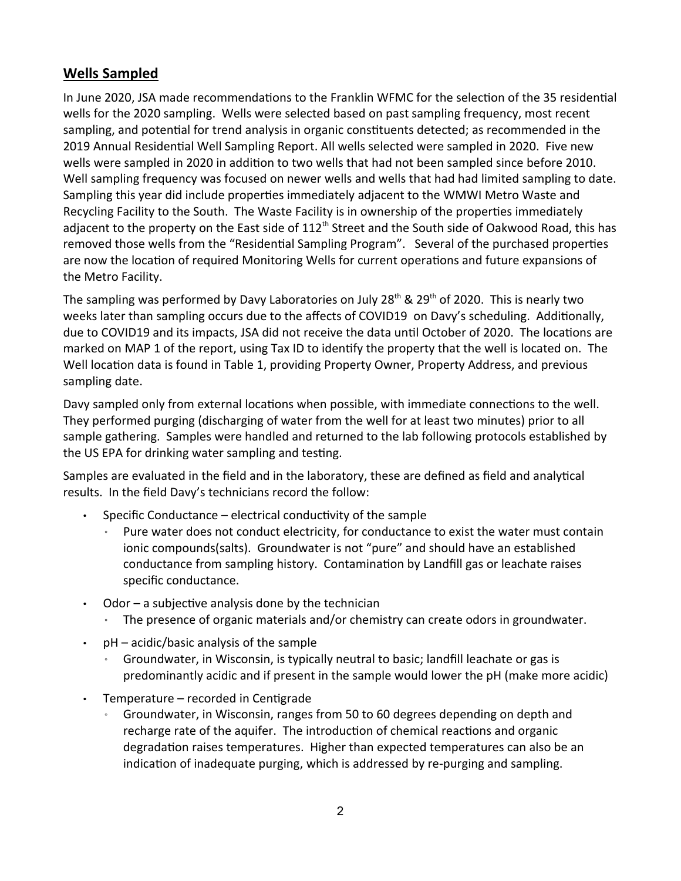#### **Wells Sampled**

In June 2020, JSA made recommendations to the Franklin WFMC for the selection of the 35 residential wells for the 2020 sampling. Wells were selected based on past sampling frequency, most recent sampling, and potential for trend analysis in organic constituents detected; as recommended in the 2019 Annual Residential Well Sampling Report. All wells selected were sampled in 2020. Five new wells were sampled in 2020 in addition to two wells that had not been sampled since before 2010. Well sampling frequency was focused on newer wells and wells that had had limited sampling to date. Sampling this year did include properties immediately adjacent to the WMWI Metro Waste and Recycling Facility to the South. The Waste Facility is in ownership of the properties immediately adjacent to the property on the East side of 112<sup>th</sup> Street and the South side of Oakwood Road, this has removed those wells from the "Residential Sampling Program". Several of the purchased properties are now the location of required Monitoring Wells for current operations and future expansions of the Metro Facility.

The sampling was performed by Davy Laboratories on July 28<sup>th</sup> & 29<sup>th</sup> of 2020. This is nearly two weeks later than sampling occurs due to the affects of COVID19 on Davy's scheduling. Additionally, due to COVID19 and its impacts, JSA did not receive the data until October of 2020. The locations are marked on MAP 1 of the report, using Tax ID to identify the property that the well is located on. The Well location data is found in Table 1, providing Property Owner, Property Address, and previous sampling date.

Davy sampled only from external locations when possible, with immediate connections to the well. They performed purging (discharging of water from the well for at least two minutes) prior to all sample gathering. Samples were handled and returned to the lab following protocols established by the US EPA for drinking water sampling and testing.

Samples are evaluated in the field and in the laboratory, these are defined as field and analytical results. In the field Davy's technicians record the follow:

- Specific Conductance electrical conductivity of the sample
	- Pure water does not conduct electricity, for conductance to exist the water must contain ionic compounds(salts). Groundwater is not "pure" and should have an established conductance from sampling history. Contamination by Landfill gas or leachate raises specific conductance.
- $\cdot$  Odor a subjective analysis done by the technician
	- The presence of organic materials and/or chemistry can create odors in groundwater.
- $pH acidic/basic$  analysis of the sample
	- Groundwater, in Wisconsin, is typically neutral to basic; landfill leachate or gas is predominantly acidic and if present in the sample would lower the pH (make more acidic)
- $\cdot$  Temperature recorded in Centigrade
	- Groundwater, in Wisconsin, ranges from 50 to 60 degrees depending on depth and recharge rate of the aquifer. The introduction of chemical reactions and organic degradation raises temperatures. Higher than expected temperatures can also be an indication of inadequate purging, which is addressed by re-purging and sampling.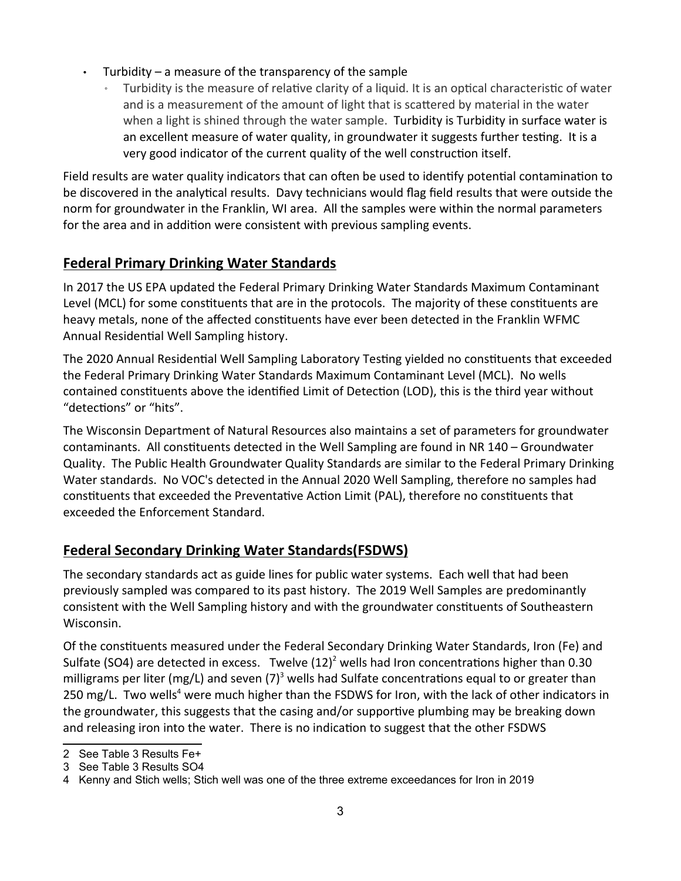- Turbidity a measure of the transparency of the sample
	- Turbidity is the measure of relative clarity of a liquid. It is an optical characteristic of water and is a measurement of the amount of light that is scattered by material in the water when a light is shined through the water sample. Turbidity is Turbidity in surface water is an excellent measure of water quality, in groundwater it suggests further testing. It is a very good indicator of the current quality of the well construction itself.

Field results are water quality indicators that can often be used to identify potential contamination to be discovered in the analytical results. Davy technicians would flag field results that were outside the norm for groundwater in the Franklin, WI area. All the samples were within the normal parameters for the area and in addition were consistent with previous sampling events.

#### **Federal Primary Drinking Water Standards**

In 2017 the US EPA updated the Federal Primary Drinking Water Standards Maximum Contaminant Level (MCL) for some constituents that are in the protocols. The majority of these constituents are heavy metals, none of the affected constituents have ever been detected in the Franklin WFMC Annual Residential Well Sampling history.

The 2020 Annual Residential Well Sampling Laboratory Testing yielded no constituents that exceeded the Federal Primary Drinking Water Standards Maximum Contaminant Level (MCL). No wells contained constituents above the identified Limit of Detection (LOD), this is the third year without "detections" or "hits".

The Wisconsin Department of Natural Resources also maintains a set of parameters for groundwater contaminants. All constituents detected in the Well Sampling are found in NR 140 – Groundwater Quality. The Public Health Groundwater Quality Standards are similar to the Federal Primary Drinking Water standards. No VOC's detected in the Annual 2020 Well Sampling, therefore no samples had constituents that exceeded the Preventative Action Limit (PAL), therefore no constituents that exceeded the Enforcement Standard.

#### **Federal Secondary Drinking Water Standards(FSDWS)**

The secondary standards act as guide lines for public water systems. Each well that had been previously sampled was compared to its past history. The 2019 Well Samples are predominantly consistent with the Well Sampling history and with the groundwater constituents of Southeastern Wisconsin.

Of the consƟtuents measured under the Federal Secondary Drinking Water Standards, Iron (Fe) and Sulfate (SO4) are detected in excess. Twelve  $(12)^2$  wells had Iron concentrations higher than 0.30 milligrams per liter (mg/L) and seven (7)<sup>3</sup> wells had Sulfate concentrations equal to or greater than 250 mg/L. Two wells<sup>4</sup> were much higher than the FSDWS for Iron, with the lack of other indicators in the groundwater, this suggests that the casing and/or supportive plumbing may be breaking down and releasing iron into the water. There is no indication to suggest that the other FSDWS

<sup>2</sup> See Table 3 Results Fe+

<sup>3</sup> See Table 3 Results SO4

<sup>4</sup> Kenny and Stich wells; Stich well was one of the three extreme exceedances for Iron in 2019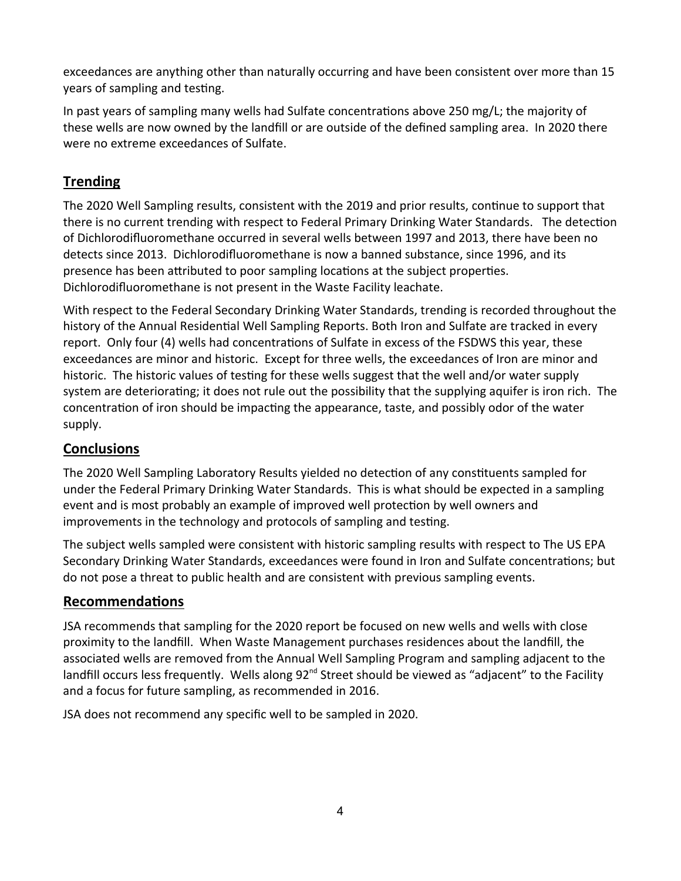exceedances are anything other than naturally occurring and have been consistent over more than 15 years of sampling and testing.

In past years of sampling many wells had Sulfate concentrations above 250 mg/L; the majority of these wells are now owned by the landfill or are outside of the defined sampling area. In 2020 there were no extreme exceedances of Sulfate.

#### **Trending**

The 2020 Well Sampling results, consistent with the 2019 and prior results, continue to support that there is no current trending with respect to Federal Primary Drinking Water Standards. The detection of Dichlorodifluoromethane occurred in several wells between 1997 and 2013, there have been no detects since 2013. Dichlorodifluoromethane is now a banned substance, since 1996, and its presence has been attributed to poor sampling locations at the subject properties. Dichlorodifluoromethane is not present in the Waste Facility leachate.

With respect to the Federal Secondary Drinking Water Standards, trending is recorded throughout the history of the Annual Residential Well Sampling Reports. Both Iron and Sulfate are tracked in every report. Only four (4) wells had concentrations of Sulfate in excess of the FSDWS this year, these exceedances are minor and historic. Except for three wells, the exceedances of Iron are minor and historic. The historic values of testing for these wells suggest that the well and/or water supply system are deteriorating; it does not rule out the possibility that the supplying aquifer is iron rich. The concentration of iron should be impacting the appearance, taste, and possibly odor of the water supply.

#### **Conclusions**

The 2020 Well Sampling Laboratory Results yielded no detection of any constituents sampled for under the Federal Primary Drinking Water Standards. This is what should be expected in a sampling event and is most probably an example of improved well protection by well owners and improvements in the technology and protocols of sampling and testing.

The subject wells sampled were consistent with historic sampling results with respect to The US EPA Secondary Drinking Water Standards, exceedances were found in Iron and Sulfate concentrations; but do not pose a threat to public health and are consistent with previous sampling events.

#### **RecommendaƟons**

JSA recommends that sampling for the 2020 report be focused on new wells and wells with close proximity to the landfill. When Waste Management purchases residences about the landfill, the associated wells are removed from the Annual Well Sampling Program and sampling adjacent to the landfill occurs less frequently. Wells along 92<sup>nd</sup> Street should be viewed as "adjacent" to the Facility and a focus for future sampling, as recommended in 2016.

JSA does not recommend any specific well to be sampled in 2020.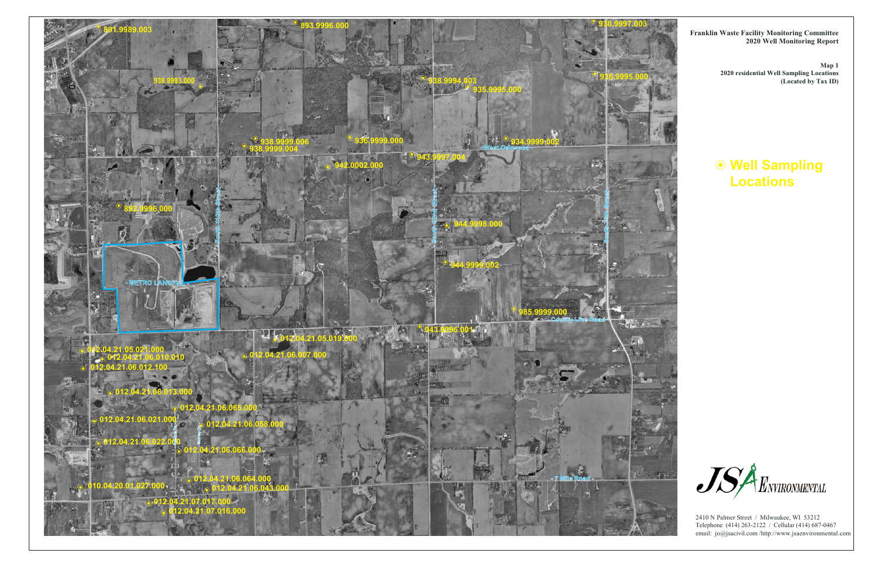# **Well Sampling Locations**





2410 N Palmer Street / Milwaukee, WI 53212 Telephone (414) 263-2122 / Cellular (414) 687-0467 email: jo@jsacivil.com /http://www.jsaenvironmental.com

**Franklin Waste Facility Monitoring Committee 2020 Well Monitoring Report**

> **Map 1 2020 residential Well Sampling Locations (Located by Tax ID)**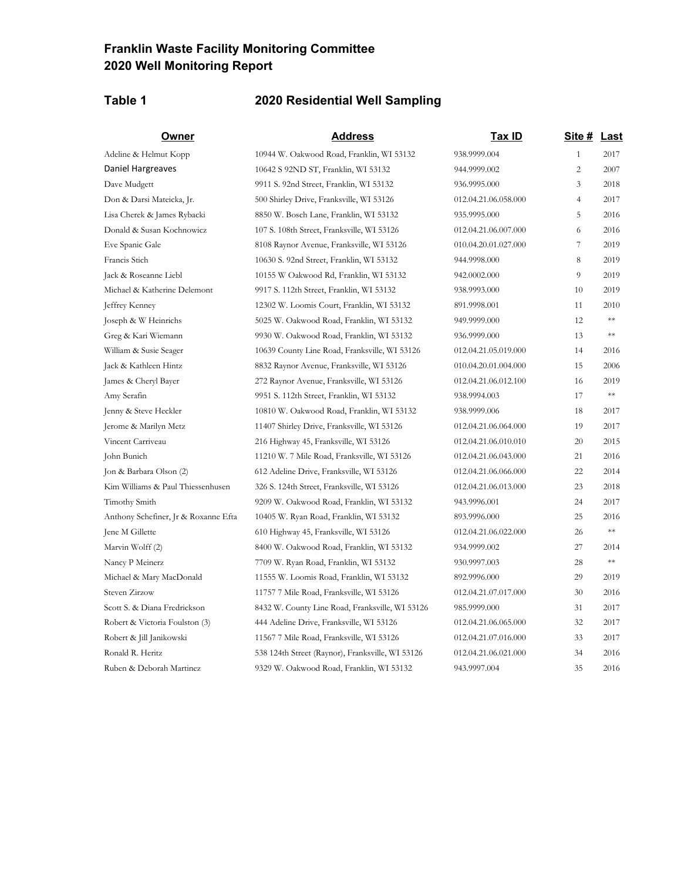#### **Franklin Waste Facility Monitoring Committee 2020 Well Monitoring Report**

#### **Table 1 2020 Residential Well Sampling**

Vincent Carriveau 216 Highway 45, Franksville, WI 53126 Jene M Gillette 610 Highway 45, Franksville, WI 53126 Ruben & Deborah Martinez 943.9997.004 35 2016 9329 W. Oakwood Road, Franklin, WI 53132Daniel Hargreaves 10642 S 92ND ST, Franklin, WI 53132

Adeline & Helmut Kopp 10944 W. Oakwood Road, Franklin, WI 53132 Dave Mudgett 936.9995.000 3 2018 9911 S. 92nd Street, Franklin, WI 53132 Don & Darsi Mateicka, Jr. 500 Shirley Drive, Franksville, WI 53126 Lisa Cherek & James Rybacki 935.9995.000 5 2016 8850 W. Bosch Lane, Franklin, WI 53132 Donald & Susan Kochnowicz 107 S. 108th Street, Franksville, WI 53126 Eve Spanic Gale 8108 Raynor Avenue, Franksville, WI 53126 Francis Stich 944.9998.000 8 2019 10630 S. 92nd Street, Franklin, WI 53132 Jack & Roseanne Liebl 942.0002.000 9 2019 10155 W Oakwood Rd, Franklin, WI 53132 Michael & Katherine Delemont 938.9993.000 10 2019 9917 S. 112th Street, Franklin, WI 53132 Jeffrey Kenney 891.9998.001 11 2010 12302 W. Loomis Court, Franklin, WI 53132 Joseph & W Heinrichs 949.9999.000 12 \*\* 5025 W. Oakwood Road, Franklin, WI 53132 Greg & Kari Wiemann 936.9999.000 13 \*\* 9930 W. Oakwood Road, Franklin, WI 53132 William & Susie Seager 10639 County Line Road, Franksville, WI 53126 Jack & Kathleen Hintz 8832 Raynor Avenue, Franksville, WI 53126 James & Cheryl Bayer 272 Raynor Avenue, Franksville, WI 53126 Amy Serafin 938.9994.003 17 \*\* 9951 S. 112th Street, Franklin, WI 53132 Jenny & Steve Heckler 938.9999.006 18 2017 10810 W. Oakwood Road, Franklin, WI 53132 Jerome & Marilyn Metz 11407 Shirley Drive, Franksville, WI 53126 John Bunich 11210 W. 7 Mile Road, Franksville, WI 53126 Jon & Barbara Olson (2) 612 Adeline Drive, Franksville, WI 53126 Kim Williams & Paul Thiessenhusen 326 S. 124th Street, Franksville, WI 53126 Timothy Smith 943.9996.001 24 2017 9209 W. Oakwood Road, Franklin, WI 53132 Anthony Schefiner, Jr & Roxanne Efta 10405 W. Ryan Road, Franklin, WI 53132 893.9996.000 25 2016 Marvin Wolff (2) 934.9999.002 27 2014 8400 W. Oakwood Road, Franklin, WI 53132 Nancy P Meinerz 930.9997.003 28 \*\* 7709 W. Ryan Road, Franklin, WI 53132 Michael & Mary MacDonald 892.9996.000 29 2019 11555 W. Loomis Road, Franklin, WI 53132 Steven Zirzow 11757 7 Mile Road, Franksville, WI 53126 Scott S. & Diana Fredrickson 8432 W. County Line Road, Franksville, WI 53126 9 Robert & Victoria Foulston (3) 444 Adeline Drive, Franksville, WI 53126 Robert & Jill Janikowski 11567 7 Mile Road, Franksville, WI 53126 Ronald R. Heritz 538 124th Street (Raynor), Franksville, WI 53126

| Owner                 | <b>Address</b>                                   | <u>Tax ID</u>        | Site # Last    |            |
|-----------------------|--------------------------------------------------|----------------------|----------------|------------|
| ut Kopp               | 10944 W. Oakwood Road, Franklin, WI 53132        | 938.9999.004         | $\mathbf{1}$   | 2017       |
| ives                  | 10642 S 92ND ST, Franklin, WI 53132              | 944.9999.002         | $\overline{c}$ | 2007       |
|                       | 9911 S. 92nd Street, Franklin, WI 53132          | 936.9995.000         | 3              | 2018       |
| tteicka, Jr.          | 500 Shirley Drive, Franksville, WI 53126         | 012.04.21.06.058.000 | $\overline{4}$ | 2017       |
| mes Rybacki           | 8850 W. Bosch Lane, Franklin, WI 53132           | 935.9995.000         | 5              | 2016       |
| Kochnowicz            | 107 S. 108th Street, Franksville, WI 53126       | 012.04.21.06.007.000 | 6              | 2016       |
|                       | 8108 Raynor Avenue, Franksville, WI 53126        | 010.04.20.01.027.000 | 7              | 2019       |
|                       | 10630 S. 92nd Street, Franklin, WI 53132         | 944.9998.000         | 8              | 2019       |
| : Liebl               | 10155 W Oakwood Rd, Franklin, WI 53132           | 942.0002.000         | 9              | 2019       |
| erine Delemont        | 9917 S. 112th Street, Franklin, WI 53132         | 938.9993.000         | 10             | 2019       |
|                       | 12302 W. Loomis Court, Franklin, WI 53132        | 891.9998.001         | 11             | 2010       |
| nrichs                | 5025 W. Oakwood Road, Franklin, WI 53132         | 949.9999.000         | 12             | $**$       |
| emann                 | 9930 W. Oakwood Road, Franklin, WI 53132         | 936.9999.000         | 13             | $\ast\ast$ |
| Seager                | 10639 County Line Road, Franksville, WI 53126    | 012.04.21.05.019.000 | 14             | 2016       |
| Hintz                 | 8832 Raynor Avenue, Franksville, WI 53126        | 010.04.20.01.004.000 | 15             | 2006       |
| Bayer                 | 272 Raynor Avenue, Franksville, WI 53126         | 012.04.21.06.012.100 | 16             | 2019       |
|                       | 9951 S. 112th Street, Franklin, WI 53132         | 938.9994.003         | 17             | $\ast\ast$ |
| eckler                | 10810 W. Oakwood Road, Franklin, WI 53132        | 938.9999.006         | 18             | 2017       |
| n Metz                | 11407 Shirley Drive, Franksville, WI 53126       | 012.04.21.06.064.000 | 19             | 2017       |
| u                     | 216 Highway 45, Franksville, WI 53126            | 012.04.21.06.010.010 | 20             | 2015       |
|                       | 11210 W. 7 Mile Road, Franksville, WI 53126      | 012.04.21.06.043.000 | 21             | 2016       |
| lson(2)               | 612 Adeline Drive, Franksville, WI 53126         | 012.04.21.06.066.000 | 22             | 2014       |
| Paul Thiessenhusen    | 326 S. 124th Street, Franksville, WI 53126       | 012.04.21.06.013.000 | 23             | 2018       |
|                       | 9209 W. Oakwood Road, Franklin, WI 53132         | 943.9996.001         | 24             | 2017       |
| er, Jr & Roxanne Efta | 10405 W. Ryan Road, Franklin, WI 53132           | 893.9996.000         | 25             | 2016       |
|                       | 610 Highway 45, Franksville, WI 53126            | 012.04.21.06.022.000 | 26             | $\ast\ast$ |
|                       | 8400 W. Oakwood Road, Franklin, WI 53132         | 934.9999.002         | 27             | 2014       |
|                       | 7709 W. Ryan Road, Franklin, WI 53132            | 930.9997.003         | 28             | $\ast\ast$ |
| MacDonald             | 11555 W. Loomis Road, Franklin, WI 53132         | 892.9996.000         | 29             | 2019       |
|                       | 11757 7 Mile Road, Franksville, WI 53126         | 012.04.21.07.017.000 | 30             | 2016       |
| Fredrickson           | 8432 W. County Line Road, Franksville, WI 53126  | 985.9999.000         | 31             | 2017       |
| ia Foulston (3)       | 444 Adeline Drive, Franksville, WI 53126         | 012.04.21.06.065.000 | 32             | 2017       |
| ikowski               | 11567 7 Mile Road, Franksville, WI 53126         | 012.04.21.07.016.000 | 33             | 2017       |
|                       | 538 124th Street (Raynor), Franksville, WI 53126 | 012.04.21.06.021.000 | 34             | 2016       |
| وموضعته فالماد        | 0220 W. Oslamood Boad, Essablia, WI 52122        | 042.0007.004         | 2E             | 2016       |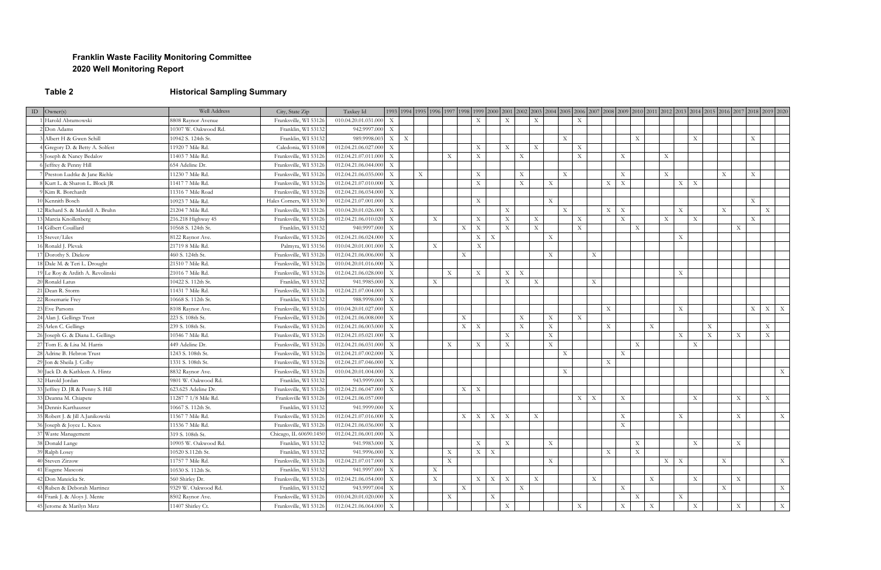#### **Franklin Waste Facility Monitoring Committee 2020 Well Monitoring Report**

## **Table 2 Historical Sampling Summary**

| ID $\vert$ Owner(s)              | Well Address         | City, State Zip         | Taxkey Id            |                           | 1993  1994  1995  1996  1997  1998  1999  2000  2001  2002  2003  2004  2005  2006  2007  2008  2007  2018  2010  2011  2012  2013  2014  2015  2016  2017  2018  2019  2020 |                           |                                |                           |                                |                           |                           |             |                           |                           |                           |             |                           |                           |                           |                           |
|----------------------------------|----------------------|-------------------------|----------------------|---------------------------|------------------------------------------------------------------------------------------------------------------------------------------------------------------------------|---------------------------|--------------------------------|---------------------------|--------------------------------|---------------------------|---------------------------|-------------|---------------------------|---------------------------|---------------------------|-------------|---------------------------|---------------------------|---------------------------|---------------------------|
| Harold Abramowski                | 8808 Raynor Avenue   | Franksville, WI 53126   | 010.04.20.01.031.000 | $\mathbf{X}$              |                                                                                                                                                                              |                           | $\boldsymbol{\mathrm{X}}$      | $\boldsymbol{\mathrm{X}}$ |                                | X                         |                           | X           |                           |                           |                           |             |                           |                           |                           |                           |
| $2$ Don Adams                    | 10307 W. Oakwood Rd. | Franklin, WI 53132      | 942.9997.000         | $\mathbf{X}$              |                                                                                                                                                                              |                           |                                |                           |                                |                           |                           |             |                           |                           |                           |             |                           |                           |                           |                           |
| 3 Albert H & Gwen Schill         | 10942 S. 124th St.   | Franklin, WI 53132      | 989.9998.003         | $X \mid X$                |                                                                                                                                                                              |                           |                                |                           |                                |                           | $\boldsymbol{\mathrm{X}}$ |             |                           |                           | $\mathbf X$               |             | $\mathbf{X}$              |                           | X                         |                           |
| 4 Gregory D. & Betty A. Solfest  | 11920 7 Mile Rd.     | Caledonia, WI 53108     | 012.04.21.06.027.000 | $\boldsymbol{\mathrm{X}}$ |                                                                                                                                                                              |                           | $\boldsymbol{\mathrm{X}}$      | X                         |                                | X                         |                           | $\mathbf X$ |                           |                           |                           |             |                           |                           |                           |                           |
| 5 Joseph & Nancy Bedalov         | 11403 7 Mile Rd.     | Franksville, WI 53126   | 012.04.21.07.011.000 | X                         |                                                                                                                                                                              | $\boldsymbol{\mathrm{X}}$ | $\boldsymbol{\mathrm{X}}$      |                           | $\boldsymbol{\mathrm{X}}$      |                           |                           | $\mathbf X$ |                           | $\mathbf X$               |                           | $\mathbf X$ |                           |                           |                           |                           |
| 6 Jeffrey & Penny Hill           | 654 Adeline Dr.      | Franksville, WI 53126   | 012.04.21.06.044.000 | X                         |                                                                                                                                                                              |                           |                                |                           |                                |                           |                           |             |                           |                           |                           |             |                           |                           |                           |                           |
| 7 Preston Ludtke & Jane Riehle   | 11230 7 Mile Rd.     | Franksville, WI 53126   | 012.04.21.06.035.000 | X                         | $\boldsymbol{\mathrm{X}}$                                                                                                                                                    |                           | $\boldsymbol{\mathrm{X}}$      |                           | $\boldsymbol{\mathrm{X}}$      |                           | $\mathbf{X}$              |             |                           | X                         |                           | X           |                           | $\mathbf{X}$              | X                         |                           |
| 8 Kurt L. & Sharon L. Block JR   | 11417 7 Mile Rd.     | Franksville, WI 53126   | 012.04.21.07.010.000 | X                         |                                                                                                                                                                              |                           | $\boldsymbol{\mathrm{X}}$      |                           | $\boldsymbol{\mathrm{X}}$      | $\mathbf X$               |                           |             | $\mathbf{X}$              | $\boldsymbol{\mathrm{X}}$ |                           | X           | $\boldsymbol{\mathrm{X}}$ |                           |                           |                           |
| 9 Kim R. Borchardt               | 11316 7 Mile Road    | Franksville, WI 53126   | 012.04.21.06.034.000 | X                         |                                                                                                                                                                              |                           |                                |                           |                                |                           |                           |             |                           |                           |                           |             |                           |                           |                           |                           |
| 10 Kennith Bosch                 | 10923 7 Mile Rd.     | Hales Corners, WI 53130 | 012.04.21.07.001.000 | X                         |                                                                                                                                                                              |                           | $\boldsymbol{\mathrm{X}}$      |                           |                                | $\mathbf X$               |                           |             |                           |                           |                           |             |                           |                           | $\mathbf X$               |                           |
| 12 Richard S. & Mardell A. Bruhn | 21204 7 Mile Rd.     | Franksville, WI 53126   | 010.04.20.01.026.000 | X                         |                                                                                                                                                                              |                           |                                | $\mathbf X$               |                                |                           | $\boldsymbol{\mathrm{X}}$ |             | X                         | $\mathbf X$               |                           | X           |                           | $\mathbf X$               | $\mathbf X$               |                           |
| 13 Marcia Knollenberg            | 216.218 Highway 45   | Franksville, WI 53126   | 012.04.21.06.010.020 | X                         | X                                                                                                                                                                            |                           | $\boldsymbol{\mathrm{X}}$      | $\mathbf X$               |                                | X                         |                           | $\mathbf X$ |                           | $\mathbf X$               |                           | X           | $\boldsymbol{\mathrm{X}}$ |                           | X                         |                           |
| 14 Gilbert Couillard             | 10568 S. 124th St.   | Franklin, WI 53132      | 940.9997.000         | X                         |                                                                                                                                                                              | X                         | $\boldsymbol{\mathrm{X}}$      |                           | $\mathbf X$                    | $\mathbf X$               |                           | $\mathbf X$ |                           |                           | X                         |             |                           | $\boldsymbol{\mathrm{X}}$ |                           |                           |
| $15$ Stever/Liles                | 8122 Raynor Ave.     | Franksville, WI 53126   | 012.04.21.06.024.000 | X                         |                                                                                                                                                                              |                           | X<br>$\boldsymbol{\mathrm{X}}$ |                           |                                | X                         |                           |             |                           |                           |                           | X           |                           |                           |                           |                           |
| 16 Ronald J. Plevak              | 21719 8 Mile Rd.     | Palmyra, WI 53156       | 010.04.20.01.001.000 | X                         | $\mathbf X$                                                                                                                                                                  |                           | $\mathbf X$                    |                           |                                |                           |                           |             |                           |                           |                           |             |                           |                           |                           |                           |
| 17 Dorothy S. Diekow             | 460 S. 124th St.     | Franksville, WI 53126   | 012.04.21.06.006.000 | X                         |                                                                                                                                                                              | $\boldsymbol{\mathrm{X}}$ |                                |                           |                                | X                         |                           |             | $\mathbf X$               |                           |                           |             |                           |                           |                           |                           |
| 18 Dale M. & Teri L. Drought     | 21510 7 Mile Rd.     | Franksville, WI 53126   | 010.04.20.01.016.000 | X                         |                                                                                                                                                                              |                           |                                |                           |                                |                           |                           |             |                           |                           |                           |             |                           |                           |                           |                           |
| 19 Le Roy & Ardith A. Revolinski | 21016 7 Mile Rd.     | Franksville, WI 53126   | 012.04.21.06.028.000 | $\boldsymbol{\mathrm{X}}$ |                                                                                                                                                                              | $\boldsymbol{\mathrm{X}}$ | $\boldsymbol{\mathrm{X}}$      |                           | $\boldsymbol{\mathrm{X}}$<br>X |                           |                           |             |                           |                           |                           | $\mathbf X$ |                           |                           |                           |                           |
| 20 Ronald Latus                  | 10422 S. 112th St.   | Franklin, WI 53132      | 941.9985.000         | X                         | X                                                                                                                                                                            |                           |                                | $\mathbf X$               |                                | $\mathbf X$               |                           |             | $\mathbf X$               |                           |                           |             |                           |                           |                           |                           |
| 21 Dean R. Storm                 | 11431 7 Mile Rd.     | Franksville, WI 53126   | 012.04.21.07.004.000 | X                         |                                                                                                                                                                              |                           |                                |                           |                                |                           |                           |             |                           |                           |                           |             |                           |                           |                           |                           |
| 22 Rosemarie Frey                | 10668 S. 112th St.   | Franklin, WI 53132      | 988.9998.000         | X                         |                                                                                                                                                                              |                           |                                |                           |                                |                           |                           |             |                           |                           |                           |             |                           |                           |                           |                           |
| 23 Eve Parsons                   | 8108 Raynor Ave.     | Franksville, WI 53126   | 010.04.20.01.027.000 | $\mathbf{X}$              |                                                                                                                                                                              |                           |                                |                           |                                |                           |                           |             | $\mathbf{X}$              |                           |                           | X           |                           |                           | X<br>X                    | $\mathbf{X}$              |
| 24 Alan J. Gellings Trust        | 223 S. 108th St.     | Franksville, WI 53126   | 012.04.21.06.008.000 | X                         |                                                                                                                                                                              | X                         |                                |                           | $\boldsymbol{\mathrm{X}}$      | X                         |                           | $\mathbf X$ |                           |                           |                           |             |                           |                           |                           |                           |
| 25 Arlen C. Gellings             | 239 S. 108th St.     | Franksville, WI 53126   | 012.04.21.06.003.000 | X                         |                                                                                                                                                                              | X                         | $\boldsymbol{\mathrm{X}}$      |                           | $\mathbf{X}$                   | $\boldsymbol{\mathrm{X}}$ |                           |             | X                         |                           | $\boldsymbol{\mathrm{X}}$ |             | X                         |                           | $\boldsymbol{\mathrm{X}}$ |                           |
| 26 Joseph G. & Diana L. Gellings | 10346 7 Mile Rd.     | Franksville, WI 53126   | 012.04.21.05.021.000 | $\boldsymbol{\mathrm{X}}$ |                                                                                                                                                                              |                           |                                | $\boldsymbol{\mathrm{X}}$ |                                | $\boldsymbol{\mathrm{X}}$ |                           |             |                           |                           |                           | $\mathbf X$ | X                         | $\boldsymbol{\mathrm{X}}$ | $\boldsymbol{\mathrm{X}}$ |                           |
| 27 Tom E. & Lisa M. Harris       | 449 Adeline Dr.      | Franksville, WI 53126   | 012.04.21.06.031.000 | X                         |                                                                                                                                                                              | X                         | X                              | $\mathbf X$               |                                | X                         |                           |             |                           |                           | X                         |             | $\boldsymbol{\mathrm{X}}$ |                           |                           |                           |
| 28 Adrine B. Hebron Trust        | 1243 S. 108th St.    | Franksville, WI 53126   | 012.04.21.07.002.000 | X                         |                                                                                                                                                                              |                           |                                |                           |                                |                           | $\boldsymbol{\mathrm{X}}$ |             |                           | X                         |                           |             |                           |                           |                           |                           |
| 29 Jon & Sheila J. Colby         | 1331 S. 108th St.    | Franksville, WI 53126   | 012.04.21.07.046.000 | $\boldsymbol{\mathrm{X}}$ |                                                                                                                                                                              |                           |                                |                           |                                |                           |                           |             | $\mathbf{X}$              |                           |                           |             |                           |                           |                           |                           |
| 30 Jack D. & Kathleen A. Hintz   | 8832 Raynor Ave.     | Franksville, WI 53126   | 010.04.20.01.004.000 | $\boldsymbol{\mathrm{X}}$ |                                                                                                                                                                              |                           |                                |                           |                                |                           | $\boldsymbol{\mathrm{X}}$ |             |                           |                           |                           |             |                           |                           |                           | $\boldsymbol{\mathrm{X}}$ |
| 32 Harold Jordan                 | 9801 W. Oakwood Rd.  | Franklin, WI 53132      | 943.9999.000         | $\boldsymbol{\mathrm{X}}$ |                                                                                                                                                                              |                           |                                |                           |                                |                           |                           |             |                           |                           |                           |             |                           |                           |                           |                           |
| 33 Jeffrey D. JR & Penny S. Hill | 623.625 Adeline Dr.  | Franksville, WI 53126   | 012.04.21.06.047.000 | X                         |                                                                                                                                                                              | $\mathbf X$               | $\boldsymbol{\mathrm{X}}$      |                           |                                |                           |                           |             |                           |                           |                           |             |                           |                           |                           |                           |
| 33 Deanna M. Chiapete            | 11287 7 1/8 Mile Rd. | Franksville WI 53126    | 012.04.21.06.057.000 |                           |                                                                                                                                                                              |                           |                                |                           |                                |                           |                           | X           | $\boldsymbol{\mathrm{X}}$ | $\mathbf X$               |                           |             | $\boldsymbol{\mathrm{X}}$ | X                         | X                         |                           |
| 34 Dennis Karthausser            | 10667 S. 112th St.   | Franklin, WI 53132      | 941.9999.000         | X                         |                                                                                                                                                                              |                           |                                |                           |                                |                           |                           |             |                           |                           |                           |             |                           |                           |                           |                           |
| 35 Robert J. & Jill A.Janikowski | 11567 7 Mile Rd.     | Franksville, WI 53126   | 012.04.21.07.016.000 | X                         |                                                                                                                                                                              | X                         | $\boldsymbol{\mathrm{X}}$<br>X | $\boldsymbol{\mathrm{X}}$ |                                | $\mathbf X$               |                           |             |                           | $\mathbf X$               |                           | $\mathbf X$ |                           | $\boldsymbol{\mathrm{X}}$ |                           | $\boldsymbol{\mathrm{X}}$ |
| 36 Joseph & Joyce L. Knox        | 11536 7 Mile Rd.     | Franksville, WI 53126   | 012.04.21.06.036.000 | $\mathbf{X}$              |                                                                                                                                                                              |                           |                                |                           |                                |                           |                           |             |                           | X                         |                           |             |                           |                           |                           |                           |
| 37 Waste Management              | 319 S. 108th St.     | Chicago, IL 60690.1450  | 012.04.21.06.001.000 | $\boldsymbol{\mathrm{X}}$ |                                                                                                                                                                              |                           |                                |                           |                                |                           |                           |             |                           |                           |                           |             |                           |                           |                           |                           |
| 38 Donald Lange                  | 10905 W. Oakwood Rd. | Franklin, WI 53132      | 941.9983.000         | $\boldsymbol{\mathrm{X}}$ |                                                                                                                                                                              |                           | $\mathbf X$                    | $\boldsymbol{\mathrm{X}}$ |                                | X                         |                           |             |                           |                           | X                         |             | $\mathbf X$               | $\mathbf X$               |                           |                           |
| $39$ Ralph Losey                 | 10520 S.112th St.    | Franklin, WI 53132      | 941.9996.000         | $\boldsymbol{\mathrm{X}}$ |                                                                                                                                                                              | $\mathbf X$               | $X \mid X$                     |                           |                                |                           |                           |             | $\boldsymbol{\mathrm{X}}$ |                           | $\mathbf X$               |             |                           |                           |                           |                           |
| 40 Steven Zirzow                 | 11757 7 Mile Rd.     | Franksville, WI 53126   | 012.04.21.07.017.000 | $\boldsymbol{\mathrm{X}}$ |                                                                                                                                                                              | $\mathbf X$               |                                |                           |                                | X                         |                           |             |                           |                           |                           | $X \mid X$  |                           | X                         |                           | $\mathbf X$               |
| 41 Eugene Masconi                | 10530 S. 112th St.   | Franklin, WI 53132      | 941.9997.000         | $\mathbf{X}$              | $\boldsymbol{\mathrm{X}}$                                                                                                                                                    |                           |                                |                           |                                |                           |                           |             |                           |                           |                           |             |                           |                           |                           |                           |
| 42 Don Mateicka Sr.              | 560 Shirley Dr.      | Franksville, WI 53126   | 012.04.21.06.054.000 | $\boldsymbol{\mathrm{X}}$ | $\mathbf{X}$                                                                                                                                                                 |                           | $X \mid X$                     | $\boldsymbol{\mathrm{X}}$ |                                | $\mathbf X$               |                           |             | $\mathbf X$               |                           | $\boldsymbol{\mathrm{X}}$ |             | $\boldsymbol{\mathrm{X}}$ | $\mathbf X$               |                           |                           |
| 43 Ruben & Deborah Martinez      | 9329 W. Oakwood Rd.  | Franklin, WI 53132      | 943.9997.004 X       |                           |                                                                                                                                                                              | X                         |                                |                           | $\mathbf X$                    |                           |                           |             |                           | $\mathbf X$               |                           |             |                           | $\mathbf X$               |                           | $\mathbf X$               |
| 44 Frank J. & Aloys J. Mente     | 8502 Raynor Ave.     | Franksville, WI 53126   | 010.04.20.01.020.000 | $\boldsymbol{\mathrm{X}}$ |                                                                                                                                                                              | $\mathbf X$               | X                              |                           |                                |                           |                           |             |                           |                           | X                         | X           |                           |                           |                           |                           |
| 45 Jerome & Marilyn Metz         | 11407 Shirley Ct.    | Franksville, WI 53126   | 012.04.21.06.064.000 | $\mathbf{X}$              |                                                                                                                                                                              |                           |                                | $\boldsymbol{\mathrm{X}}$ |                                |                           |                           | $\mathbf X$ |                           | $\mathbf X$               | $\boldsymbol{\mathrm{X}}$ |             | $\mathbf X$               | $\mathbf X$               |                           | X                         |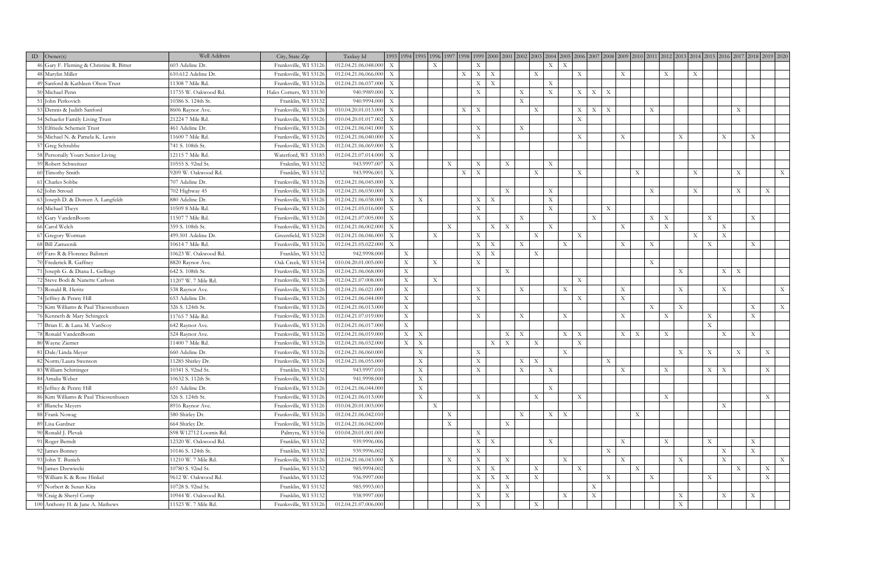| ID | $\text{Owner}(s)$                        | Well Address          | City, State Zip         | Taxkey Id            |                           |                           |                           |                           |                           |                           |                           |                           |              | 1993  1994  1995  1996  1997  1998  1999  2000  2001  2002  2003  2004  2005  2006  2007  2008  2007  2010  2010  2011  2012  2013  2014  2015  2016  2017  2018  2019  2019  2019  2016  2017  2018  2019  2019  2019  2019 |                           |                           |                           |                           |                           |                           |                           |                           |                           |                           |                           |             |                           |
|----|------------------------------------------|-----------------------|-------------------------|----------------------|---------------------------|---------------------------|---------------------------|---------------------------|---------------------------|---------------------------|---------------------------|---------------------------|--------------|------------------------------------------------------------------------------------------------------------------------------------------------------------------------------------------------------------------------------|---------------------------|---------------------------|---------------------------|---------------------------|---------------------------|---------------------------|---------------------------|---------------------------|---------------------------|---------------------------|---------------------------|-------------|---------------------------|
|    | 46 Gary F. Fleming & Christine R. Bitter | 603 Adeline Dr.       | Franksville, WI 53126   | 012.04.21.06.048.000 | $\boldsymbol{\mathrm{X}}$ |                           | X                         |                           | X                         |                           |                           |                           |              | X<br>$\boldsymbol{\mathrm{X}}$                                                                                                                                                                                               |                           |                           |                           |                           |                           |                           |                           |                           |                           |                           |                           |             |                           |
|    | 48 Marylin Miller                        | 610.612 Adeline Dr.   | Franksville, WI 53126   | 012.04.21.06.066.000 | $\boldsymbol{\mathrm{X}}$ |                           |                           | X                         | X                         | $\boldsymbol{\mathrm{X}}$ |                           |                           | $\mathbf{X}$ |                                                                                                                                                                                                                              | $\boldsymbol{\mathrm{X}}$ |                           |                           | $\boldsymbol{\mathrm{X}}$ |                           |                           | $\boldsymbol{\mathrm{X}}$ | $\boldsymbol{\mathrm{X}}$ |                           |                           |                           |             |                           |
|    | 49 Sanford & Kathleen Olson Trust        | 11308 7 Mile Rd.      | Franksville, WI 53126   | 012.04.21.06.037.000 | $\boldsymbol{\mathrm{X}}$ |                           |                           |                           | X <sub>1</sub>            | $\boldsymbol{\mathrm{X}}$ |                           |                           |              | $\boldsymbol{\mathrm{X}}$                                                                                                                                                                                                    |                           |                           |                           |                           |                           |                           |                           |                           |                           |                           |                           |             |                           |
|    | 50 Michael Penn                          | 11735 W. Oakwood Rd.  | Hales Corners, WI 53130 | 940.9989.000         | $\boldsymbol{\mathrm{X}}$ |                           |                           |                           | X                         |                           |                           | $\mathbf X$               |              | $\mathbf{X}$                                                                                                                                                                                                                 | X                         | $\boldsymbol{\mathrm{X}}$ | $\boldsymbol{\mathrm{X}}$ |                           |                           |                           |                           |                           |                           |                           |                           |             |                           |
|    | 51 John Perkovich                        | 10386 S. 124th St.    | Franklin, WI 53132      | 940.9994.000         | X                         |                           |                           |                           |                           |                           |                           | $\mathbf X$               |              |                                                                                                                                                                                                                              |                           |                           |                           |                           |                           |                           |                           |                           |                           |                           |                           |             |                           |
|    | 53 Dennis & Judith Sanford               | 8606 Raynor Ave.      | Franksville, WI 53126   | 010.04.20.01.013.000 | $\mathbf X$               |                           |                           | $\mathbf{X}$              | $\boldsymbol{\mathrm{X}}$ |                           |                           |                           | X            |                                                                                                                                                                                                                              | X                         | $\bold{X}$                | $\mathbf{X}$              |                           |                           | $\boldsymbol{\mathrm{X}}$ |                           |                           |                           |                           | $\boldsymbol{\mathrm{X}}$ |             |                           |
|    | 54 Schaefer Family Living Trust          | 21224 7 Mile Rd.      | Franksville, WI 53126   | 010.04.20.01.017.002 | $\boldsymbol{\mathrm{X}}$ |                           |                           |                           |                           |                           |                           |                           |              |                                                                                                                                                                                                                              | $\boldsymbol{\mathrm{X}}$ |                           |                           |                           |                           |                           |                           |                           |                           |                           |                           |             |                           |
|    | 55 Elfriede Schemeit Trust               | 461 Adeline Dr.       | Franksville, WI 53126   | 012.04.21.06.041.000 | X                         |                           |                           |                           | $\boldsymbol{\mathrm{X}}$ |                           |                           | $\boldsymbol{\mathrm{X}}$ |              |                                                                                                                                                                                                                              |                           |                           |                           |                           |                           |                           |                           |                           |                           |                           |                           |             |                           |
|    | 56 Michael N. & Pamela K. Lewis          | 11600 7 Mile Rd.      | Franksville, WI 53126   | 012.04.21.06.040.000 | X                         |                           |                           |                           | $\mathbf X$               |                           |                           |                           |              |                                                                                                                                                                                                                              | $\boldsymbol{\mathrm{X}}$ |                           |                           | $\boldsymbol{\mathrm{X}}$ |                           |                           |                           | $\mathbf X$               |                           | $\mathbf X$               |                           | $\mathbf X$ |                           |
|    | 57 Greg Schrubbe                         | 741 S. 108th St.      | Franksville, WI 53126   | 012.04.21.06.069.000 | $\boldsymbol{\mathrm{X}}$ |                           |                           |                           |                           |                           |                           |                           |              |                                                                                                                                                                                                                              |                           |                           |                           |                           |                           |                           |                           |                           |                           |                           |                           |             |                           |
|    | 58 Personally Yours Senior Living        | 12115 7 Mile Rd.      | Waterford, WI 53185     | 012.04.21.07.014.000 | X                         |                           |                           |                           |                           |                           |                           |                           |              |                                                                                                                                                                                                                              |                           |                           |                           |                           |                           |                           |                           |                           |                           |                           |                           |             |                           |
|    | 59 Robert Schweitzer                     | 10555 S. 92nd St.     | Fraknlin, WI 53132      | 943.9997.007         | X                         |                           |                           | $\mathbf X$               | $\boldsymbol{\mathrm{X}}$ |                           | $\mathbf X$               |                           |              | $\mathbf X$                                                                                                                                                                                                                  |                           |                           |                           |                           |                           |                           |                           |                           |                           |                           |                           |             |                           |
|    | 60 Timothy Smith                         | 9209 W. Oakwood Rd.   | Franklin, WI 53132      | 943.9996.001         | X                         |                           |                           | X                         | $\boldsymbol{\mathrm{X}}$ |                           |                           |                           | $\mathbf{X}$ |                                                                                                                                                                                                                              | $\boldsymbol{\mathrm{X}}$ |                           |                           |                           | X                         |                           |                           | X                         |                           |                           | $\boldsymbol{\mathrm{X}}$ |             | $\mathbf{X}$              |
|    | 61 Charles Sobbe                         | 707 Adeline Dr.       | Franksville, WI 53126   | 012.04.21.06.045.000 | X                         |                           |                           |                           |                           |                           |                           |                           |              |                                                                                                                                                                                                                              |                           |                           |                           |                           |                           |                           |                           |                           |                           |                           |                           |             |                           |
|    | 62 John Stroud                           | 702 Highway 45        | Franksville, WI 53126   | 012.04.21.06.030.000 | X                         |                           |                           |                           |                           |                           | $\mathbf{X}$              |                           |              | $\mathbf X$                                                                                                                                                                                                                  |                           |                           |                           |                           |                           | $\boldsymbol{\mathrm{X}}$ |                           | $\boldsymbol{\mathrm{X}}$ |                           |                           | $\boldsymbol{\mathrm{X}}$ |             | X                         |
|    | 63 Joseph D. & Doreen A. Langfeldt       | 880 Adeline Dr.       | Franksville, WI 53126   | 012.04.21.06.038.000 | $\mathbf{X}$              |                           | $\boldsymbol{\mathrm{X}}$ |                           | X                         | $\boldsymbol{\mathrm{X}}$ |                           |                           |              | $\boldsymbol{\mathrm{X}}$                                                                                                                                                                                                    |                           |                           |                           |                           |                           |                           |                           |                           |                           |                           |                           |             |                           |
|    | 64 Michael Theys                         | 10509 8 Mile Rd.      | Franksville, WI 53126   | 012.04.21.05.016.000 | $\boldsymbol{\mathrm{X}}$ |                           |                           |                           | X                         |                           |                           |                           |              | $\mathbf{X}$                                                                                                                                                                                                                 |                           |                           | X                         |                           |                           |                           |                           |                           |                           |                           |                           |             |                           |
|    | 65 Gary VandenBoom                       | 11507 7 Mile Rd       | Franksville, WI 53126   | 012.04.21.07.005.000 | $\boldsymbol{\mathrm{X}}$ |                           |                           |                           | $\mathbf X$               |                           |                           | X                         |              |                                                                                                                                                                                                                              |                           | X                         |                           |                           |                           | X                         | $\boldsymbol{\mathrm{X}}$ |                           | $\mathbf{X}$              |                           |                           | $\mathbf X$ |                           |
|    | 66 Carol Welch                           | 359 S. 108th St.      | Franksville, WI 53126   | 012.04.21.06.002.000 | X                         |                           |                           | $\mathbf X$               |                           | X                         | $\mathbf X$               |                           |              | $\mathbf X$                                                                                                                                                                                                                  |                           |                           |                           | $\mathbf{X}$              |                           |                           | $\boldsymbol{\mathrm{X}}$ |                           |                           | $\boldsymbol{\mathrm{X}}$ |                           |             |                           |
|    | 67 Gregory Worman                        | 499.501 Adeline Dr.   | Greenfield, WI 53228    | 012.04.21.06.046.000 | X                         |                           | $\mathbf X$               |                           | $\mathbf{X}$              |                           |                           |                           | $\mathbf{X}$ |                                                                                                                                                                                                                              | $\boldsymbol{\mathrm{X}}$ |                           |                           |                           |                           |                           |                           | $\boldsymbol{\mathrm{X}}$ |                           | $\mathbf X$               |                           |             |                           |
|    | 68 Bill Zamecnik                         | 10614 7 Mile Rd.      | Franksville, WI 53126   | 012.04.21.05.022.000 | X                         |                           |                           |                           | X                         | $\boldsymbol{\mathrm{X}}$ |                           | $\mathbf X$               |              | $\mathbf X$                                                                                                                                                                                                                  |                           |                           |                           | $\boldsymbol{\mathrm{X}}$ |                           | $\boldsymbol{\mathrm{X}}$ |                           |                           | $\mathbf{X}$              |                           |                           | $\mathbf X$ |                           |
|    | 69 Faro R & Florence Balisteri           | 10623 W. Oakwood Rd.  | Franklin, WI 53132      | 942.9998.000         |                           | $\boldsymbol{\mathrm{X}}$ |                           |                           | X                         | $\boldsymbol{\mathrm{X}}$ |                           |                           | $\mathbf{X}$ |                                                                                                                                                                                                                              |                           |                           |                           |                           |                           |                           |                           |                           |                           |                           |                           |             |                           |
|    | 70 Frederick R. Gaffney                  | 8820 Raynor Ave.      | Oak Creek, WI 53154     | 010.04.20.01.005.000 |                           | $\mathbf{X}$              | $\mathbf X$               |                           | $\mathbf{X}$              |                           |                           |                           |              |                                                                                                                                                                                                                              |                           |                           |                           |                           |                           | $\boldsymbol{\mathrm{X}}$ |                           |                           |                           |                           |                           |             |                           |
|    | 71 Joseph G. & Diana L. Gellings         | 642 S. 108th St.      | Franksville, WI 53126   | 012.04.21.06.068.000 |                           | X                         |                           |                           |                           |                           | X                         |                           |              |                                                                                                                                                                                                                              |                           |                           |                           |                           |                           |                           |                           | X                         |                           | $X-$                      | $\boldsymbol{\mathrm{X}}$ |             |                           |
|    | 72 Steve Bodi & Nanette Carlson          | 11207 W. 7 Mile Rd.   | Franksville, WI 53126   | 012.04.21.07.008.000 |                           | $\boldsymbol{\mathrm{X}}$ | $\mathbf X$               |                           |                           |                           |                           |                           |              |                                                                                                                                                                                                                              | $\boldsymbol{\mathrm{X}}$ |                           |                           |                           |                           |                           |                           |                           |                           |                           |                           |             |                           |
|    | 73 Ronald R. Heritz                      | 538 Raynor Ave.       | Franksville, WI 53126   | 012.04.21.06.021.000 |                           | X                         |                           |                           | $\mathbf{X}$              |                           |                           | $\mathbf X$               |              | X                                                                                                                                                                                                                            |                           |                           |                           | $\boldsymbol{\mathrm{X}}$ |                           |                           |                           | $\mathbf X$               |                           | $\boldsymbol{\mathrm{X}}$ |                           |             | X                         |
|    | 74 Jeffrey & Penny Hill                  | 653 Adeline Dr.       | Franksville, WI 53126   | 012.04.21.06.044.000 |                           | X                         |                           |                           | $\mathbf{X}$              |                           |                           |                           |              |                                                                                                                                                                                                                              | $\boldsymbol{\mathrm{X}}$ |                           |                           | $\boldsymbol{\mathrm{X}}$ |                           |                           |                           |                           |                           |                           |                           |             |                           |
|    | 75 Kim Williams & Paul Thiessenhusen     | 326 S. 124th St.      | Franksville, WI 53126   | 012.04.21.06.013.000 |                           | $\mathbf{X}$              |                           |                           |                           |                           |                           |                           |              |                                                                                                                                                                                                                              |                           |                           |                           |                           |                           | $\mathbf X$               |                           | X                         |                           |                           |                           | $\mathbf X$ | X                         |
|    | 76 Kenneth & Mary Schingeck              | 11765 7 Mile Rd.      | Franksville, WI 53126   | 012.04.21.07.019.000 |                           | $\mathbf{X}$              |                           |                           | $\mathbf{X}$              |                           |                           | $\boldsymbol{\mathrm{X}}$ |              | $\mathbf X$                                                                                                                                                                                                                  |                           |                           |                           | $\mathbf{X}$              |                           |                           | $\boldsymbol{\mathrm{X}}$ |                           | $\mathbf{X}$              |                           |                           | $\mathbf X$ |                           |
|    | 77 Brian E. & Lana M. VanScoy            | 642 Raynor Ave.       | Franksville, WI 53126   | 012.04.21.06.017.000 |                           | X                         |                           |                           |                           |                           |                           |                           |              |                                                                                                                                                                                                                              |                           |                           |                           |                           |                           |                           |                           |                           | $\mathbf{X}$              |                           |                           |             |                           |
|    | 78 Ronald VandenBoom                     | 524 Raynor Ave.       | Franksville, WI 53126   | 012.04.21.06.019.000 |                           | X                         | $\boldsymbol{\mathrm{X}}$ |                           |                           |                           | X                         | $\boldsymbol{\mathrm{X}}$ |              | X                                                                                                                                                                                                                            | $\boldsymbol{\mathrm{X}}$ |                           |                           | X                         | $\boldsymbol{\mathrm{X}}$ |                           | X                         |                           |                           | $\mathbf X$               |                           | $\mathbf X$ |                           |
|    | 80 Wayne Ziemer                          | 11400 7 Mile Rd.      | Franksville, WI 53126   | 012.04.21.06.032.000 |                           | X                         | $\bold{X}$                |                           |                           | $\boldsymbol{\mathrm{X}}$ | $\mathbf X$               |                           | $\mathbf{X}$ |                                                                                                                                                                                                                              | $\boldsymbol{\mathrm{X}}$ |                           |                           |                           |                           |                           |                           |                           |                           |                           |                           |             |                           |
|    | 81   Dale/Linda Meyer                    | 660 Adeline Dr.       | Franksville, WI 53126   | 012.04.21.06.060.000 |                           |                           | $\boldsymbol{\mathrm{X}}$ |                           | $\mathbf{X}$              |                           |                           |                           |              | X                                                                                                                                                                                                                            |                           |                           |                           |                           |                           |                           |                           | $\mathbf X$               | $\boldsymbol{\mathrm{X}}$ |                           | $\boldsymbol{\mathrm{X}}$ |             | X                         |
|    | 82 Norm/Laura Swenson                    | 11285 Shirley Dr.     | Franksville, WI 53126   | 012.04.21.06.055.000 |                           |                           | $\mathbf X$               |                           | $\mathbf X$               |                           |                           | $\mathbf X$               | $\mathbf X$  |                                                                                                                                                                                                                              |                           |                           | $\mathbf X$               |                           |                           |                           |                           |                           |                           |                           |                           |             |                           |
|    | 83 William Schittinger                   | 10341 S. 92nd St.     | Franklin, WI 53132      | 943.9997.010         |                           |                           | $\boldsymbol{\mathrm{X}}$ |                           | $\mathbf{X}$              |                           |                           | $\mathbf X$               |              | $\mathbf{X}$                                                                                                                                                                                                                 |                           |                           |                           | $\boldsymbol{\mathrm{X}}$ |                           |                           | $\boldsymbol{\mathrm{X}}$ |                           | X                         | $\boldsymbol{\mathrm{X}}$ |                           |             | X                         |
|    | 84 Amalia Weber                          | 10632 S. 112th St.    | Franksville, WI 53126   | 941.9998.000         |                           |                           | $\boldsymbol{\mathrm{X}}$ |                           |                           |                           |                           |                           |              |                                                                                                                                                                                                                              |                           |                           |                           |                           |                           |                           |                           |                           |                           |                           |                           |             |                           |
|    | 85 Jeffrey & Penny Hill                  | 651 Adeline Dr.       | Franksville, WI 53126   | 012.04.21.06.044.000 |                           |                           | $\mathbf X$               |                           |                           |                           |                           |                           |              | $\mathbf{X}$                                                                                                                                                                                                                 |                           |                           |                           |                           |                           |                           |                           |                           |                           |                           |                           |             |                           |
|    | 86 Kim Williams & Paul Thiessenhusen     | 326 S. 124th St.      | Franksville, WI 53126   | 012.04.21.06.013.000 |                           |                           | $\mathbf X$               |                           | X                         |                           |                           |                           | $\mathbf X$  |                                                                                                                                                                                                                              | $\boldsymbol{\mathrm{X}}$ |                           |                           |                           |                           |                           | X                         |                           |                           |                           |                           |             | $\boldsymbol{\mathrm{X}}$ |
|    | 87 Blanche Meyers                        | 8916 Raynor Ave.      | Franksville, WI 53126   | 010.04.20.01.003.000 |                           |                           | $\mathbf X$               |                           |                           |                           |                           |                           |              |                                                                                                                                                                                                                              |                           |                           |                           |                           |                           |                           |                           |                           |                           | $\mathbf{X}$              |                           |             |                           |
|    | 88 Frank Nowag                           | 580 Shirley Dr.       | Franksville, WI 53126   | 012.04.21.06.042.010 |                           |                           |                           | X                         |                           |                           |                           | $\mathbf X$               |              | $X \mid X$                                                                                                                                                                                                                   |                           |                           |                           |                           | X                         |                           |                           |                           |                           |                           |                           |             |                           |
|    | 89 Lisa Gardner                          | 664 Shirley Dr.       | Franksville, WI 53126   | 012.04.21.06.042.000 |                           |                           |                           | $\boldsymbol{\mathrm{X}}$ |                           |                           | X                         |                           |              |                                                                                                                                                                                                                              |                           |                           |                           |                           |                           |                           |                           |                           |                           |                           |                           |             |                           |
|    | 90 Ronald J. Plevak                      | S98 W12712 Loomis Rd. | Palmyra, WI 53156       | 010.04.20.01.001.000 |                           |                           |                           |                           | $\mathbf{X}$              |                           |                           |                           |              |                                                                                                                                                                                                                              |                           |                           |                           |                           |                           |                           |                           |                           |                           |                           |                           |             |                           |
|    | 91 Roger Berndt                          | 12320 W. Oakwood Rd.  | Franklin, WI 53132      | 939.9996.006         |                           |                           |                           |                           | X                         | $\boldsymbol{\mathrm{X}}$ |                           |                           |              | $\mathbf{X}$                                                                                                                                                                                                                 |                           |                           |                           | $\boldsymbol{\mathrm{X}}$ |                           |                           | $\boldsymbol{\mathrm{X}}$ |                           | X                         |                           |                           | $\mathbf X$ |                           |
|    | 92 James Bonney                          | 10146 S. 124th St.    | Franklin, WI 53132      | 939.9996.002         |                           |                           |                           |                           | $\boldsymbol{\mathrm{X}}$ |                           |                           |                           |              |                                                                                                                                                                                                                              |                           |                           | X                         |                           |                           |                           |                           |                           |                           | $\mathbf X$               |                           | $\mathbf X$ |                           |
|    | 93 John T. Bunich                        | 11210 W. 7 Mile Rd.   | Franksville, WI 53126   | 012.04.21.06.043.000 | X                         |                           |                           | X                         | $\mathbf X$               |                           | $\mathbf{X}$              |                           |              | $\boldsymbol{\mathrm{X}}$                                                                                                                                                                                                    |                           |                           |                           | $\boldsymbol{\mathrm{X}}$ |                           |                           |                           | X                         |                           | $\mathbf X$               |                           |             | X                         |
|    | 94 James Dzewiecki                       | 10780 S. 92nd St.     | Franklin, WI 53132      | 985.9994.002         |                           |                           |                           |                           | X                         | $\boldsymbol{\mathrm{X}}$ |                           |                           | $\mathbf{X}$ |                                                                                                                                                                                                                              | $\boldsymbol{\mathrm{X}}$ |                           |                           |                           | X                         |                           |                           |                           |                           |                           | $\boldsymbol{\mathrm{X}}$ |             | X                         |
|    | 95 William K & Rose Hinkel               | 9612 W. Oakwood Rd.   | Franklin, WI 53132      | 936.9997.000         |                           |                           |                           |                           | X                         | $\mathbf{X}$              | $\boldsymbol{\mathrm{X}}$ |                           | X            |                                                                                                                                                                                                                              |                           |                           | $\mathbf{X}$              |                           |                           | $\boldsymbol{\mathrm{X}}$ |                           |                           | X                         |                           |                           |             | $\boldsymbol{\mathrm{X}}$ |
|    | 97 Norbert & Susan Kita                  | 10728 S. 92nd St.     | Franklin, WI 53132      | 985.9993.003         |                           |                           |                           |                           | $\boldsymbol{\mathrm{X}}$ |                           | $\mathbf X$               |                           |              |                                                                                                                                                                                                                              |                           | $\mathbf X$               |                           |                           |                           |                           |                           |                           |                           |                           |                           |             |                           |
|    | 98 Craig & Sheryl Comp                   | 10944 W. Oakwood Rd.  | Franklin, WI 53132      | 938.9997.000         |                           |                           |                           |                           | $\mathbf X$               |                           | $\mathbf X$               |                           |              | X                                                                                                                                                                                                                            |                           | $\mathbf X$               |                           |                           |                           |                           |                           | $\mathbf X$               |                           | $\mathbf X$               |                           | $\mathbf X$ |                           |
|    | 100 Anthony H. & Jane A. Mathews         | 11523 W. 7 Mile Rd.   | Franksville, WI 53126   | 012.04.21.07.006.000 |                           |                           |                           |                           | $\boldsymbol{\mathrm{X}}$ |                           |                           |                           | X            |                                                                                                                                                                                                                              |                           |                           |                           |                           |                           |                           |                           | $\boldsymbol{\mathrm{X}}$ |                           |                           |                           |             |                           |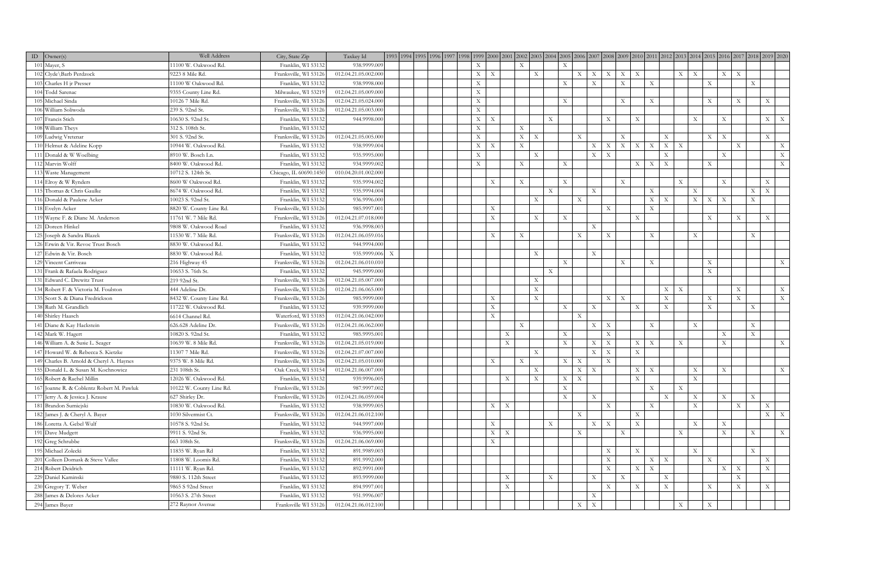| $ID$ Owner(s)                             | Well Address             | City, State Zip        | Taxkey Id            |                           | 1993  1994  1995  1996  1997  1998  1999  2000  2001  2002  2003  2004  2005  2006  2007  2008  2007  2010  2010  2011  2012  2013  2014  2015  2016  2017  2018  2019  2019  2019  2016  2017  2018  2019  2019  2019  2019 |                                |                           |                           |                           |                           |                           |                           |                           |                                                        |                           |                           |                           |                           |                           |                           |                           |                           |
|-------------------------------------------|--------------------------|------------------------|----------------------|---------------------------|------------------------------------------------------------------------------------------------------------------------------------------------------------------------------------------------------------------------------|--------------------------------|---------------------------|---------------------------|---------------------------|---------------------------|---------------------------|---------------------------|---------------------------|--------------------------------------------------------|---------------------------|---------------------------|---------------------------|---------------------------|---------------------------|---------------------------|---------------------------|---------------------------|
| $101$ Mayer, S                            | 11100 W. Oakwood Rd.     | Franklin, WI 53132     | 938.9999.009         |                           |                                                                                                                                                                                                                              | X                              |                           | X                         |                           | X                         |                           |                           |                           |                                                        |                           |                           |                           |                           |                           |                           |                           |                           |
| 102 Clyde\Barb Perdzock                   | 9223 8 Mile Rd.          | Franksville, WI 53126  | 012.04.21.05.002.000 |                           |                                                                                                                                                                                                                              | X<br>$\boldsymbol{\mathrm{X}}$ |                           |                           | $\mathbf{X}$              |                           | $X \mid X$                |                           | $X \mid X$                | $\boldsymbol{\mathrm{X}}$                              |                           |                           | $X \mid X$                |                           | $X \mid X$                |                           |                           |                           |
| 103 Charles H ir Presser                  | 11100 W Oakwood Rd.      | Franklin, WI 53132     | 938.9998.000         |                           |                                                                                                                                                                                                                              | X                              |                           |                           |                           | X                         |                           | X                         |                           | $\mathbf{X}$                                           | $\mathbf{X}$              |                           |                           | $\mathbf{X}$              |                           |                           | $\mathbf X$               |                           |
| 104 Todd Sarenac                          | 9355 County Line Rd.     | Milwaukee, WI 53219    | 012.04.21.05.009.000 |                           |                                                                                                                                                                                                                              | X                              |                           |                           |                           |                           |                           |                           |                           |                                                        |                           |                           |                           |                           |                           |                           |                           |                           |
| 105 Michael Sinda                         | 10126 7 Mile Rd.         | Franksville, WI 53126  | 012.04.21.05.024.000 |                           |                                                                                                                                                                                                                              | $\mathbf{X}$                   |                           |                           |                           | X                         |                           |                           |                           | $\boldsymbol{\mathrm{X}}$                              | X                         |                           |                           | $\boldsymbol{\mathrm{X}}$ |                           | $\boldsymbol{\mathrm{X}}$ |                           | $\boldsymbol{\mathrm{X}}$ |
| 106 William Soliwoda                      | 239 S. 92nd St.          | Franksville, WI 53126  | 012.04.21.05.003.000 |                           |                                                                                                                                                                                                                              | $\mathbf X$                    |                           |                           |                           |                           |                           |                           |                           |                                                        |                           |                           |                           |                           |                           |                           |                           |                           |
| 107 Francis Stich                         | 10630 S. 92nd St.        | Franklin, WI 53132     | 944.9998.000         |                           |                                                                                                                                                                                                                              | X<br>$\boldsymbol{\mathrm{X}}$ |                           |                           |                           | $\boldsymbol{\mathrm{X}}$ |                           |                           | X                         | X                                                      |                           |                           | X                         |                           | X                         |                           |                           | $X \mid X$                |
| 108 William Theys                         | 312 S. 108th St.         | Franklin, WI 53132     |                      |                           |                                                                                                                                                                                                                              | X                              |                           | $\boldsymbol{\mathrm{X}}$ |                           |                           |                           |                           |                           |                                                        |                           |                           |                           |                           |                           |                           |                           |                           |
| 109 Ludwig Vretenar                       | 301 S. 92nd St.          | Franksville, WI 53126  | 012.04.21.05.005.000 |                           |                                                                                                                                                                                                                              | $\mathbf{X}$                   |                           | $\boldsymbol{\mathrm{X}}$ | $\boldsymbol{\mathrm{X}}$ |                           | $\mathbf{X}$              |                           |                           | $\mathbf{X}$                                           |                           | X                         |                           | X                         | $\boldsymbol{\mathrm{X}}$ |                           |                           | $\boldsymbol{\mathrm{X}}$ |
| 110 Helmut & Adeline Kopp                 | 10944 W. Oakwood Rd.     | Franklin, WI 53132     | 938.9999.004         |                           |                                                                                                                                                                                                                              | X<br>$\boldsymbol{\mathrm{X}}$ |                           | $\mathbf X$               |                           |                           |                           | X                         | $\boldsymbol{\mathrm{X}}$ | $\boldsymbol{\mathrm{X}}$<br>$\boldsymbol{\mathrm{X}}$ | $\boldsymbol{\mathrm{X}}$ | $\mathbf{X}$              | $\boldsymbol{\mathrm{X}}$ |                           |                           | $\boldsymbol{\mathrm{X}}$ |                           | $\mathbf X$               |
| 111 Donald & W Woelbing                   | 8910 W. Bosch Ln.        | Franklin, WI 53132     | 935.9995.000         |                           |                                                                                                                                                                                                                              | X                              |                           |                           | X                         |                           |                           | X                         | $\boldsymbol{\mathrm{X}}$ |                                                        |                           | $\boldsymbol{\mathrm{X}}$ |                           |                           | X                         |                           |                           | X                         |
| 112 Marvin Wolff                          | 8400 W. Oakwood Rd.      | Franklin, WI 53132     | 934.9999.002         |                           |                                                                                                                                                                                                                              | $\boldsymbol{\mathrm{X}}$      |                           | $\boldsymbol{\mathrm{X}}$ |                           | X                         |                           |                           |                           | X                                                      | X                         | $\boldsymbol{\mathrm{X}}$ |                           | $\mathbf{X}$              |                           |                           |                           | $\mathbf{X}$              |
| 113 Waste Management                      | 10712 S. 124th St.       | Chicago, IL 60690.1450 | 010.04.20.01.002.000 |                           |                                                                                                                                                                                                                              |                                |                           |                           |                           |                           |                           |                           |                           |                                                        |                           |                           |                           |                           |                           |                           |                           |                           |
| 114 Elroy & W Rynders                     | 8600 W Oakwood Rd.       | Franklin, WI 53132     | 935.9994.002         |                           |                                                                                                                                                                                                                              | X                              |                           | $\boldsymbol{\mathrm{X}}$ |                           | X                         |                           |                           |                           | $\boldsymbol{\mathrm{X}}$                              |                           |                           | $\mathbf X$               |                           | X                         |                           |                           | X                         |
| 115 Thomas & Chris Gaulke                 | 8674 W. Oakwood Rd.      | Franklin, WI 53132     | 935.9994.004         |                           |                                                                                                                                                                                                                              |                                |                           |                           |                           | $\mathbf{X}$              |                           | X                         |                           |                                                        | $\boldsymbol{\mathrm{X}}$ |                           | $\boldsymbol{\mathrm{X}}$ |                           |                           |                           | $X-$                      | $\boldsymbol{\mathrm{X}}$ |
| 116 Donald & Paulene Acker                | 10023 S. 92nd St.        | Franklin, WI 53132     | 936.9996.000         |                           |                                                                                                                                                                                                                              |                                |                           |                           | X                         |                           | $\boldsymbol{\mathrm{X}}$ |                           |                           |                                                        | $X \mid X$                |                           | $\boldsymbol{\mathrm{X}}$ | $\mathbf{X}$              | $\boldsymbol{\mathrm{X}}$ |                           | $\mathbf X$               |                           |
| 118 Evelyn Acker                          | 8820 W. County Line Rd.  | Franksville, WI 53126  | 985.9997.001         |                           |                                                                                                                                                                                                                              | $\boldsymbol{\mathrm{X}}$      |                           |                           |                           |                           |                           |                           | X                         |                                                        | $\mathbf{X}$              |                           |                           |                           |                           |                           |                           |                           |
| 119 Wayne F. & Diane M. Anderson          | 11761 W. 7 Mile Rd.      | Franksville, WI 53126  | 012.04.21.07.018.000 |                           |                                                                                                                                                                                                                              | $\boldsymbol{\mathrm{X}}$      |                           |                           | X                         | X                         |                           |                           |                           | X                                                      |                           |                           |                           | X                         |                           | $\boldsymbol{\mathrm{X}}$ |                           | $\boldsymbol{\mathrm{X}}$ |
| 121 Doreen Hinkel                         | 9808 W. Oakwood Road     | Franklin, WI 53132     | 936.9998.003         |                           |                                                                                                                                                                                                                              |                                |                           |                           |                           |                           |                           | $\overline{X}$            |                           |                                                        |                           |                           |                           |                           |                           |                           |                           |                           |
| 125 Joseph & Sandra Blazek                | 11530 W. 7 Mile Rd.      | Franksville, WI 53126  | 012.04.21.06.059.016 |                           |                                                                                                                                                                                                                              | X                              |                           | $\boldsymbol{\mathrm{X}}$ |                           |                           | $\boldsymbol{\mathrm{X}}$ |                           | X                         |                                                        | X                         |                           | X                         |                           |                           |                           | $\mathbf X$               |                           |
| 126 Erwin & Vir. Revoc Trust Bosch        | 8830 W. Oakwood Rd.      | Franklin, WI 53132     | 944.9994.000         |                           |                                                                                                                                                                                                                              |                                |                           |                           |                           |                           |                           |                           |                           |                                                        |                           |                           |                           |                           |                           |                           |                           |                           |
| 127 Edwin & Vir. Bosch                    | 8830 W. Oakwood Rd.      | Franklin, WI 53132     | 935.9999.006         | $\boldsymbol{\mathrm{X}}$ |                                                                                                                                                                                                                              |                                |                           |                           | X                         |                           |                           | X                         |                           |                                                        |                           |                           |                           |                           |                           |                           |                           |                           |
| 129 Vincent Carriveau                     | 216 Highway 45           | Franksville, WI 53126  | 012.04.21.06.010.010 |                           |                                                                                                                                                                                                                              |                                |                           |                           |                           | X                         |                           |                           |                           | $\mathbf{X}$                                           | $\boldsymbol{\mathrm{X}}$ |                           |                           | $\mathbf{X}$              |                           |                           |                           | X                         |
| 131 Frank & Rafaela Rodriguez             | 10653 S. 76th St.        | Franklin, WI 53132     | 945.9999.000         |                           |                                                                                                                                                                                                                              |                                |                           |                           |                           | $\boldsymbol{\mathrm{X}}$ |                           |                           |                           |                                                        |                           |                           |                           | X                         |                           |                           |                           |                           |
| 131 Edward C. Drewitz Trust               | 219 92nd St.             | Franksville, WI 53126  | 012.04.21.05.007.000 |                           |                                                                                                                                                                                                                              |                                |                           |                           | $\mathbf{X}$              |                           |                           |                           |                           |                                                        |                           |                           |                           |                           |                           |                           |                           |                           |
| 134 Robert F. & Victoria M. Foulston      | 444 Adeline Dr.          | Franksville, WI 53126  | 012.04.21.06.065.000 |                           |                                                                                                                                                                                                                              |                                |                           |                           | $\mathbf{X}$              |                           |                           |                           |                           |                                                        |                           | X                         | $\boldsymbol{\mathrm{X}}$ |                           |                           | $\boldsymbol{\mathrm{X}}$ |                           | X                         |
| 135 Scott S. & Diana Fredrickson          | 8432 W. County Line Rd.  | Franksville, WI 53126  | 985.9999.000         |                           |                                                                                                                                                                                                                              | $\boldsymbol{\mathrm{X}}$      |                           |                           | $\mathbf{X}$              |                           |                           |                           | X                         | $\mathbf{X}$                                           |                           | X                         |                           | X                         |                           | $\boldsymbol{\mathrm{X}}$ |                           | X                         |
| 138 Ruth M. Grandlich                     | 11722 W. Oakwood Rd.     | Franklin, WI 53132     | 939.9999.000         |                           |                                                                                                                                                                                                                              | $\boldsymbol{\mathrm{X}}$      |                           |                           |                           | X                         |                           | X                         |                           | X                                                      |                           | $\boldsymbol{\mathrm{X}}$ |                           | X                         |                           |                           | $\boldsymbol{\mathrm{X}}$ |                           |
| 140 Shirley Haasch                        | 6614 Channel Rd.         | Waterford, WI 53185    | 012.04.21.06.042.000 |                           |                                                                                                                                                                                                                              | $\boldsymbol{\mathrm{X}}$      |                           |                           |                           |                           | $\mathbf{X}$              |                           |                           |                                                        |                           |                           |                           |                           |                           |                           |                           |                           |
| 141 Diane & Kay Hackstein                 | 626.628 Adeline Dr.      | Franksville, WI 53126  | 012.04.21.06.062.000 |                           |                                                                                                                                                                                                                              |                                |                           | $\mathbf X$               |                           |                           |                           | X                         | $\boldsymbol{\mathrm{X}}$ |                                                        | $\boldsymbol{\mathrm{X}}$ |                           | $\boldsymbol{\mathrm{X}}$ |                           |                           |                           | X                         |                           |
| 142 Mark W. Hagert                        | 10820 S. 92nd St.        | Franklin, WI 53132     | 985.9995.001         |                           |                                                                                                                                                                                                                              |                                | X                         |                           |                           | $\boldsymbol{\mathrm{X}}$ |                           |                           | X                         |                                                        |                           |                           |                           |                           | $\boldsymbol{\mathrm{X}}$ |                           | X                         |                           |
| 146 William A. & Susie L. Seager          | 10639 W. 8 Mile Rd.      | Franksville, WI 53126  | 012.04.21.05.019.000 |                           |                                                                                                                                                                                                                              |                                | $\mathbf X$               |                           |                           | $\mathbf{X}$              |                           | X                         | $\boldsymbol{\mathrm{X}}$ | X                                                      | $\boldsymbol{\mathrm{X}}$ |                           | X                         |                           | $\boldsymbol{\mathrm{X}}$ |                           |                           | X                         |
| 147 Howard W. & Rebecca S. Kietzke        | 11307 7 Mile Rd.         | Franksville, WI 53126  | 012.04.21.07.007.000 |                           |                                                                                                                                                                                                                              |                                |                           |                           | X                         |                           |                           | $\mathbf X$               | $\boldsymbol{\mathrm{X}}$ | $\mathbf{X}$                                           |                           |                           |                           |                           |                           |                           |                           |                           |
| 149 Charles B. Arnold & Cheryl A. Haynes  | 9375 W. 8 Mile Rd.       | Franksville, WI 53126  | 012.04.21.05.010.000 |                           |                                                                                                                                                                                                                              | $\boldsymbol{\mathrm{X}}$      |                           | $\boldsymbol{\mathrm{X}}$ |                           | X                         | $\boldsymbol{\mathrm{X}}$ |                           | X                         |                                                        |                           |                           |                           |                           |                           |                           |                           |                           |
| 155 Donald L. & Susan M. Kochnowicz       | 231 108th St.            | Oak Creek, WI 53154    | 012.04.21.06.007.000 |                           |                                                                                                                                                                                                                              |                                |                           |                           | X                         |                           | $\mathbf{X}$              | $\boldsymbol{\mathrm{X}}$ |                           | X                                                      | $\boldsymbol{\mathrm{X}}$ |                           | $\boldsymbol{\mathrm{X}}$ |                           | $\boldsymbol{\mathrm{X}}$ |                           |                           | $\boldsymbol{\mathrm{X}}$ |
| 165 Robert & Rachel Millin                | 12026 W. Oakwood Rd.     | Franklin, WI 53132     | 939.9996.005         |                           |                                                                                                                                                                                                                              |                                | $\boldsymbol{\mathrm{X}}$ |                           | X                         | X                         | $\boldsymbol{\mathrm{X}}$ |                           |                           | X                                                      |                           |                           | X                         |                           |                           |                           |                           |                           |
| 167 Joanne R. & Coblentz Robert M. Pawluk | 10122 W. County Line Rd. | Franksville, WI 53126  | 987.9997.002         |                           |                                                                                                                                                                                                                              |                                |                           |                           |                           | X                         |                           |                           |                           |                                                        | $\boldsymbol{\mathrm{X}}$ |                           | $\mathbf X$               |                           |                           |                           |                           |                           |
| 177 Jerry A. & Jessica J. Krause          | 627 Shirley Dr.          | Franksville, WI 53126  | 012.04.21.06.059.004 |                           |                                                                                                                                                                                                                              |                                |                           |                           |                           | X                         |                           | X                         |                           |                                                        |                           | X                         | $\boldsymbol{\mathrm{X}}$ |                           | X                         |                           | $\boldsymbol{\mathrm{X}}$ |                           |
| 181 Brandon Sumiejski                     | 10830 W. Oakwood Rd.     | Franklin, WI 53132     | 938.9999.005         |                           |                                                                                                                                                                                                                              |                                | $X \mid X$                |                           |                           |                           |                           |                           | X                         |                                                        | $\boldsymbol{\mathrm{X}}$ |                           | X                         |                           |                           | $\boldsymbol{\mathrm{X}}$ |                           | X                         |
| 182 James J. & Cheryl A. Bayer            | 1030 Silvermist Ct.      | Franksville, WI 53126  | 012.04.21.06.012.100 |                           |                                                                                                                                                                                                                              |                                |                           |                           |                           |                           | $\mathbf{X}$              |                           |                           | X                                                      |                           |                           |                           |                           |                           |                           |                           | $X \mid X$                |
| 186 Loretta A. Gebel Wulf                 | 10578 S. 92nd St.        | Franklin, WI 53132     | 944.9997.000         |                           |                                                                                                                                                                                                                              | $\boldsymbol{\mathrm{X}}$      |                           |                           |                           | $\mathbf{X}$              |                           | X                         | $\boldsymbol{\mathrm{X}}$ | X                                                      |                           |                           | $\boldsymbol{\mathrm{X}}$ |                           | $\mathbf{X}$              |                           |                           |                           |
| 191 Dave Mudgett                          | 9911 S. 92nd St.         | Franklin, WI 53132     | 936.9995.000         |                           |                                                                                                                                                                                                                              |                                | $X \mid X$                |                           |                           |                           | $\boldsymbol{\mathrm{X}}$ |                           |                           | $\mathbf{X}$                                           |                           |                           | $\boldsymbol{\mathrm{X}}$ |                           | $\mathbf{X}$              |                           | $\boldsymbol{\mathrm{X}}$ | X                         |
| 192 Greg Schrubbe                         | 663 108th St.            | Franksville, WI 53126  | 012.04.21.06.069.000 |                           |                                                                                                                                                                                                                              | $\boldsymbol{\mathrm{X}}$      |                           |                           |                           |                           |                           |                           |                           |                                                        |                           |                           |                           |                           |                           |                           |                           |                           |
| 195 Michael Zolecki                       | 11835 W. Ryan Rd         | Franklin, WI 53132     | 891.9989.003         |                           |                                                                                                                                                                                                                              |                                |                           |                           |                           |                           |                           |                           | X                         | X                                                      |                           |                           | $\mathbf{X}$              |                           |                           |                           | X                         |                           |
| 201 Colleen Domask & Steve Vallee         | 11808 W. Loomis Rd.      | Franklin, WI 53132     | 891.9992.000         |                           |                                                                                                                                                                                                                              |                                |                           |                           |                           |                           |                           |                           | $\mathbf{X}$              |                                                        |                           | $X \mid X$                |                           | $\mathbf{X}$              |                           |                           |                           | $\boldsymbol{\mathrm{X}}$ |
| 214 Robert Deidrich                       | 11111 W. Ryan Rd.        | Franklin, WI 53132     | 892.9991.000         |                           |                                                                                                                                                                                                                              |                                |                           |                           |                           |                           |                           |                           | X                         | X                                                      | X                         |                           |                           |                           | $X \mid X$                |                           |                           | $\boldsymbol{\mathrm{X}}$ |
| 229 Daniel Kaminski                       | 9880 S. 112th Street     | Franklin, WI 53132     | 893.9999.000         |                           |                                                                                                                                                                                                                              |                                | $\mathbf{X}$              |                           |                           | X                         |                           | $\mathbf X$               |                           | $\boldsymbol{\mathrm{X}}$                              |                           | X                         |                           |                           |                           | $\boldsymbol{\mathrm{X}}$ |                           |                           |
| $230$ Gregory T. Weber                    | 9865 S 92nd Street       | Franklin, WI 53132     | 894.9997.001         |                           |                                                                                                                                                                                                                              |                                | $\mathbf X$               |                           |                           |                           |                           |                           | X                         | X                                                      |                           | $\boldsymbol{\mathrm{X}}$ |                           | $\boldsymbol{\mathrm{X}}$ |                           | $\boldsymbol{\mathrm{X}}$ |                           | $\mathbf X$               |
| 288 James & Delores Acker                 | 0563 S. 27th Street      | Franklin, WI 53132     | 951.9996.007         |                           |                                                                                                                                                                                                                              |                                |                           |                           |                           |                           |                           | $\mathbf X$               |                           |                                                        |                           |                           |                           |                           |                           |                           |                           |                           |
| 294 James Bayer                           | 272 Raynor Avenue        | Franksville WI 53126   | 012.04.21.06.012.100 |                           |                                                                                                                                                                                                                              |                                |                           |                           |                           |                           | $\mathbf X$               | $\boldsymbol{\mathrm{X}}$ |                           |                                                        |                           |                           | X                         | $\boldsymbol{\mathrm{X}}$ |                           |                           |                           |                           |
|                                           |                          |                        |                      |                           |                                                                                                                                                                                                                              |                                |                           |                           |                           |                           |                           |                           |                           |                                                        |                           |                           |                           |                           |                           |                           |                           |                           |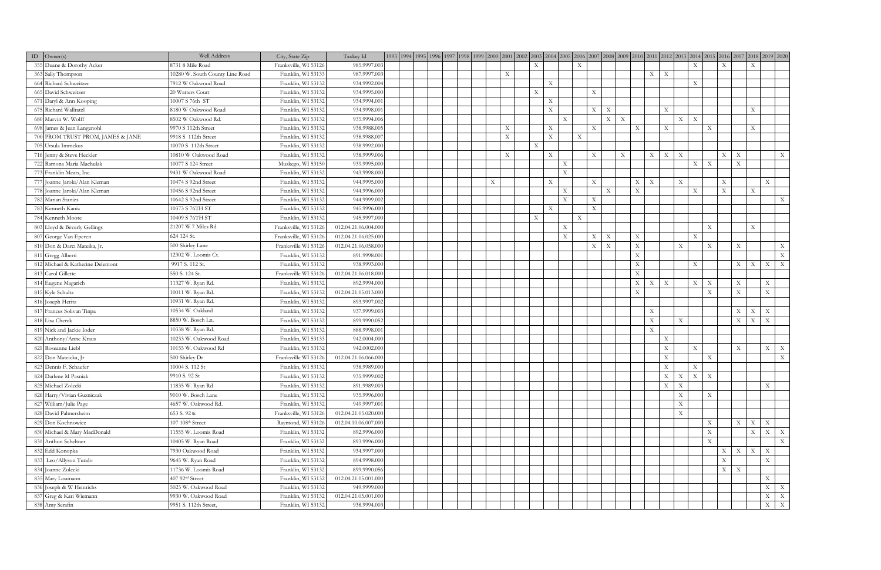| ID $\vert$ Owner(s)               | Well Address                    | City, State Zip       | Taxkey Id            |  |  |                           |                           |                           |                           |             |                           |                                |             |                           |                           |                                |                           |              |                                          |                                           |
|-----------------------------------|---------------------------------|-----------------------|----------------------|--|--|---------------------------|---------------------------|---------------------------|---------------------------|-------------|---------------------------|--------------------------------|-------------|---------------------------|---------------------------|--------------------------------|---------------------------|--------------|------------------------------------------|-------------------------------------------|
| 355 Duane & Dorothy Acker         | 8731 8 Mile Road                | Franksville, WI 53126 | 985.9997.003         |  |  |                           |                           | $\boldsymbol{\mathrm{X}}$ |                           |             | $\boldsymbol{\mathrm{X}}$ |                                |             |                           |                           | $\mathbf{X}$                   |                           | X            | X                                        |                                           |
| 363 Sally Thompson                | 10280 W. South County Line Road | Franklin, WI 53133    | 987.9997.003         |  |  |                           | $\mathbf{X}$              |                           |                           |             |                           |                                |             |                           | $X \mid X$                |                                |                           |              |                                          |                                           |
| 664 Richard Schweitzer            | 7912 W Oakwood Road             | Franklin, WI 53132    | 934.9992.004         |  |  |                           |                           |                           | $\mathbf{X}$              |             |                           |                                |             |                           |                           | $\boldsymbol{\mathrm{X}}$      |                           |              |                                          |                                           |
| 665 David Schweitzer              | 20 Watters Court                | Franklin, WI 53132    | 934.9995.000         |  |  |                           |                           | $\mathbf X$               |                           |             | $\mathbf X$               |                                |             |                           |                           |                                |                           |              |                                          |                                           |
| 671 Daryl & Ann Kooping           | 10007 S 76th ST                 | Franklin, WI 53132    | 934.9994.001         |  |  |                           |                           |                           | $\boldsymbol{\mathrm{X}}$ |             |                           |                                |             |                           |                           |                                |                           |              |                                          |                                           |
| 675 Richard Wallratzl             | 8180 W Oakwood Road             | Franklin, WI 53132    | 934.9998.001         |  |  |                           |                           |                           | $\mathbf{X}$              |             | $\mathbf X$               | $\boldsymbol{\mathrm{X}}$      |             |                           | X                         |                                |                           |              | $\mathbf X$                              |                                           |
| 680 Marvin W. Wolff               | 8502 W Oakwood Rd.              | Franklin, WI 53132    | 935.9994.006         |  |  |                           |                           |                           |                           | X           |                           | X<br>$\boldsymbol{\mathrm{X}}$ |             |                           |                           | X<br>$\mathbf{X}$              |                           |              |                                          |                                           |
| 698 James & Jean Langenohl        | 9970 S 112th Street             | Franklin, WI 53132    | 938.9988.005         |  |  |                           | $\boldsymbol{\mathrm{X}}$ |                           | X                         |             | $\mathbf X$               |                                | X           |                           | $\boldsymbol{\mathrm{X}}$ |                                | $\mathbf{X}$              |              | $\boldsymbol{\mathrm{X}}$                |                                           |
| 700 PROM TRUST PROM, JAMES & JANE | 9918 S 112th Street             | Franklin, WI 53132    | 938.9988.00          |  |  |                           | $\mathbf X$               |                           | $\mathbf X$               |             | $\boldsymbol{\mathrm{X}}$ |                                |             |                           |                           |                                |                           |              |                                          |                                           |
| 705 Ursula Immekus                | 10070 S 112th Street            | Franklin, WI 53132    | 938.9992.000         |  |  |                           |                           | $\boldsymbol{\mathrm{X}}$ |                           |             |                           |                                |             |                           |                           |                                |                           |              |                                          |                                           |
| 716 Jenny & Steve Heckler         | 10810 W Oakwood Road            | Franklin, WI 53132    | 938.9999.006         |  |  |                           | $\boldsymbol{\mathrm{X}}$ |                           | $\mathbf{X}$              |             | $\mathbf X$               | $\boldsymbol{\mathrm{X}}$      |             | X                         | $\mathbf{X}$              | $\boldsymbol{\mathrm{X}}$      |                           | $X-1$        | $\boldsymbol{\mathrm{X}}$                | $\mathbf{X}$                              |
| 722 Ramona Maria Machulak         | 10077 S 124 Street              | Muskego, WI 53150     | 939.9995.000         |  |  |                           |                           |                           |                           | $\mathbf X$ |                           |                                |             |                           |                           | $\boldsymbol{\mathrm{X}}$      | $\mathbf X$               |              | $\boldsymbol{\mathrm{X}}$                |                                           |
| 773 Franklin Meats, Inc.          | 9431 W Oakwood Road             | Franklin, WI 53132    | 943.9998.000         |  |  |                           |                           |                           |                           | X           |                           |                                |             |                           |                           |                                |                           |              |                                          |                                           |
| 777 Joanne Jaroki/Alan Kleman     | 10474 S 92nd Street             | Franklin, WI 53132    | 944.9995.000         |  |  | $\boldsymbol{\mathrm{X}}$ |                           |                           | $\mathbf X$               |             | $\mathbf X$               |                                | X           | $\boldsymbol{\mathrm{X}}$ |                           | $\mathbf X$                    |                           | $\mathbf{X}$ |                                          | $\mathbf X$                               |
| 778 Joanne Jaroki/Alan Kleman     | 10456 S 92nd Street             | Franklin, WI 53132    | 944.9996.000         |  |  |                           |                           |                           |                           | X           |                           | X                              | X           |                           |                           | $\boldsymbol{\mathrm{X}}$      |                           | $\mathbf{X}$ | $\mathbf X$                              |                                           |
| 782 Marian Stanizs                | 10642 S 92nd Street             | Franklin, WI 53132    | 944.9999.002         |  |  |                           |                           |                           |                           | X           | $\mathbf X$               |                                |             |                           |                           |                                |                           |              |                                          | X                                         |
| 783 Kenneth Kania                 | 10373 S 76TH ST                 | Franklin, WI 53132    | 945.9996.000         |  |  |                           |                           |                           | $\mathbf X$               |             | $\mathbf X$               |                                |             |                           |                           |                                |                           |              |                                          |                                           |
| 784 Kenneth Moore                 | 10409 S 76TH ST                 | Franklin, WI 53132    | 945.9997.000         |  |  |                           |                           | X                         |                           |             | $\mathbf X$               |                                |             |                           |                           |                                |                           |              |                                          |                                           |
| 803 Lloyd & Beverly Gellings      | 21207 W 7 Miles Rd              | Franksville, WI 53126 | 012.04.21.06.004.000 |  |  |                           |                           |                           |                           | X           |                           |                                |             |                           |                           |                                | $\mathbf{X}$              |              | $\boldsymbol{\mathrm{X}}$                |                                           |
| 807 George Van Eperen             | 624 124 St.                     | Franksville, WI 53126 | 012.04.21.06.025.000 |  |  |                           |                           |                           |                           | X           | $\mathbf X$               | $\mathbf X$                    | $\mathbf X$ |                           |                           | $\mathbf X$                    |                           |              |                                          |                                           |
| 810 Don & Darci Mateika, Jr.      | 500 Shirley Lane                | Franksville WI 53126  | 012.04.21.06.058.000 |  |  |                           |                           |                           |                           |             | $\mathbf X$               | $\boldsymbol{\mathrm{X}}$      | X           |                           |                           | $\boldsymbol{\mathrm{X}}$      | $\boldsymbol{\mathrm{X}}$ |              | $\boldsymbol{\mathrm{X}}$                | $\mathbf X$                               |
| 811 Gregg Alberti                 | 12302 W. Loomis Ct.             | Franklin, WI 53132    | 891.9998.001         |  |  |                           |                           |                           |                           |             |                           |                                | $\mathbf X$ |                           |                           |                                |                           |              |                                          | X                                         |
| 812 Michael & Katherine Delemont  | 9917 S. 112 St.                 | Franklin, WI 53132    | 938.9993.000         |  |  |                           |                           |                           |                           |             |                           |                                | $\mathbf X$ |                           |                           | $\boldsymbol{\mathrm{X}}$      |                           |              | X<br>X                                   | $\boldsymbol{\mathrm{X}}$<br>$\mathbf{X}$ |
| 813 Carol Gillette                | 550 S. 124 St.                  | Franksville WI 53126  | 012.04.21.06.018.000 |  |  |                           |                           |                           |                           |             |                           |                                | $\mathbf X$ |                           |                           |                                |                           |              |                                          |                                           |
| 814 Eugene Magarich               | 11327 W. Ryan Rd.               | Franklin, WI 53132    | 892.9994.000         |  |  |                           |                           |                           |                           |             |                           |                                | X           | X                         | $\mathbf X$               | $\boldsymbol{\mathrm{X}}$      | $\mathbf X$               |              | $\boldsymbol{\mathrm{X}}$                | $\boldsymbol{\mathrm{X}}$                 |
| 815 Kyle Schultz                  | 10011 W. Ryan Rd.               | Franklin, WI 53132    | 012.04.21.05.013.000 |  |  |                           |                           |                           |                           |             |                           |                                | $\mathbf X$ |                           |                           |                                | $\mathbf{X}$              |              | $\boldsymbol{\mathrm{X}}$                | $\mathbf X$                               |
| 816 Joseph Heritz                 | 10931 W. Ryan Rd.               | Franklin, WI 53132    | 893.9997.002         |  |  |                           |                           |                           |                           |             |                           |                                |             |                           |                           |                                |                           |              |                                          |                                           |
| 817 Frances Solivan Tinpa         | 10534 W. Oakland                | Franklin, WI 53132    | 937.9999.003         |  |  |                           |                           |                           |                           |             |                           |                                |             | $\mathbf X$               |                           |                                |                           |              | $\mathbf X$<br>$\boldsymbol{\mathrm{X}}$ | $\mathbf X$                               |
| 818 Lisa Cherek                   | 8850 W. Bosch Ln.               | Franklin, WI 53132    | 899.9990.052         |  |  |                           |                           |                           |                           |             |                           |                                |             | X                         |                           | $\mathbf X$                    |                           |              | $\mathbf X$<br>X                         | $\boldsymbol{\mathrm{X}}$                 |
| 819 Nick and Jackie Ioder         | 10338 W. Ryan Rd.               | Franklin, WI 53132    | 888.9998.001         |  |  |                           |                           |                           |                           |             |                           |                                |             | $\mathbf{X}$              |                           |                                |                           |              |                                          |                                           |
| 820 Anthony/Anne Kraus            | 10233 W. Oakwood Road           | Franklin, WI 53133    | 942.0004.000         |  |  |                           |                           |                           |                           |             |                           |                                |             |                           | $\mathbf X$               |                                |                           |              |                                          |                                           |
| 821 Roseanne Liebl                | 10155 W. Oakwood Rd             | Franklin, WI 53132    | 942.0002.000         |  |  |                           |                           |                           |                           |             |                           |                                |             |                           | $\mathbf X$               | $\mathbf X$                    |                           |              | $\boldsymbol{\mathrm{X}}$                | $\mathbf X$<br>$\mathbf{X}$               |
| 822 Don Mateicka, Jr              | 500 Shirley Dr                  | Franksville WI 53126  | 012.04.21.06.066.000 |  |  |                           |                           |                           |                           |             |                           |                                |             |                           | $\mathbf X$               |                                | $\boldsymbol{\mathrm{X}}$ |              |                                          | $\mathbf X$                               |
| 823 Dennis F. Schaefer            | 10004 S. 112 St                 | Franklin, WI 53132    | 938.9989.000         |  |  |                           |                           |                           |                           |             |                           |                                |             |                           | $\boldsymbol{\mathrm{X}}$ | $\boldsymbol{\mathrm{X}}$      |                           |              |                                          |                                           |
| 824 Darlene M Pasniak             | 9910 S. 92 St                   | Franklin, WI 53132    | 935.9999.002         |  |  |                           |                           |                           |                           |             |                           |                                |             |                           | X                         | X<br>$\boldsymbol{\mathrm{X}}$ | $\boldsymbol{\mathrm{X}}$ |              |                                          |                                           |
| 825 Michael Zolecki               | 11835 W. Rvan Rd                | Franklin, WI 53132    | 891.9989.003         |  |  |                           |                           |                           |                           |             |                           |                                |             |                           | $\mathbf X$               | $\mathbf X$                    |                           |              |                                          | $\mathbf X$                               |
| 826 Harry/Vivian Guzniczak        | 9010 W. Bosch Lane              | Franklin, WI 53132    | 935.9996.000         |  |  |                           |                           |                           |                           |             |                           |                                |             |                           |                           | $\mathbf X$                    | $\boldsymbol{\mathrm{X}}$ |              |                                          |                                           |
| 827 William/Julie Page            | 4657 W. Oakwood Rd.             | Franklin, WI 53132    | 949.9997.001         |  |  |                           |                           |                           |                           |             |                           |                                |             |                           |                           | $\mathbf X$                    |                           |              |                                          |                                           |
| 828 David Palmersheim             | 653 S. 92 st.                   | Franksville, WI 53126 | 012.04.21.05.020.000 |  |  |                           |                           |                           |                           |             |                           |                                |             |                           |                           | $\mathbf X$                    |                           |              |                                          |                                           |
| 829 Don Kochnowicz                | 107 108 <sup>th</sup> Street    | Raymond, WI 53126     | 012.04.10.06.007.000 |  |  |                           |                           |                           |                           |             |                           |                                |             |                           |                           |                                | X                         |              | $\mathbf X$<br>X                         | $\boldsymbol{\mathrm{X}}$                 |
| 830 Michael & Mary MacDonald      | 11555 W. Loomis Road            | Franklin, WI 53132    | 892.9996.000         |  |  |                           |                           |                           |                           |             |                           |                                |             |                           |                           |                                | $\mathbf X$               |              |                                          | $X \mid X \mid X$                         |
| 831 Anthon Scheltner              | 10405 W. Ryan Road              | Franklin, WI 53132    | 893.9996.000         |  |  |                           |                           |                           |                           |             |                           |                                |             |                           |                           |                                | X                         |              |                                          | X                                         |
| 832 Edd Konopka                   | 7930 Oakwood Road               | Franklin, WI 53132    | 934.9997.000         |  |  |                           |                           |                           |                           |             |                           |                                |             |                           |                           |                                |                           | $X-$         | $\mathbf X$<br>$\mathbf X$               | $\boldsymbol{\mathrm{X}}$                 |
| 833 Leo/Allyson Tundo             | 9645 W. Ryan Road               | Franklin, WI 53132    | 894.9998.000         |  |  |                           |                           |                           |                           |             |                           |                                |             |                           |                           |                                |                           | $\mathbf{X}$ |                                          | $\boldsymbol{\mathrm{X}}$                 |
| 834 Joanne Zolecki                | 11736 W. Loomis Road            | Franklin, WI 53132    | 899.9990.056         |  |  |                           |                           |                           |                           |             |                           |                                |             |                           |                           |                                |                           | X            | $\boldsymbol{\mathrm{X}}$                |                                           |
| 835 Mary Loumann                  | 407 92 <sup>nd</sup> Street     | Franklin, WI 53132    | 012.04.21.05.001.000 |  |  |                           |                           |                           |                           |             |                           |                                |             |                           |                           |                                |                           |              |                                          | $\mathbf X$                               |
| 836 Joseph & W Heinrichs          | 5025 W. Oakwood Road            | Franklin, WI 53132    | 949.9999.000         |  |  |                           |                           |                           |                           |             |                           |                                |             |                           |                           |                                |                           |              |                                          | $\mathbf X$<br>$\mathbf X$                |
| 837 Greg & Kari Wiemann           | 9930 W. Oakwood Road            | Franklin, WI 53132    | 012.04.21.05.001.000 |  |  |                           |                           |                           |                           |             |                           |                                |             |                           |                           |                                |                           |              |                                          | $X \mid X$                                |
| 838 Amy Serafin                   | 9951 S. 112th Street,           | Franklin, WI 53132    | 938.9994.003         |  |  |                           |                           |                           |                           |             |                           |                                |             |                           |                           |                                |                           |              |                                          | $X$ $X$                                   |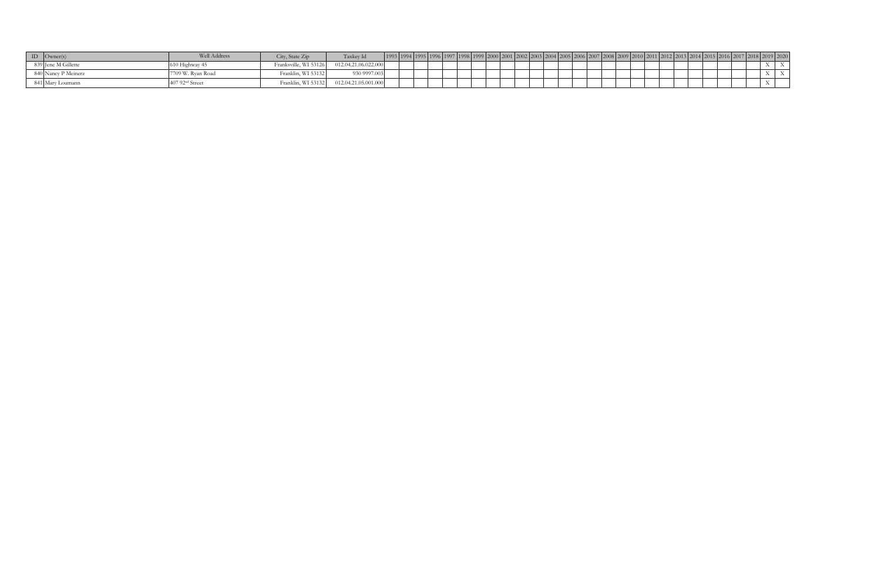| $ID$ $ Owner(s) $   | Well Address                 | City, State Zip       | Taxkey Id            |  |  |  | $Z(N)$ $\mid$ $Z(N)Z \mid Z(N)$ | $\angle$ (104 |  |  |  |  | $12018$ $2019$ $2020$ |
|---------------------|------------------------------|-----------------------|----------------------|--|--|--|---------------------------------|---------------|--|--|--|--|-----------------------|
| 839 Jene M Gillette | $^{\prime}$ 10 Highway 45    | Franksville, WI 53126 | 012.04.21.06.022.000 |  |  |  |                                 |               |  |  |  |  |                       |
| 840 Nancy P Meinerz | 7709 W. Ryan Road            | Franklin, WI 53132    | 930 9997.003         |  |  |  |                                 |               |  |  |  |  |                       |
| 841 Mary Loumann    | $40792$ <sup>nd</sup> Street | Franklin, WI 53132    | 012.04.21.05.001.000 |  |  |  |                                 |               |  |  |  |  |                       |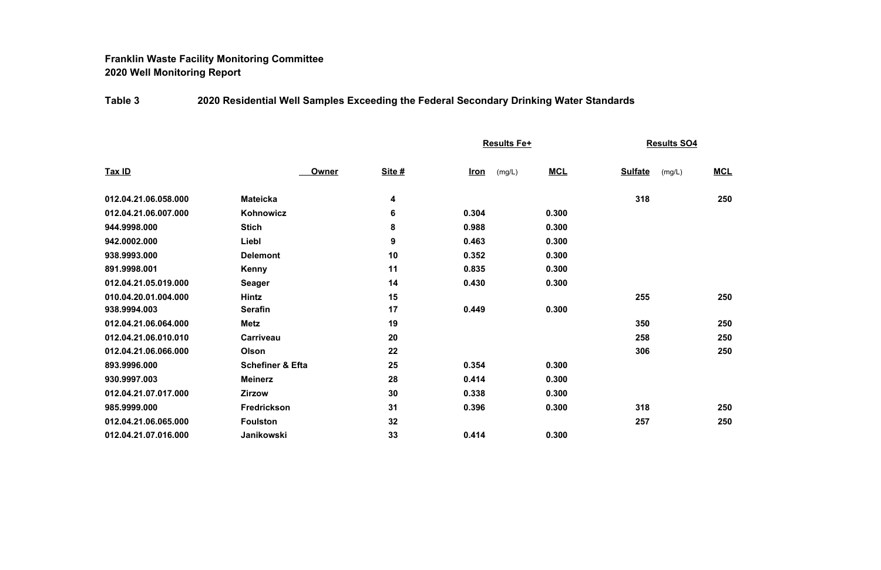# **Franklin Waste Facility Monitoring Committee 2020 Well Monitoring Report**

# **Table 3 2020 Residential Well Samples Exceeding the Federal Secondary Drinking Water Standards**

|                      |                             |               | Results Fe+           |            | <b>Results SO4</b>       |            |
|----------------------|-----------------------------|---------------|-----------------------|------------|--------------------------|------------|
| Tax ID               | Owner                       | <b>Site #</b> | <u>Iron</u><br>(mg/L) | <b>MCL</b> | <b>Sulfate</b><br>(mg/L) | <b>MCL</b> |
| 012.04.21.06.058.000 | <b>Mateicka</b>             | 4             |                       |            | 318                      | 250        |
| 012.04.21.06.007.000 | Kohnowicz                   | 6             | 0.304                 | 0.300      |                          |            |
| 944.9998.000         | <b>Stich</b>                | 8             | 0.988                 | 0.300      |                          |            |
| 942.0002.000         | Liebl                       | 9             | 0.463                 | 0.300      |                          |            |
| 938.9993.000         | <b>Delemont</b>             | 10            | 0.352                 | 0.300      |                          |            |
| 891.9998.001         | <b>Kenny</b>                | 11            | 0.835                 | 0.300      |                          |            |
| 012.04.21.05.019.000 | <b>Seager</b>               | 14            | 0.430                 | 0.300      |                          |            |
| 010.04.20.01.004.000 | <b>Hintz</b>                | 15            |                       |            | 255                      | 250        |
| 938.9994.003         | <b>Serafin</b>              | 17            | 0.449                 | 0.300      |                          |            |
| 012.04.21.06.064.000 | <b>Metz</b>                 | 19            |                       |            | 350                      | 250        |
| 012.04.21.06.010.010 | <b>Carriveau</b>            | 20            |                       |            | 258                      | 250        |
| 012.04.21.06.066.000 | Olson                       | 22            |                       |            | 306                      | 250        |
| 893.9996.000         | <b>Schefiner &amp; Efta</b> | 25            | 0.354                 | 0.300      |                          |            |
| 930.9997.003         | <b>Meinerz</b>              | 28            | 0.414                 | 0.300      |                          |            |
| 012.04.21.07.017.000 | <b>Zirzow</b>               | 30            | 0.338                 | 0.300      |                          |            |
| 985.9999.000         | <b>Fredrickson</b>          | 31            | 0.396                 | 0.300      | 318                      | 250        |
| 012.04.21.06.065.000 | <b>Foulston</b>             | 32            |                       |            | 257                      | 250        |
| 012.04.21.07.016.000 | Janikowski                  | 33            | 0.414                 | 0.300      |                          |            |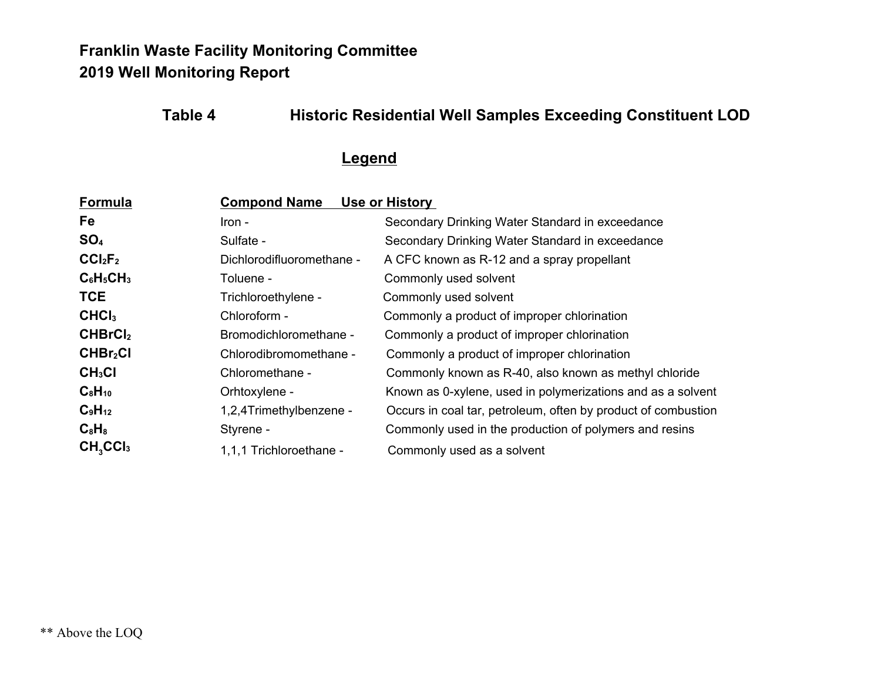# **Franklin Waste Facility Monitoring Committee 2019 Well Monitoring Report**

## **Table 4 Historic Residential Well Samples Exceeding Constituent LOD**

#### **Legend**

| Formula                         | <b>Compond Name</b>       | Use or History                                                |
|---------------------------------|---------------------------|---------------------------------------------------------------|
| Fe                              | - Iron                    | Secondary Drinking Water Standard in exceedance               |
| SO <sub>4</sub>                 | Sulfate -                 | Secondary Drinking Water Standard in exceedance               |
| CCI <sub>2</sub> F <sub>2</sub> | Dichlorodifluoromethane - | A CFC known as R-12 and a spray propellant                    |
| $C_6H_5CH_3$                    | Toluene -                 | Commonly used solvent                                         |
| <b>TCE</b>                      | Trichloroethylene -       | Commonly used solvent                                         |
| CHCI <sub>3</sub>               | Chloroform -              | Commonly a product of improper chlorination                   |
| CHBrCl <sub>2</sub>             | Bromodichloromethane -    | Commonly a product of improper chlorination                   |
| CHBr <sub>2</sub> Cl            | Chlorodibromomethane -    | Commonly a product of improper chlorination                   |
| CH <sub>3</sub> Cl              | Chloromethane -           | Commonly known as R-40, also known as methyl chloride         |
| $C_8H_{10}$                     | Orhtoxylene -             | Known as 0-xylene, used in polymerizations and as a solvent   |
| $C_9H_{12}$                     | 1,2,4Trimethylbenzene -   | Occurs in coal tar, petroleum, often by product of combustion |
| $C_8H_8$                        | Styrene -                 | Commonly used in the production of polymers and resins        |
| $CH3$ CCI <sub>3</sub>          | 1,1,1 Trichloroethane -   | Commonly used as a solvent                                    |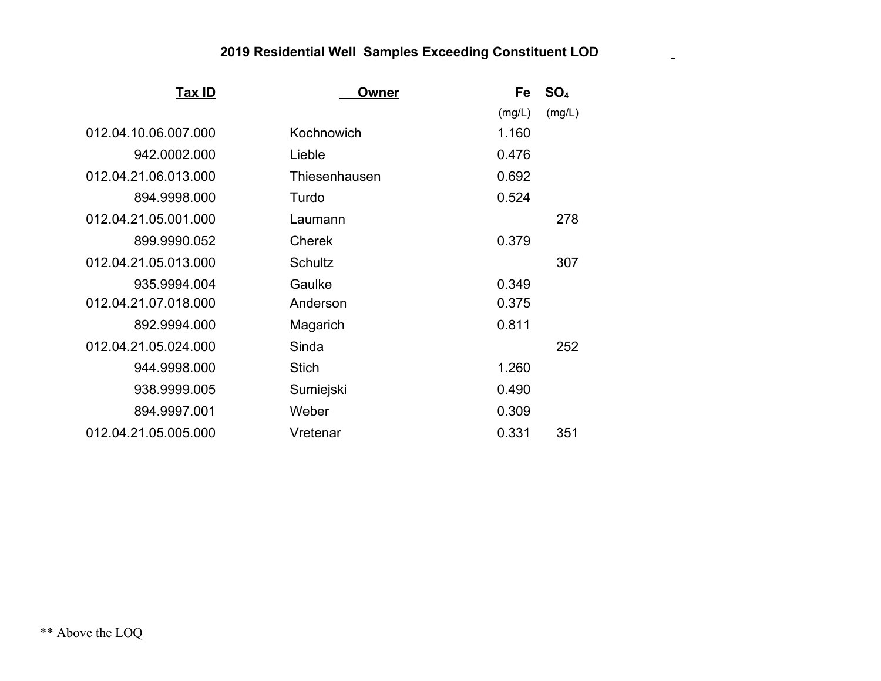| Tax ID               | Owner          | Fe     | SO <sub>4</sub> |
|----------------------|----------------|--------|-----------------|
|                      |                | (mg/L) | (mg/L)          |
| 012.04.10.06.007.000 | Kochnowich     | 1.160  |                 |
| 942.0002.000         | Lieble         | 0.476  |                 |
| 012.04.21.06.013.000 | Thiesenhausen  | 0.692  |                 |
| 894.9998.000         | Turdo          | 0.524  |                 |
| 012.04.21.05.001.000 | Laumann        |        | 278             |
| 899.9990.052         | <b>Cherek</b>  | 0.379  |                 |
| 012.04.21.05.013.000 | <b>Schultz</b> |        | 307             |
| 935.9994.004         | Gaulke         | 0.349  |                 |
| 012.04.21.07.018.000 | Anderson       | 0.375  |                 |
| 892.9994.000         | Magarich       | 0.811  |                 |
| 012.04.21.05.024.000 | Sinda          |        | 252             |
| 944.9998.000         | <b>Stich</b>   | 1.260  |                 |
| 938.9999.005         | Sumiejski      | 0.490  |                 |
| 894.9997.001         | Weber          | 0.309  |                 |
| 012.04.21.05.005.000 | Vretenar       | 0.331  | 351             |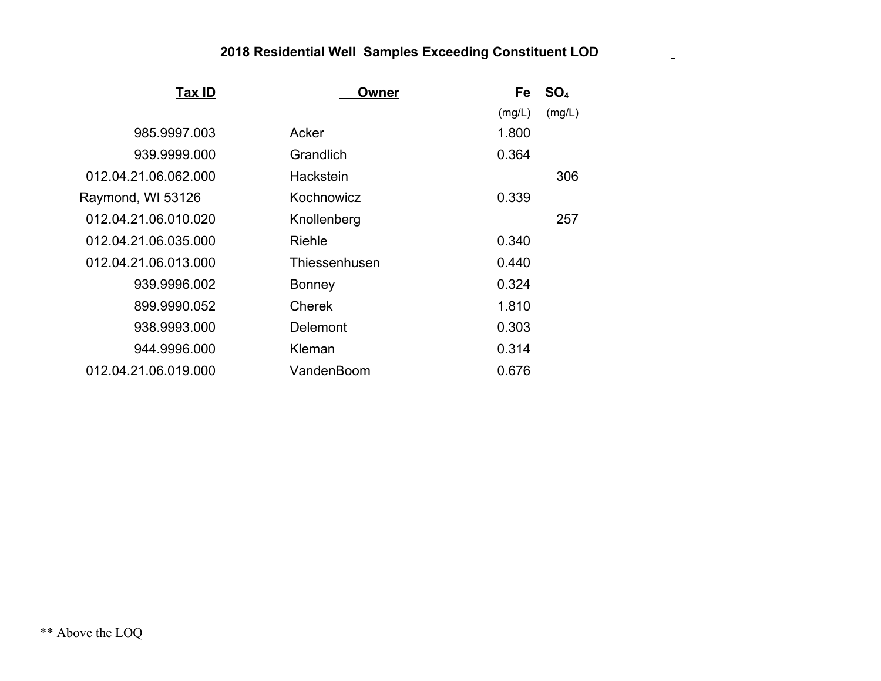| Tax ID               | Owner         | Fe     | SO <sub>4</sub> |
|----------------------|---------------|--------|-----------------|
|                      |               | (mg/L) | (mg/L)          |
| 985.9997.003         | Acker         | 1.800  |                 |
| 939.9999.000         | Grandlich     | 0.364  |                 |
| 012.04.21.06.062.000 | Hackstein     |        | 306             |
| Raymond, WI 53126    | Kochnowicz    | 0.339  |                 |
| 012.04.21.06.010.020 | Knollenberg   |        | 257             |
| 012.04.21.06.035.000 | Riehle        | 0.340  |                 |
| 012.04.21.06.013.000 | Thiessenhusen | 0.440  |                 |
| 939.9996.002         | Bonney        | 0.324  |                 |
| 899.9990.052         | <b>Cherek</b> | 1.810  |                 |
| 938.9993.000         | Delemont      | 0.303  |                 |
| 944.9996.000         | Kleman        | 0.314  |                 |
| 012.04.21.06.019.000 | VandenBoom    | 0.676  |                 |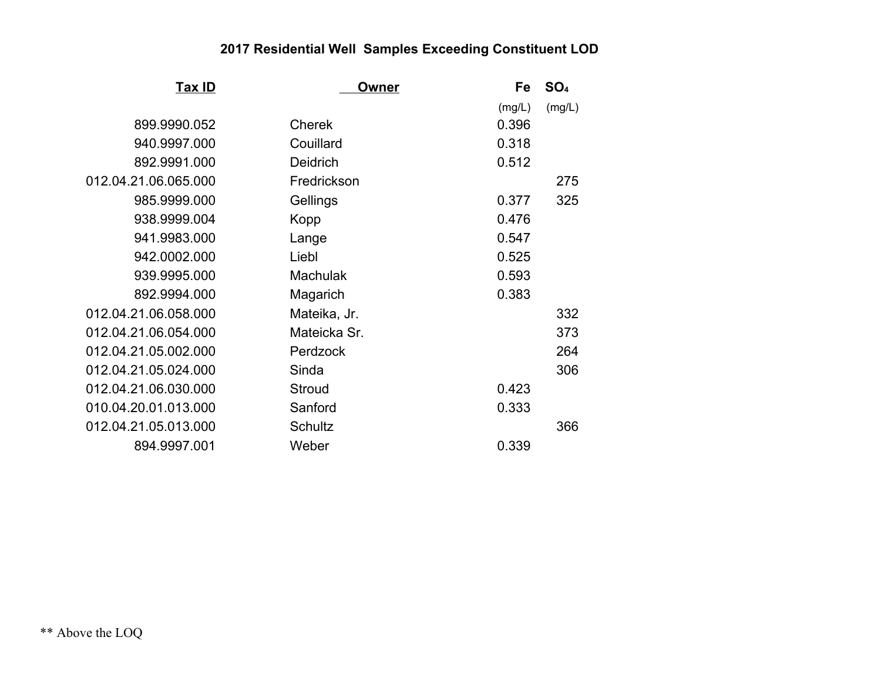| <u>Tax ID</u>        | <u>Owner</u>    | Fe     | SO <sub>4</sub> |
|----------------------|-----------------|--------|-----------------|
|                      |                 | (mg/L) | (mg/L)          |
| 899.9990.052         | <b>Cherek</b>   | 0.396  |                 |
| 940.9997.000         | Couillard       | 0.318  |                 |
| 892.9991.000         | <b>Deidrich</b> | 0.512  |                 |
| 012.04.21.06.065.000 | Fredrickson     |        | 275             |
| 985.9999.000         | Gellings        | 0.377  | 325             |
| 938.9999.004         | Kopp            | 0.476  |                 |
| 941.9983.000         | Lange           | 0.547  |                 |
| 942.0002.000         | Liebl           | 0.525  |                 |
| 939.9995.000         | <b>Machulak</b> | 0.593  |                 |
| 892.9994.000         | Magarich        | 0.383  |                 |
| 012.04.21.06.058.000 | Mateika, Jr.    |        | 332             |
| 012.04.21.06.054.000 | Mateicka Sr.    |        | 373             |
| 012.04.21.05.002.000 | Perdzock        |        | 264             |
| 012.04.21.05.024.000 | Sinda           |        | 306             |
| 012.04.21.06.030.000 | <b>Stroud</b>   | 0.423  |                 |
| 010.04.20.01.013.000 | Sanford         | 0.333  |                 |
| 012.04.21.05.013.000 | <b>Schultz</b>  |        | 366             |
| 894.9997.001         | Weber           | 0.339  |                 |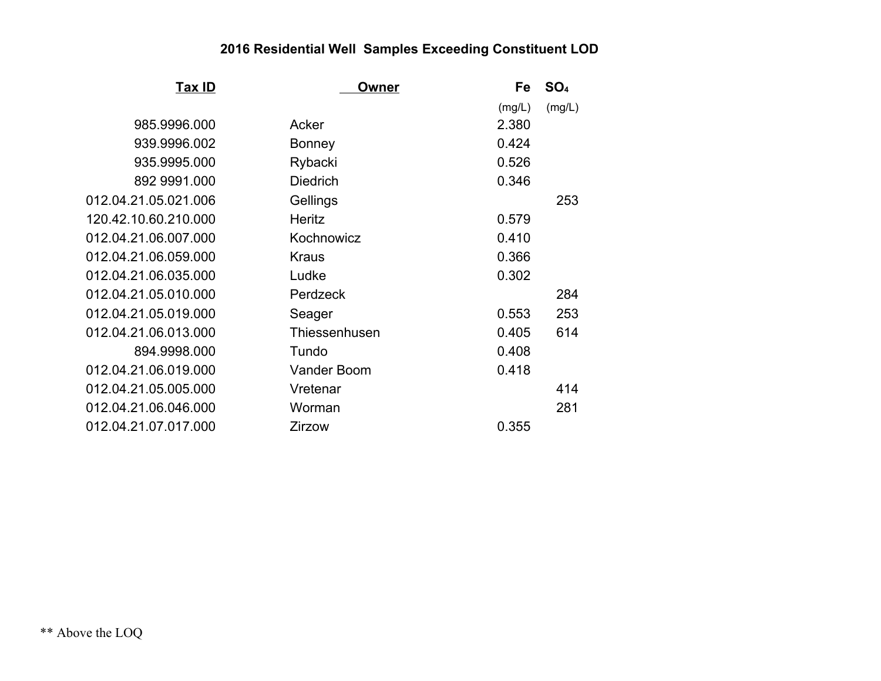| Tax ID               | Owner              | Fe     | SO <sub>4</sub> |
|----------------------|--------------------|--------|-----------------|
|                      |                    | (mg/L) | (mg/L)          |
| 985.9996.000         | Acker              | 2.380  |                 |
| 939.9996.002         | <b>Bonney</b>      | 0.424  |                 |
| 935.9995.000         | Rybacki            | 0.526  |                 |
| 892 9991.000         | <b>Diedrich</b>    | 0.346  |                 |
| 012.04.21.05.021.006 | Gellings           |        | 253             |
| 120.42.10.60.210.000 | <b>Heritz</b>      | 0.579  |                 |
| 012.04.21.06.007.000 | Kochnowicz         | 0.410  |                 |
| 012.04.21.06.059.000 | <b>Kraus</b>       | 0.366  |                 |
| 012.04.21.06.035.000 | Ludke              | 0.302  |                 |
| 012.04.21.05.010.000 | Perdzeck           |        | 284             |
| 012.04.21.05.019.000 | Seager             | 0.553  | 253             |
| 012.04.21.06.013.000 | Thiessenhusen      | 0.405  | 614             |
| 894.9998.000         | Tundo              | 0.408  |                 |
| 012.04.21.06.019.000 | <b>Vander Boom</b> | 0.418  |                 |
| 012.04.21.05.005.000 | Vretenar           |        | 414             |
| 012.04.21.06.046.000 | Worman             |        | 281             |
| 012.04.21.07.017.000 | Zirzow             | 0.355  |                 |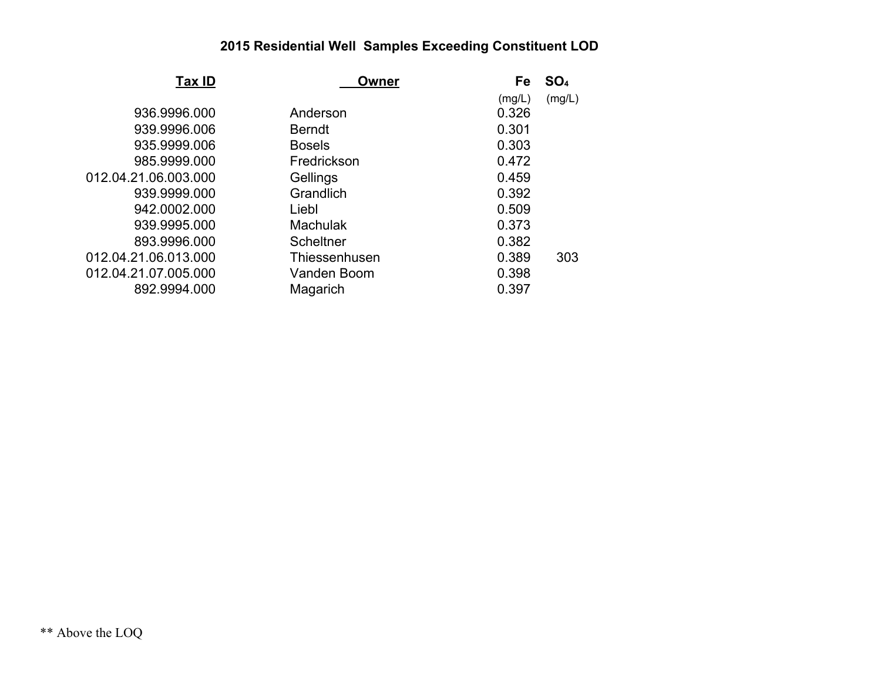| Tax ID               | Owner            |        | SO <sub>4</sub> |
|----------------------|------------------|--------|-----------------|
|                      |                  | (mg/L) | (mg/L)          |
| 936.9996.000         | Anderson         | 0.326  |                 |
| 939.9996.006         | <b>Berndt</b>    | 0.301  |                 |
| 935.9999.006         | <b>Bosels</b>    | 0.303  |                 |
| 985.9999.000         | Fredrickson      | 0.472  |                 |
| 012.04.21.06.003.000 | Gellings         | 0.459  |                 |
| 939.9999.000         | Grandlich        | 0.392  |                 |
| 942.0002.000         | Liebl            | 0.509  |                 |
| 939.9995.000         | <b>Machulak</b>  | 0.373  |                 |
| 893.9996.000         | <b>Scheltner</b> | 0.382  |                 |
| 012.04.21.06.013.000 | Thiessenhusen    | 0.389  | 303             |
| 012.04.21.07.005.000 | Vanden Boom      | 0.398  |                 |
| 892.9994.000         | Magarich         | 0.397  |                 |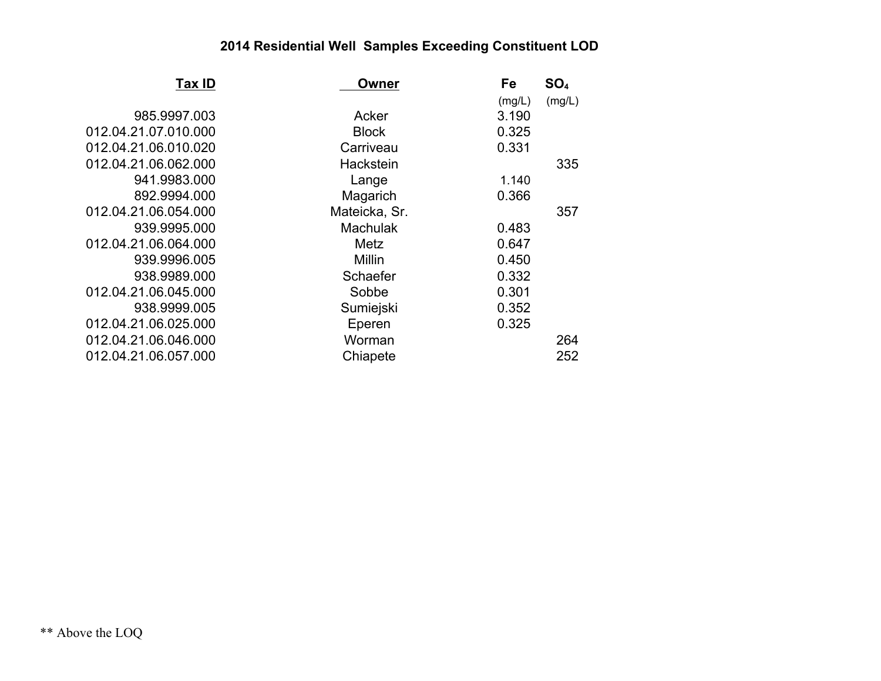| Tax ID               | Owner           | Fe     | SO <sub>4</sub> |
|----------------------|-----------------|--------|-----------------|
|                      |                 | (mg/L) | (mg/L)          |
| 985.9997.003         | Acker           | 3.190  |                 |
| 012.04.21.07.010.000 | <b>Block</b>    | 0.325  |                 |
| 012.04.21.06.010.020 | Carriveau       | 0.331  |                 |
| 012.04.21.06.062.000 | Hackstein       |        | 335             |
| 941.9983.000         | Lange           | 1.140  |                 |
| 892.9994.000         | Magarich        | 0.366  |                 |
| 012.04.21.06.054.000 | Mateicka, Sr.   |        | 357             |
| 939.9995.000         | <b>Machulak</b> | 0.483  |                 |
| 012.04.21.06.064.000 | Metz            | 0.647  |                 |
| 939.9996.005         | <b>Millin</b>   | 0.450  |                 |
| 938.9989.000         | Schaefer        | 0.332  |                 |
| 012.04.21.06.045.000 | Sobbe           | 0.301  |                 |
| 938.9999.005         | Sumiejski       | 0.352  |                 |
| 012.04.21.06.025.000 | Eperen          | 0.325  |                 |
| 012.04.21.06.046.000 | Worman          |        | 264             |
| 012.04.21.06.057.000 | Chiapete        |        | 252             |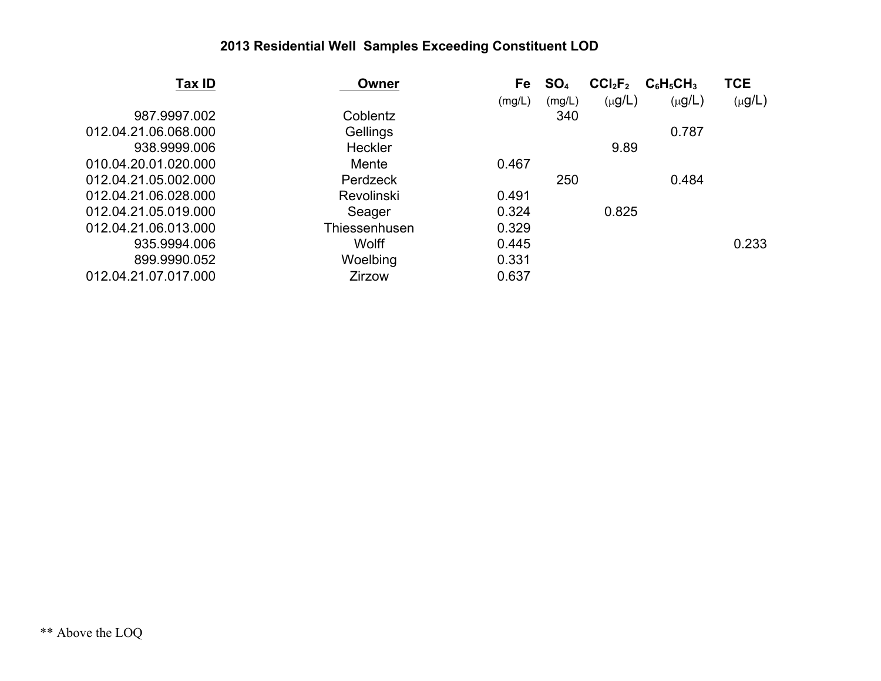| Tax ID               | Owner             | Fe     | SO <sub>4</sub> | CCI <sub>2</sub> F <sub>2</sub> | $C_6H_5CH_3$ | <b>TCE</b>  |
|----------------------|-------------------|--------|-----------------|---------------------------------|--------------|-------------|
|                      |                   | (mg/L) | (mg/L)          | $(\mu g/L)$                     | $(\mu g/L)$  | $(\mu g/L)$ |
| 987.9997.002         | Coblentz          |        | 340             |                                 |              |             |
| 012.04.21.06.068.000 | Gellings          |        |                 |                                 | 0.787        |             |
| 938.9999.006         | Heckler           |        |                 | 9.89                            |              |             |
| 010.04.20.01.020.000 | Mente             | 0.467  |                 |                                 |              |             |
| 012.04.21.05.002.000 | Perdzeck          |        | 250             |                                 | 0.484        |             |
| 012.04.21.06.028.000 | <b>Revolinski</b> | 0.491  |                 |                                 |              |             |
| 012.04.21.05.019.000 | Seager            | 0.324  |                 | 0.825                           |              |             |
| 012.04.21.06.013.000 | Thiessenhusen     | 0.329  |                 |                                 |              |             |
| 935.9994.006         | Wolff             | 0.445  |                 |                                 |              | 0.233       |
| 899.9990.052         | Woelbing          | 0.331  |                 |                                 |              |             |
| 012.04.21.07.017.000 | <b>Zirzow</b>     | 0.637  |                 |                                 |              |             |
|                      |                   |        |                 |                                 |              |             |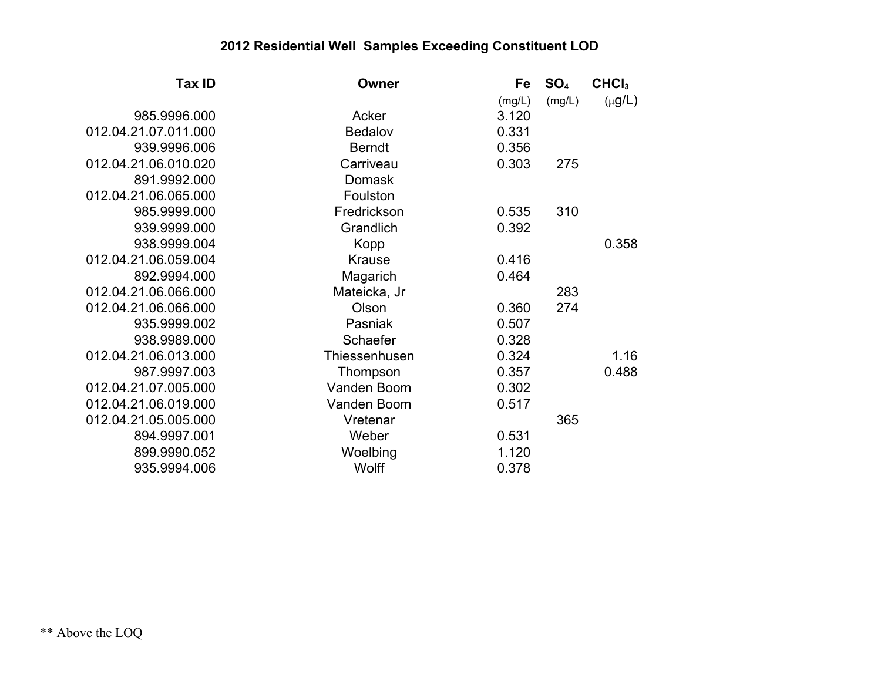| <u>Tax ID</u>        | Owner          | Fe     | SO <sub>4</sub> | CHCI <sub>3</sub> |
|----------------------|----------------|--------|-----------------|-------------------|
|                      |                | (mg/L) | (mg/L)          | $(\mu g/L)$       |
| 985.9996.000         | Acker          | 3.120  |                 |                   |
| 012.04.21.07.011.000 | <b>Bedalov</b> | 0.331  |                 |                   |
| 939.9996.006         | <b>Berndt</b>  | 0.356  |                 |                   |
| 012.04.21.06.010.020 | Carriveau      | 0.303  | 275             |                   |
| 891.9992.000         | <b>Domask</b>  |        |                 |                   |
| 012.04.21.06.065.000 | Foulston       |        |                 |                   |
| 985.9999.000         | Fredrickson    | 0.535  | 310             |                   |
| 939.9999.000         | Grandlich      | 0.392  |                 |                   |
| 938.9999.004         | Kopp           |        |                 | 0.358             |
| 012.04.21.06.059.004 | <b>Krause</b>  | 0.416  |                 |                   |
| 892.9994.000         | Magarich       | 0.464  |                 |                   |
| 012.04.21.06.066.000 | Mateicka, Jr   |        | 283             |                   |
| 012.04.21.06.066.000 | Olson          | 0.360  | 274             |                   |
| 935.9999.002         | Pasniak        | 0.507  |                 |                   |
| 938.9989.000         | Schaefer       | 0.328  |                 |                   |
| 012.04.21.06.013.000 | Thiessenhusen  | 0.324  |                 | 1.16              |
| 987.9997.003         | Thompson       | 0.357  |                 | 0.488             |
| 012.04.21.07.005.000 | Vanden Boom    | 0.302  |                 |                   |
| 012.04.21.06.019.000 | Vanden Boom    | 0.517  |                 |                   |
| 012.04.21.05.005.000 | Vretenar       |        | 365             |                   |
| 894.9997.001         | Weber          | 0.531  |                 |                   |
| 899.9990.052         | Woelbing       | 1.120  |                 |                   |
| 935.9994.006         | Wolff          | 0.378  |                 |                   |
|                      |                |        |                 |                   |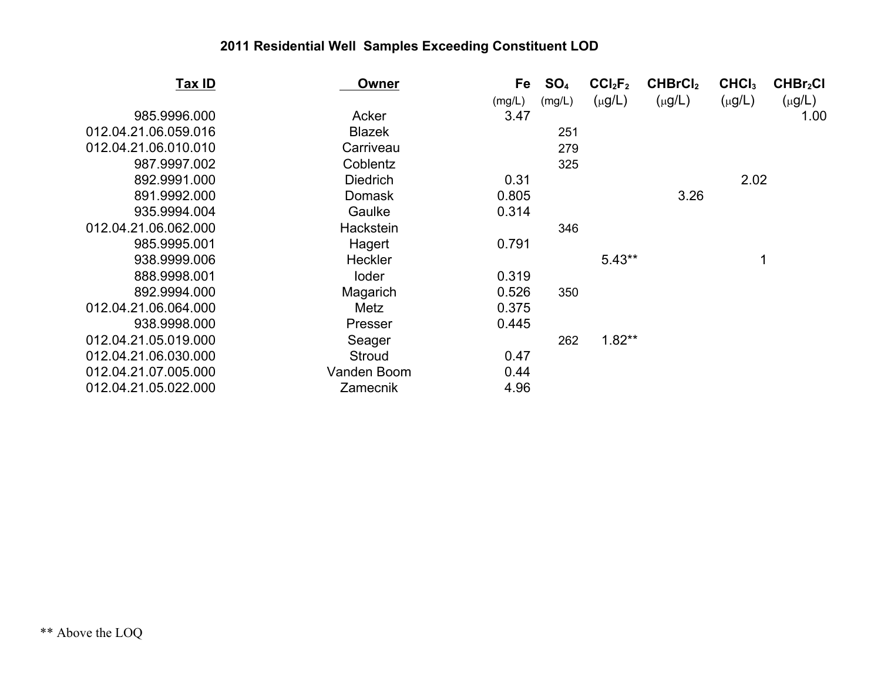| <u>Tax ID</u>        | <b>Owner</b>    | Fe     | SO <sub>4</sub> | CCI <sub>2</sub> F <sub>2</sub> | CHBrCl <sub>2</sub> | CHCI <sub>3</sub> | CHBr <sub>2</sub> Cl |
|----------------------|-----------------|--------|-----------------|---------------------------------|---------------------|-------------------|----------------------|
|                      |                 | (mg/L) | (mg/L)          | $(\mu g/L)$                     | $(\mu g/L)$         | $(\mu g/L)$       | $(\mu g/L)$          |
| 985.9996.000         | Acker           | 3.47   |                 |                                 |                     |                   | 1.00                 |
| 012.04.21.06.059.016 | <b>Blazek</b>   |        | 251             |                                 |                     |                   |                      |
| 012.04.21.06.010.010 | Carriveau       |        | 279             |                                 |                     |                   |                      |
| 987.9997.002         | Coblentz        |        | 325             |                                 |                     |                   |                      |
| 892.9991.000         | <b>Diedrich</b> | 0.31   |                 |                                 |                     | 2.02              |                      |
| 891.9992.000         | <b>Domask</b>   | 0.805  |                 |                                 | 3.26                |                   |                      |
| 935.9994.004         | Gaulke          | 0.314  |                 |                                 |                     |                   |                      |
| 012.04.21.06.062.000 | Hackstein       |        | 346             |                                 |                     |                   |                      |
| 985.9995.001         | Hagert          | 0.791  |                 |                                 |                     |                   |                      |
| 938.9999.006         | <b>Heckler</b>  |        |                 | $5.43**$                        |                     | 1                 |                      |
| 888.9998.001         | loder           | 0.319  |                 |                                 |                     |                   |                      |
| 892.9994.000         | Magarich        | 0.526  | 350             |                                 |                     |                   |                      |
| 012.04.21.06.064.000 | Metz            | 0.375  |                 |                                 |                     |                   |                      |
| 938.9998.000         | Presser         | 0.445  |                 |                                 |                     |                   |                      |
| 012.04.21.05.019.000 | Seager          |        | 262             | $1.82**$                        |                     |                   |                      |
| 012.04.21.06.030.000 | <b>Stroud</b>   | 0.47   |                 |                                 |                     |                   |                      |
| 012.04.21.07.005.000 | Vanden Boom     | 0.44   |                 |                                 |                     |                   |                      |
| 012.04.21.05.022.000 | Zamecnik        | 4.96   |                 |                                 |                     |                   |                      |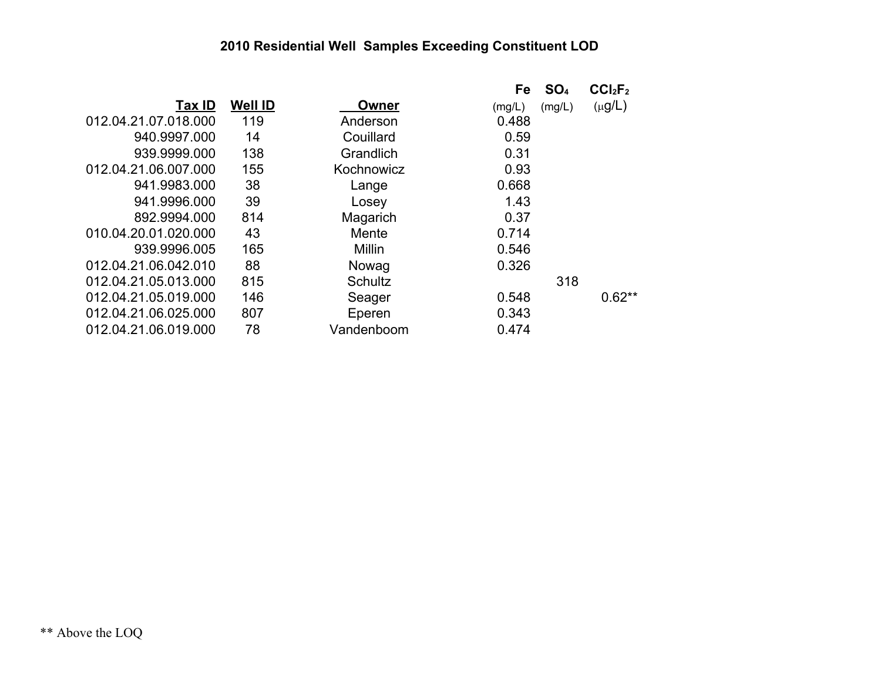|                      |                |            | Fe     | SO <sub>4</sub> | CCI <sub>2</sub> F <sub>2</sub> |
|----------------------|----------------|------------|--------|-----------------|---------------------------------|
| Tax ID               | <b>Well ID</b> | Owner      | (mg/L) | (mg/L)          | $(\mu g/L)$                     |
| 012.04.21.07.018.000 | 119            | Anderson   | 0.488  |                 |                                 |
| 940.9997.000         | 14             | Couillard  | 0.59   |                 |                                 |
| 939.9999.000         | 138            | Grandlich  | 0.31   |                 |                                 |
| 012.04.21.06.007.000 | 155            | Kochnowicz | 0.93   |                 |                                 |
| 941.9983.000         | 38             | Lange      | 0.668  |                 |                                 |
| 941.9996.000         | 39             | Losey      | 1.43   |                 |                                 |
| 892.9994.000         | 814            | Magarich   | 0.37   |                 |                                 |
| 010.04.20.01.020.000 | 43             | Mente      | 0.714  |                 |                                 |
| 939.9996.005         | 165            | Millin     | 0.546  |                 |                                 |
| 012.04.21.06.042.010 | 88             | Nowag      | 0.326  |                 |                                 |
| 012.04.21.05.013.000 | 815            | Schultz    |        | 318             |                                 |
| 012.04.21.05.019.000 | 146            | Seager     | 0.548  |                 | $0.62**$                        |
| 012.04.21.06.025.000 | 807            | Eperen     | 0.343  |                 |                                 |
| 012.04.21.06.019.000 | 78             | Vandenboom | 0.474  |                 |                                 |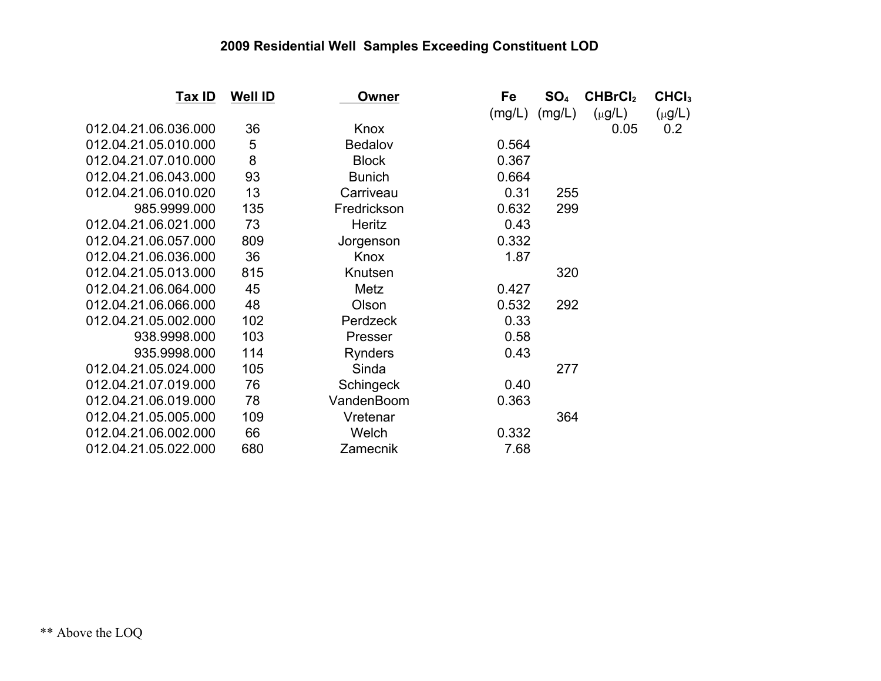| <u>Tax ID</u>        | Well <b>ID</b> | Owner          | Fe     | SO <sub>4</sub> | CHBrCl <sub>2</sub> | CHCI <sub>3</sub> |
|----------------------|----------------|----------------|--------|-----------------|---------------------|-------------------|
|                      |                |                | (mg/L) | (mg/L)          | $(\mu g/L)$         | $(\mu g/L)$       |
| 012.04.21.06.036.000 | 36             | Knox           |        |                 | 0.05                | 0.2               |
| 012.04.21.05.010.000 | 5              | Bedalov        | 0.564  |                 |                     |                   |
| 012.04.21.07.010.000 | 8              | <b>Block</b>   | 0.367  |                 |                     |                   |
| 012.04.21.06.043.000 | 93             | <b>Bunich</b>  | 0.664  |                 |                     |                   |
| 012.04.21.06.010.020 | 13             | Carriveau      | 0.31   | 255             |                     |                   |
| 985.9999.000         | 135            | Fredrickson    | 0.632  | 299             |                     |                   |
| 012.04.21.06.021.000 | 73             | Heritz         | 0.43   |                 |                     |                   |
| 012.04.21.06.057.000 | 809            | Jorgenson      | 0.332  |                 |                     |                   |
| 012.04.21.06.036.000 | 36             | Knox           | 1.87   |                 |                     |                   |
| 012.04.21.05.013.000 | 815            | Knutsen        |        | 320             |                     |                   |
| 012.04.21.06.064.000 | 45             | Metz           | 0.427  |                 |                     |                   |
| 012.04.21.06.066.000 | 48             | Olson          | 0.532  | 292             |                     |                   |
| 012.04.21.05.002.000 | 102            | Perdzeck       | 0.33   |                 |                     |                   |
| 938.9998.000         | 103            | Presser        | 0.58   |                 |                     |                   |
| 935.9998.000         | 114            | <b>Rynders</b> | 0.43   |                 |                     |                   |
| 012.04.21.05.024.000 | 105            | Sinda          |        | 277             |                     |                   |
| 012.04.21.07.019.000 | 76             | Schingeck      | 0.40   |                 |                     |                   |
| 012.04.21.06.019.000 | 78             | VandenBoom     | 0.363  |                 |                     |                   |
| 012.04.21.05.005.000 | 109            | Vretenar       |        | 364             |                     |                   |
| 012.04.21.06.002.000 | 66             | Welch          | 0.332  |                 |                     |                   |
| 012.04.21.05.022.000 | 680            | Zamecnik       | 7.68   |                 |                     |                   |
|                      |                |                |        |                 |                     |                   |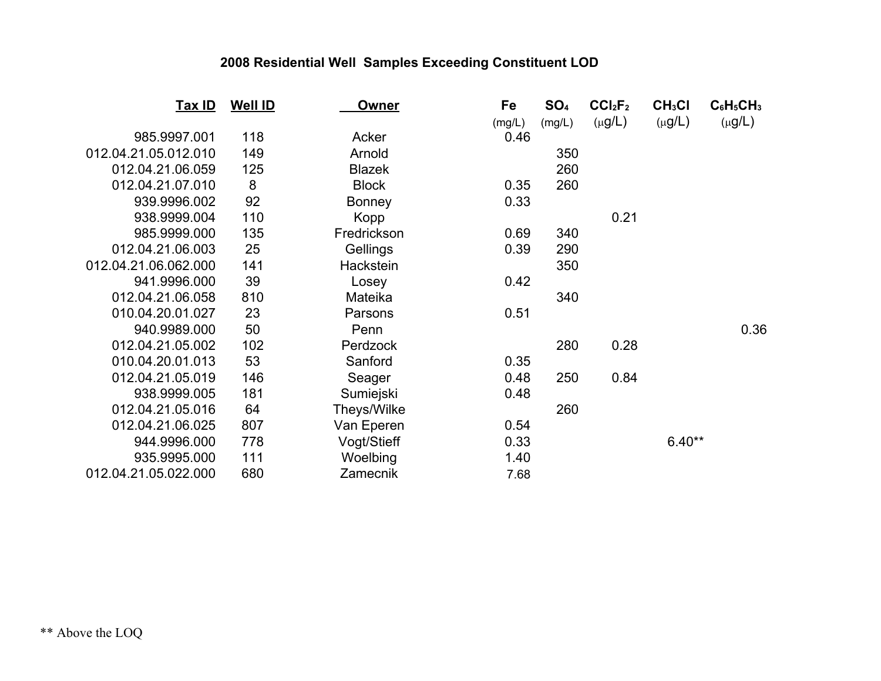| <u>Tax ID</u>        | <b>Well ID</b> | <b>Owner</b>  | Fe     | SO <sub>4</sub> | CCI <sub>2</sub> F <sub>2</sub> | CH <sub>3</sub> Cl | $C_6H_5CH_3$ |
|----------------------|----------------|---------------|--------|-----------------|---------------------------------|--------------------|--------------|
|                      |                |               | (mg/L) | (mg/L)          | $(\mu g/L)$                     | $(\mu g/L)$        | $(\mu g/L)$  |
| 985.9997.001         | 118            | Acker         | 0.46   |                 |                                 |                    |              |
| 012.04.21.05.012.010 | 149            | Arnold        |        | 350             |                                 |                    |              |
| 012.04.21.06.059     | 125            | <b>Blazek</b> |        | 260             |                                 |                    |              |
| 012.04.21.07.010     | 8              | <b>Block</b>  | 0.35   | 260             |                                 |                    |              |
| 939.9996.002         | 92             | <b>Bonney</b> | 0.33   |                 |                                 |                    |              |
| 938.9999.004         | 110            | Kopp          |        |                 | 0.21                            |                    |              |
| 985.9999.000         | 135            | Fredrickson   | 0.69   | 340             |                                 |                    |              |
| 012.04.21.06.003     | 25             | Gellings      | 0.39   | 290             |                                 |                    |              |
| 012.04.21.06.062.000 | 141            | Hackstein     |        | 350             |                                 |                    |              |
| 941.9996.000         | 39             | Losey         | 0.42   |                 |                                 |                    |              |
| 012.04.21.06.058     | 810            | Mateika       |        | 340             |                                 |                    |              |
| 010.04.20.01.027     | 23             | Parsons       | 0.51   |                 |                                 |                    |              |
| 940.9989.000         | 50             | Penn          |        |                 |                                 |                    | 0.36         |
| 012.04.21.05.002     | 102            | Perdzock      |        | 280             | 0.28                            |                    |              |
| 010.04.20.01.013     | 53             | Sanford       | 0.35   |                 |                                 |                    |              |
| 012.04.21.05.019     | 146            | Seager        | 0.48   | 250             | 0.84                            |                    |              |
| 938.9999.005         | 181            | Sumiejski     | 0.48   |                 |                                 |                    |              |
| 012.04.21.05.016     | 64             | Theys/Wilke   |        | 260             |                                 |                    |              |
| 012.04.21.06.025     | 807            | Van Eperen    | 0.54   |                 |                                 |                    |              |
| 944.9996.000         | 778            | Vogt/Stieff   | 0.33   |                 |                                 | $6.40**$           |              |
| 935.9995.000         | 111            | Woelbing      | 1.40   |                 |                                 |                    |              |
| 012.04.21.05.022.000 | 680            | Zamecnik      | 7.68   |                 |                                 |                    |              |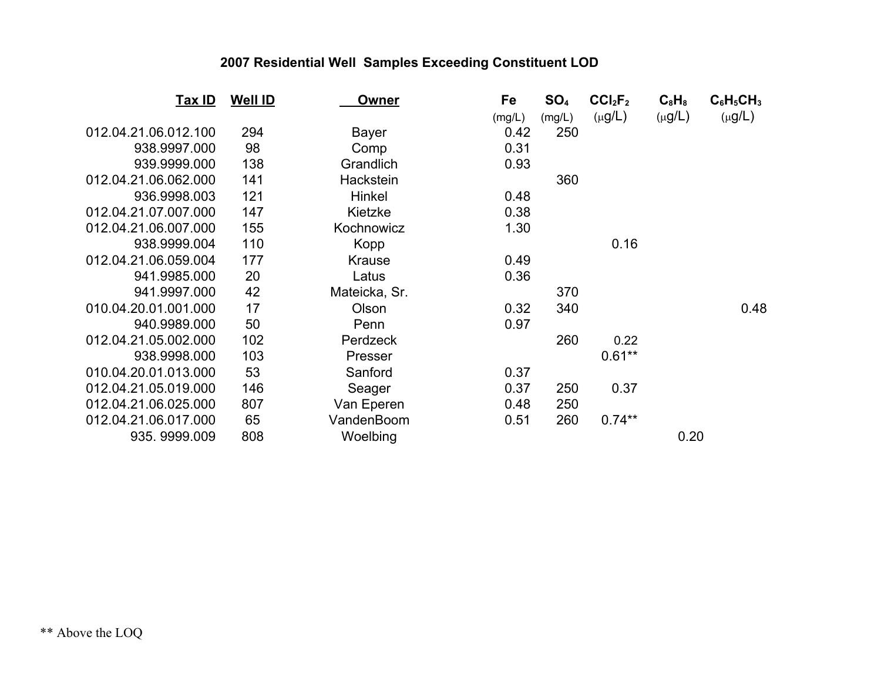| Tax ID               | <b>Well ID</b> | Owner         | Fe     | SO <sub>4</sub> | CCI <sub>2</sub> F <sub>2</sub> | $C_8H_8$    | $C_6H_5CH_3$ |
|----------------------|----------------|---------------|--------|-----------------|---------------------------------|-------------|--------------|
|                      |                |               | (mg/L) | (mg/L)          | $(\mu g/L)$                     | $(\mu g/L)$ | $(\mu g/L)$  |
| 012.04.21.06.012.100 | 294            | <b>Bayer</b>  | 0.42   | 250             |                                 |             |              |
| 938.9997.000         | 98             | Comp          | 0.31   |                 |                                 |             |              |
| 939.9999.000         | 138            | Grandlich     | 0.93   |                 |                                 |             |              |
| 012.04.21.06.062.000 | 141            | Hackstein     |        | 360             |                                 |             |              |
| 936.9998.003         | 121            | Hinkel        | 0.48   |                 |                                 |             |              |
| 012.04.21.07.007.000 | 147            | Kietzke       | 0.38   |                 |                                 |             |              |
| 012.04.21.06.007.000 | 155            | Kochnowicz    | 1.30   |                 |                                 |             |              |
| 938.9999.004         | 110            | Kopp          |        |                 | 0.16                            |             |              |
| 012.04.21.06.059.004 | 177            | Krause        | 0.49   |                 |                                 |             |              |
| 941.9985.000         | 20             | Latus         | 0.36   |                 |                                 |             |              |
| 941.9997.000         | 42             | Mateicka, Sr. |        | 370             |                                 |             |              |
| 010.04.20.01.001.000 | 17             | Olson         | 0.32   | 340             |                                 |             | 0.48         |
| 940.9989.000         | 50             | Penn          | 0.97   |                 |                                 |             |              |
| 012.04.21.05.002.000 | 102            | Perdzeck      |        | 260             | 0.22                            |             |              |
| 938.9998.000         | 103            | Presser       |        |                 | $0.61**$                        |             |              |
| 010.04.20.01.013.000 | 53             | Sanford       | 0.37   |                 |                                 |             |              |
| 012.04.21.05.019.000 | 146            | Seager        | 0.37   | 250             | 0.37                            |             |              |
| 012.04.21.06.025.000 | 807            | Van Eperen    | 0.48   | 250             |                                 |             |              |
| 012.04.21.06.017.000 | 65             | VandenBoom    | 0.51   | 260             | $0.74**$                        |             |              |
| 935.9999.009         | 808            | Woelbing      |        |                 |                                 | 0.20        |              |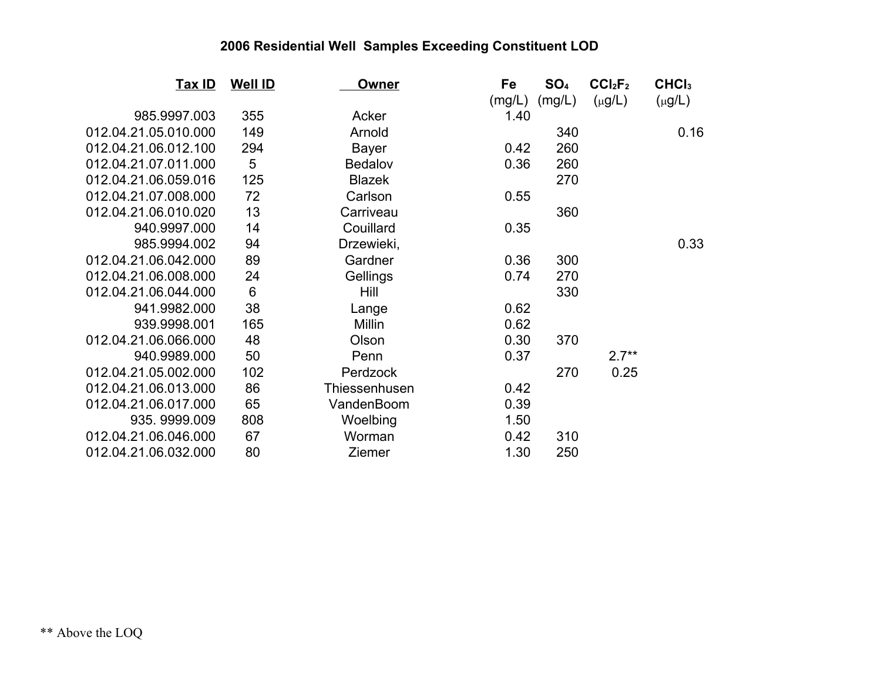| <u>Tax ID</u>        | <b>Well ID</b> | <b>Owner</b>   | Fe     | SO <sub>4</sub> | CCI <sub>2</sub> F <sub>2</sub> | CHCI <sub>3</sub> |
|----------------------|----------------|----------------|--------|-----------------|---------------------------------|-------------------|
|                      |                |                | (mg/L) | (mg/L)          | $(\mu g/L)$                     | $(\mu g/L)$       |
| 985.9997.003         | 355            | Acker          | 1.40   |                 |                                 |                   |
| 012.04.21.05.010.000 | 149            | Arnold         |        | 340             |                                 | 0.16              |
| 012.04.21.06.012.100 | 294            | <b>Bayer</b>   | 0.42   | 260             |                                 |                   |
| 012.04.21.07.011.000 | 5              | <b>Bedalov</b> | 0.36   | 260             |                                 |                   |
| 012.04.21.06.059.016 | 125            | <b>Blazek</b>  |        | 270             |                                 |                   |
| 012.04.21.07.008.000 | 72             | Carlson        | 0.55   |                 |                                 |                   |
| 012.04.21.06.010.020 | 13             | Carriveau      |        | 360             |                                 |                   |
| 940.9997.000         | 14             | Couillard      | 0.35   |                 |                                 |                   |
| 985.9994.002         | 94             | Drzewieki,     |        |                 |                                 | 0.33              |
| 012.04.21.06.042.000 | 89             | Gardner        | 0.36   | 300             |                                 |                   |
| 012.04.21.06.008.000 | 24             | Gellings       | 0.74   | 270             |                                 |                   |
| 012.04.21.06.044.000 | 6              | Hill           |        | 330             |                                 |                   |
| 941.9982.000         | 38             | Lange          | 0.62   |                 |                                 |                   |
| 939.9998.001         | 165            | Millin         | 0.62   |                 |                                 |                   |
| 012.04.21.06.066.000 | 48             | Olson          | 0.30   | 370             |                                 |                   |
| 940.9989.000         | 50             | Penn           | 0.37   |                 | $2.7**$                         |                   |
| 012.04.21.05.002.000 | 102            | Perdzock       |        | 270             | 0.25                            |                   |
| 012.04.21.06.013.000 | 86             | Thiessenhusen  | 0.42   |                 |                                 |                   |
| 012.04.21.06.017.000 | 65             | VandenBoom     | 0.39   |                 |                                 |                   |
| 935.9999.009         | 808            | Woelbing       | 1.50   |                 |                                 |                   |
| 012.04.21.06.046.000 | 67             | Worman         | 0.42   | 310             |                                 |                   |
| 012.04.21.06.032.000 | 80             | Ziemer         | 1.30   | 250             |                                 |                   |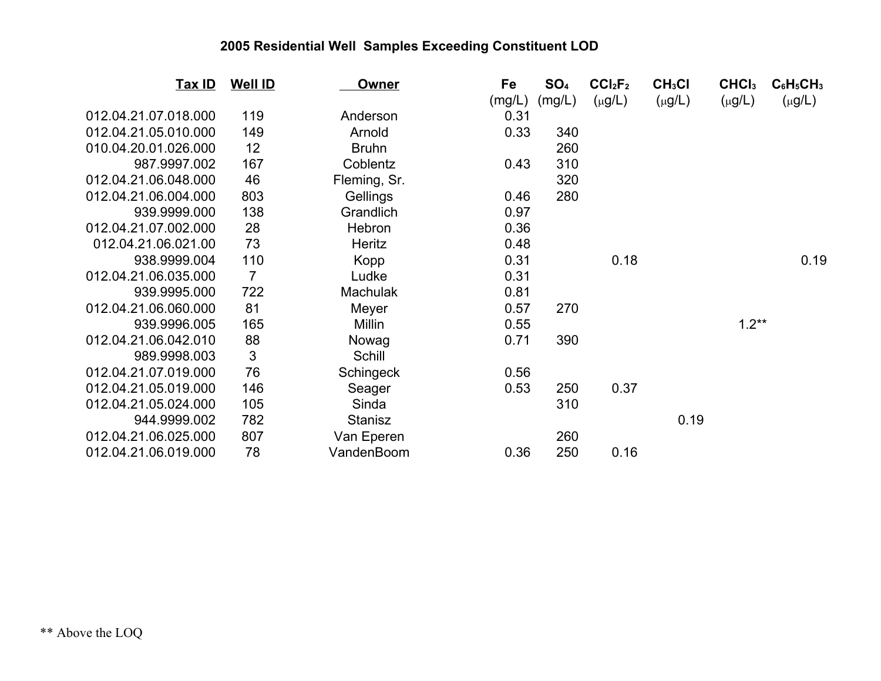| Tax ID               | <b>Well ID</b> | Owner           | Fe     | SO <sub>4</sub> | CCI <sub>2</sub> F <sub>2</sub> | CH <sub>3</sub> Cl | CHCI <sub>3</sub> | $C_6H_5CH_3$ |
|----------------------|----------------|-----------------|--------|-----------------|---------------------------------|--------------------|-------------------|--------------|
|                      |                |                 | (mg/L) | (mg/L)          | $(\mu g/L)$                     | $(\mu g/L)$        | $(\mu g/L)$       | $(\mu g/L)$  |
| 012.04.21.07.018.000 | 119            | Anderson        | 0.31   |                 |                                 |                    |                   |              |
| 012.04.21.05.010.000 | 149            | Arnold          | 0.33   | 340             |                                 |                    |                   |              |
| 010.04.20.01.026.000 | 12             | <b>Bruhn</b>    |        | 260             |                                 |                    |                   |              |
| 987.9997.002         | 167            | Coblentz        | 0.43   | 310             |                                 |                    |                   |              |
| 012.04.21.06.048.000 | 46             | Fleming, Sr.    |        | 320             |                                 |                    |                   |              |
| 012.04.21.06.004.000 | 803            | Gellings        | 0.46   | 280             |                                 |                    |                   |              |
| 939.9999.000         | 138            | Grandlich       | 0.97   |                 |                                 |                    |                   |              |
| 012.04.21.07.002.000 | 28             | Hebron          | 0.36   |                 |                                 |                    |                   |              |
| 012.04.21.06.021.00  | 73             | Heritz          | 0.48   |                 |                                 |                    |                   |              |
| 938.9999.004         | 110            | Kopp            | 0.31   |                 | 0.18                            |                    |                   | 0.19         |
| 012.04.21.06.035.000 | $\overline{7}$ | Ludke           | 0.31   |                 |                                 |                    |                   |              |
| 939.9995.000         | 722            | <b>Machulak</b> | 0.81   |                 |                                 |                    |                   |              |
| 012.04.21.06.060.000 | 81             | Meyer           | 0.57   | 270             |                                 |                    |                   |              |
| 939.9996.005         | 165            | Millin          | 0.55   |                 |                                 |                    | $1.2**$           |              |
| 012.04.21.06.042.010 | 88             | Nowag           | 0.71   | 390             |                                 |                    |                   |              |
| 989.9998.003         | 3              | Schill          |        |                 |                                 |                    |                   |              |
| 012.04.21.07.019.000 | 76             | Schingeck       | 0.56   |                 |                                 |                    |                   |              |
| 012.04.21.05.019.000 | 146            | Seager          | 0.53   | 250             | 0.37                            |                    |                   |              |
| 012.04.21.05.024.000 | 105            | Sinda           |        | 310             |                                 |                    |                   |              |
| 944.9999.002         | 782            | <b>Stanisz</b>  |        |                 |                                 | 0.19               |                   |              |
| 012.04.21.06.025.000 | 807            | Van Eperen      |        | 260             |                                 |                    |                   |              |
| 012.04.21.06.019.000 | 78             | VandenBoom      | 0.36   | 250             | 0.16                            |                    |                   |              |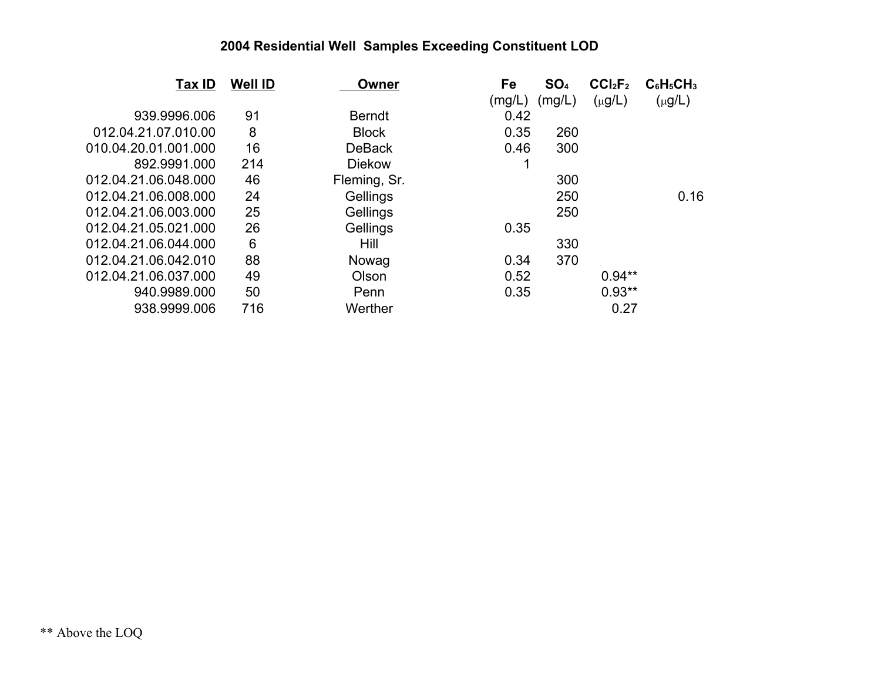| Tax ID               | <b>Well ID</b> | Owner         | Fe     | SO <sub>4</sub> | CCI <sub>2</sub> F <sub>2</sub> | $C_6H_5CH_3$ |
|----------------------|----------------|---------------|--------|-----------------|---------------------------------|--------------|
|                      |                |               | (mg/L) | (mg/L)          | $(\mu g/L)$                     | $(\mu g/L)$  |
| 939.9996.006         | 91             | <b>Berndt</b> | 0.42   |                 |                                 |              |
| 012.04.21.07.010.00  | 8              | <b>Block</b>  | 0.35   | 260             |                                 |              |
| 010.04.20.01.001.000 | 16             | <b>DeBack</b> | 0.46   | 300             |                                 |              |
| 892.9991.000         | 214            | <b>Diekow</b> |        |                 |                                 |              |
| 012.04.21.06.048.000 | 46             | Fleming, Sr.  |        | 300             |                                 |              |
| 012.04.21.06.008.000 | 24             | Gellings      |        | 250             |                                 | 0.16         |
| 012.04.21.06.003.000 | 25             | Gellings      |        | 250             |                                 |              |
| 012.04.21.05.021.000 | 26             | Gellings      | 0.35   |                 |                                 |              |
| 012.04.21.06.044.000 | 6              | Hill          |        | 330             |                                 |              |
| 012.04.21.06.042.010 | 88             | Nowag         | 0.34   | 370             |                                 |              |
| 012.04.21.06.037.000 | 49             | Olson         | 0.52   |                 | $0.94**$                        |              |
| 940.9989.000         | 50             | Penn          | 0.35   |                 | $0.93**$                        |              |
| 938.9999.006         | 716            | Werther       |        |                 | 0.27                            |              |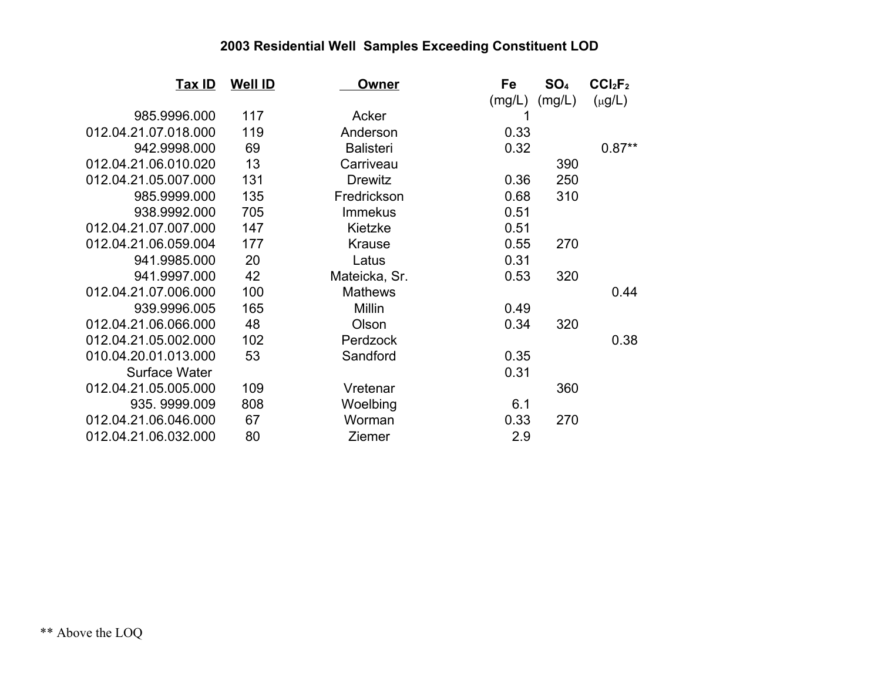| <u>Tax ID</u>        | <b>Well ID</b> | Owner            | Fe     | SO <sub>4</sub> | CCI <sub>2</sub> F <sub>2</sub> |
|----------------------|----------------|------------------|--------|-----------------|---------------------------------|
|                      |                |                  | (mg/L) | (mg/L)          | $(\mu g/L)$                     |
| 985.9996.000         | 117            | Acker            |        |                 |                                 |
| 012.04.21.07.018.000 | 119            | Anderson         | 0.33   |                 |                                 |
| 942.9998.000         | 69             | <b>Balisteri</b> | 0.32   |                 | $0.87**$                        |
| 012.04.21.06.010.020 | 13             | Carriveau        |        | 390             |                                 |
| 012.04.21.05.007.000 | 131            | <b>Drewitz</b>   | 0.36   | 250             |                                 |
| 985.9999.000         | 135            | Fredrickson      | 0.68   | 310             |                                 |
| 938.9992.000         | 705            | <b>Immekus</b>   | 0.51   |                 |                                 |
| 012.04.21.07.007.000 | 147            | Kietzke          | 0.51   |                 |                                 |
| 012.04.21.06.059.004 | 177            | <b>Krause</b>    | 0.55   | 270             |                                 |
| 941.9985.000         | 20             | Latus            | 0.31   |                 |                                 |
| 941.9997.000         | 42             | Mateicka, Sr.    | 0.53   | 320             |                                 |
| 012.04.21.07.006.000 | 100            | <b>Mathews</b>   |        |                 | 0.44                            |
| 939.9996.005         | 165            | Millin           | 0.49   |                 |                                 |
| 012.04.21.06.066.000 | 48             | Olson            | 0.34   | 320             |                                 |
| 012.04.21.05.002.000 | 102            | Perdzock         |        |                 | 0.38                            |
| 010.04.20.01.013.000 | 53             | Sandford         | 0.35   |                 |                                 |
| <b>Surface Water</b> |                |                  | 0.31   |                 |                                 |
| 012.04.21.05.005.000 | 109            | Vretenar         |        | 360             |                                 |
| 935.9999.009         | 808            | Woelbing         | 6.1    |                 |                                 |
| 012.04.21.06.046.000 | 67             | Worman           | 0.33   | 270             |                                 |
| 012.04.21.06.032.000 | 80             | <b>Ziemer</b>    | 2.9    |                 |                                 |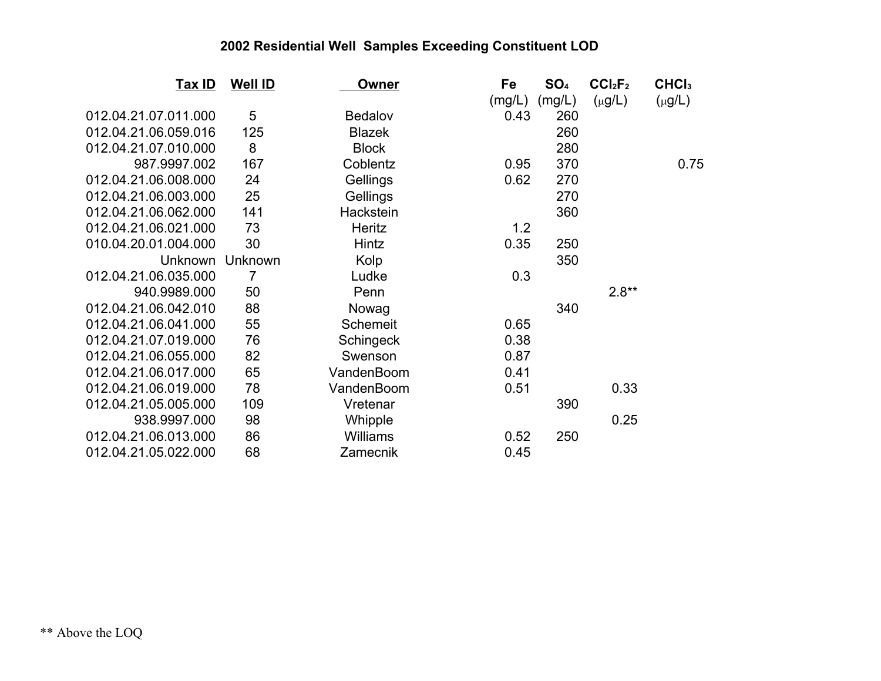| <b>Tax ID</b>        | <b>Well ID</b> | <b>Owner</b>    | Fe     | SO <sub>4</sub> | CCI <sub>2</sub> F <sub>2</sub> | CHCI <sub>3</sub> |
|----------------------|----------------|-----------------|--------|-----------------|---------------------------------|-------------------|
|                      |                |                 | (mg/L) | (mg/L)          | $(\mu g/L)$                     | $(\mu g/L)$       |
| 012.04.21.07.011.000 | 5              | Bedalov         | 0.43   | 260             |                                 |                   |
| 012.04.21.06.059.016 | 125            | <b>Blazek</b>   |        | 260             |                                 |                   |
| 012.04.21.07.010.000 | 8              | <b>Block</b>    |        | 280             |                                 |                   |
| 987.9997.002         | 167            | Coblentz        | 0.95   | 370             |                                 | 0.75              |
| 012.04.21.06.008.000 | 24             | Gellings        | 0.62   | 270             |                                 |                   |
| 012.04.21.06.003.000 | 25             | Gellings        |        | 270             |                                 |                   |
| 012.04.21.06.062.000 | 141            | Hackstein       |        | 360             |                                 |                   |
| 012.04.21.06.021.000 | 73             | Heritz          | 1.2    |                 |                                 |                   |
| 010.04.20.01.004.000 | 30             | Hintz           | 0.35   | 250             |                                 |                   |
| Unknown              | Unknown        | Kolp            |        | 350             |                                 |                   |
| 012.04.21.06.035.000 | 7              | Ludke           | 0.3    |                 |                                 |                   |
| 940.9989.000         | 50             | Penn            |        |                 | $2.8**$                         |                   |
| 012.04.21.06.042.010 | 88             | Nowag           |        | 340             |                                 |                   |
| 012.04.21.06.041.000 | 55             | Schemeit        | 0.65   |                 |                                 |                   |
| 012.04.21.07.019.000 | 76             | Schingeck       | 0.38   |                 |                                 |                   |
| 012.04.21.06.055.000 | 82             | Swenson         | 0.87   |                 |                                 |                   |
| 012.04.21.06.017.000 | 65             | VandenBoom      | 0.41   |                 |                                 |                   |
| 012.04.21.06.019.000 | 78             | VandenBoom      | 0.51   |                 | 0.33                            |                   |
| 012.04.21.05.005.000 | 109            | Vretenar        |        | 390             |                                 |                   |
| 938.9997.000         | 98             | Whipple         |        |                 | 0.25                            |                   |
| 012.04.21.06.013.000 | 86             | <b>Williams</b> | 0.52   | 250             |                                 |                   |
| 012.04.21.05.022.000 | 68             | Zamecnik        | 0.45   |                 |                                 |                   |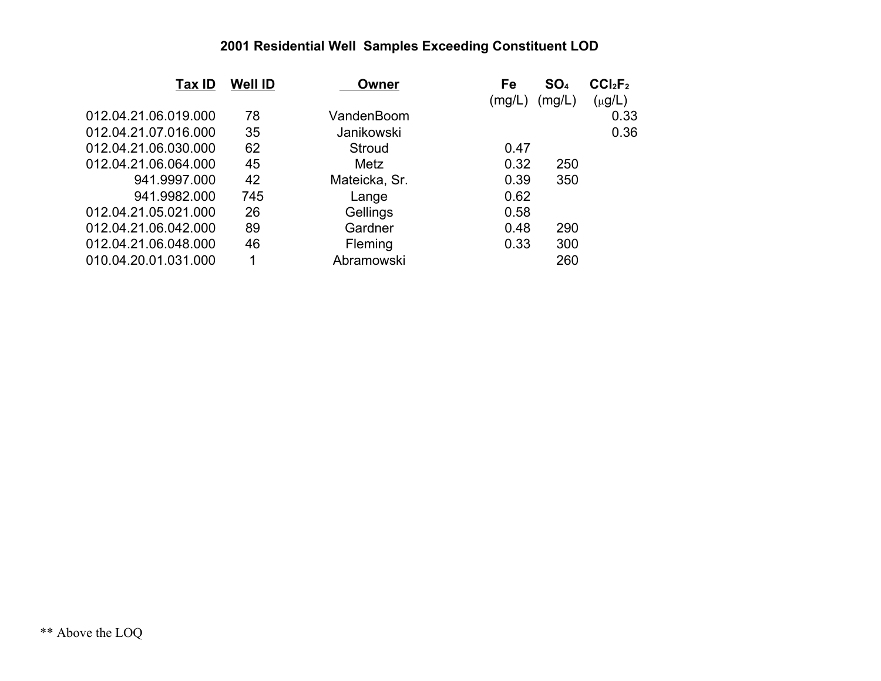| <b>Tax ID</b>        | <b>Well ID</b> | Owner          | Fe     | SO <sub>4</sub> | CCI <sub>2</sub> F <sub>2</sub> |
|----------------------|----------------|----------------|--------|-----------------|---------------------------------|
|                      |                |                | (mg/L) | (mg/L)          | $(\mu g/L)$                     |
| 012.04.21.06.019.000 | 78             | VandenBoom     |        |                 | 0.33                            |
| 012.04.21.07.016.000 | 35             | Janikowski     |        |                 | 0.36                            |
| 012.04.21.06.030.000 | 62             | Stroud         | 0.47   |                 |                                 |
| 012.04.21.06.064.000 | 45             | Metz           | 0.32   | 250             |                                 |
| 941.9997.000         | 42             | Mateicka, Sr.  | 0.39   | 350             |                                 |
| 941.9982.000         | 745            | Lange          | 0.62   |                 |                                 |
| 012.04.21.05.021.000 | 26             | Gellings       | 0.58   |                 |                                 |
| 012.04.21.06.042.000 | 89             | Gardner        | 0.48   | 290             |                                 |
| 012.04.21.06.048.000 | 46             | <b>Fleming</b> | 0.33   | 300             |                                 |
| 010.04.20.01.031.000 | 1              | Abramowski     |        | 260             |                                 |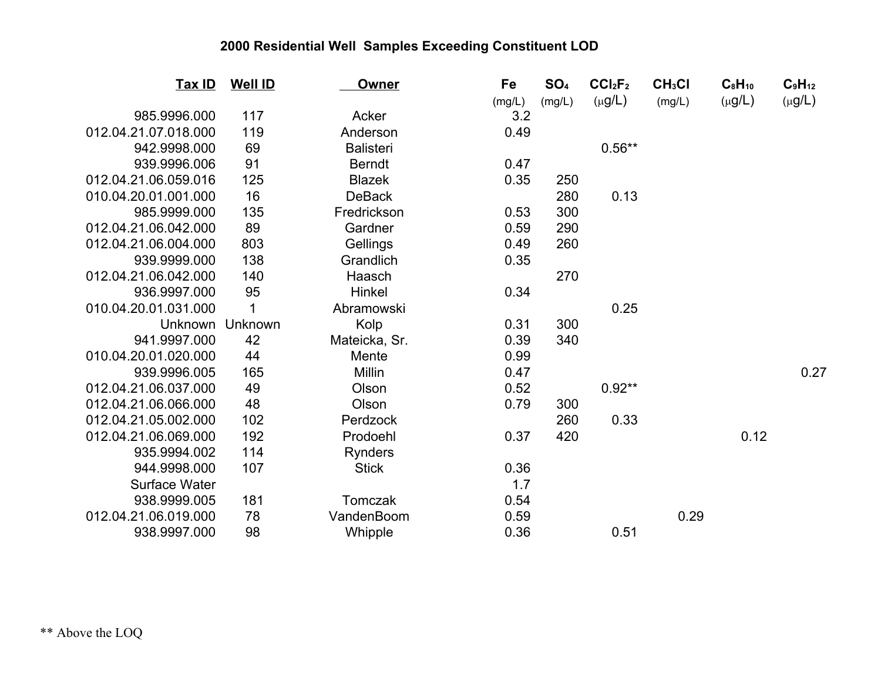| <u>Tax ID</u>        | <b>Well ID</b> | <b>Owner</b>     | Fe     | SO <sub>4</sub> | CCI <sub>2</sub> F <sub>2</sub> | CH <sub>3</sub> Cl | $C_8H_{10}$ | $C_9H_{12}$ |
|----------------------|----------------|------------------|--------|-----------------|---------------------------------|--------------------|-------------|-------------|
|                      |                |                  | (mg/L) | (mg/L)          | $(\mu g/L)$                     | (mg/L)             | $(\mu g/L)$ | $(\mu g/L)$ |
| 985.9996.000         | 117            | Acker            | 3.2    |                 |                                 |                    |             |             |
| 012.04.21.07.018.000 | 119            | Anderson         | 0.49   |                 |                                 |                    |             |             |
| 942.9998.000         | 69             | <b>Balisteri</b> |        |                 | $0.56**$                        |                    |             |             |
| 939.9996.006         | 91             | <b>Berndt</b>    | 0.47   |                 |                                 |                    |             |             |
| 012.04.21.06.059.016 | 125            | <b>Blazek</b>    | 0.35   | 250             |                                 |                    |             |             |
| 010.04.20.01.001.000 | 16             | <b>DeBack</b>    |        | 280             | 0.13                            |                    |             |             |
| 985.9999.000         | 135            | Fredrickson      | 0.53   | 300             |                                 |                    |             |             |
| 012.04.21.06.042.000 | 89             | Gardner          | 0.59   | 290             |                                 |                    |             |             |
| 012.04.21.06.004.000 | 803            | Gellings         | 0.49   | 260             |                                 |                    |             |             |
| 939.9999.000         | 138            | Grandlich        | 0.35   |                 |                                 |                    |             |             |
| 012.04.21.06.042.000 | 140            | Haasch           |        | 270             |                                 |                    |             |             |
| 936.9997.000         | 95             | Hinkel           | 0.34   |                 |                                 |                    |             |             |
| 010.04.20.01.031.000 | 1              | Abramowski       |        |                 | 0.25                            |                    |             |             |
| <b>Unknown</b>       | Unknown        | Kolp             | 0.31   | 300             |                                 |                    |             |             |
| 941.9997.000         | 42             | Mateicka, Sr.    | 0.39   | 340             |                                 |                    |             |             |
| 010.04.20.01.020.000 | 44             | Mente            | 0.99   |                 |                                 |                    |             |             |
| 939.9996.005         | 165            | <b>Millin</b>    | 0.47   |                 |                                 |                    |             | 0.27        |
| 012.04.21.06.037.000 | 49             | Olson            | 0.52   |                 | $0.92**$                        |                    |             |             |
| 012.04.21.06.066.000 | 48             | Olson            | 0.79   | 300             |                                 |                    |             |             |
| 012.04.21.05.002.000 | 102            | Perdzock         |        | 260             | 0.33                            |                    |             |             |
| 012.04.21.06.069.000 | 192            | Prodoehl         | 0.37   | 420             |                                 |                    | 0.12        |             |
| 935.9994.002         | 114            | <b>Rynders</b>   |        |                 |                                 |                    |             |             |
| 944.9998.000         | 107            | <b>Stick</b>     | 0.36   |                 |                                 |                    |             |             |
| <b>Surface Water</b> |                |                  | 1.7    |                 |                                 |                    |             |             |
| 938.9999.005         | 181            | Tomczak          | 0.54   |                 |                                 |                    |             |             |
| 012.04.21.06.019.000 | 78             | VandenBoom       | 0.59   |                 |                                 | 0.29               |             |             |
| 938.9997.000         | 98             | Whipple          | 0.36   |                 | 0.51                            |                    |             |             |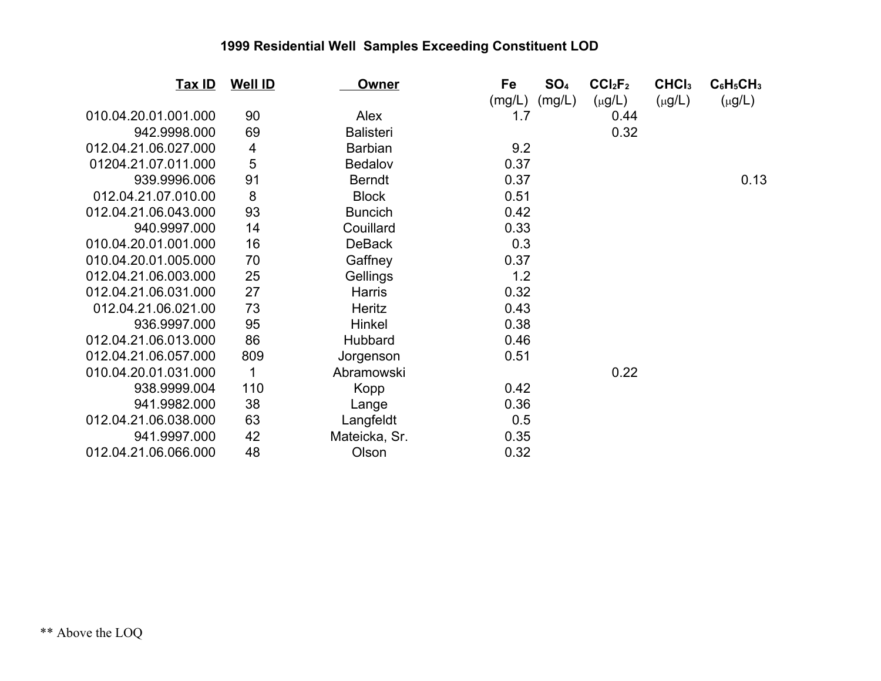| <b>Tax ID</b>        | <b>Well ID</b> | <b>Owner</b>     | Fe     | SO <sub>4</sub> | CCI <sub>2</sub> F <sub>2</sub> | CHCI <sub>3</sub> | $C_6H_5CH_3$ |
|----------------------|----------------|------------------|--------|-----------------|---------------------------------|-------------------|--------------|
|                      |                |                  | (mg/L) | (mg/L)          | $(\mu g/L)$                     | $(\mu g/L)$       | $(\mu g/L)$  |
| 010.04.20.01.001.000 | 90             | Alex             | 1.7    |                 | 0.44                            |                   |              |
| 942.9998.000         | 69             | <b>Balisteri</b> |        |                 | 0.32                            |                   |              |
| 012.04.21.06.027.000 | 4              | <b>Barbian</b>   | 9.2    |                 |                                 |                   |              |
| 01204.21.07.011.000  | 5              | <b>Bedalov</b>   | 0.37   |                 |                                 |                   |              |
| 939.9996.006         | 91             | <b>Berndt</b>    | 0.37   |                 |                                 |                   | 0.13         |
| 012.04.21.07.010.00  | 8              | <b>Block</b>     | 0.51   |                 |                                 |                   |              |
| 012.04.21.06.043.000 | 93             | <b>Buncich</b>   | 0.42   |                 |                                 |                   |              |
| 940.9997.000         | 14             | Couillard        | 0.33   |                 |                                 |                   |              |
| 010.04.20.01.001.000 | 16             | <b>DeBack</b>    | 0.3    |                 |                                 |                   |              |
| 010.04.20.01.005.000 | 70             | Gaffney          | 0.37   |                 |                                 |                   |              |
| 012.04.21.06.003.000 | 25             | Gellings         | 1.2    |                 |                                 |                   |              |
| 012.04.21.06.031.000 | 27             | <b>Harris</b>    | 0.32   |                 |                                 |                   |              |
| 012.04.21.06.021.00  | 73             | <b>Heritz</b>    | 0.43   |                 |                                 |                   |              |
| 936.9997.000         | 95             | Hinkel           | 0.38   |                 |                                 |                   |              |
| 012.04.21.06.013.000 | 86             | <b>Hubbard</b>   | 0.46   |                 |                                 |                   |              |
| 012.04.21.06.057.000 | 809            | Jorgenson        | 0.51   |                 |                                 |                   |              |
| 010.04.20.01.031.000 | 1              | Abramowski       |        |                 | 0.22                            |                   |              |
| 938.9999.004         | 110            | Kopp             | 0.42   |                 |                                 |                   |              |
| 941.9982.000         | 38             | Lange            | 0.36   |                 |                                 |                   |              |
| 012.04.21.06.038.000 | 63             | Langfeldt        | 0.5    |                 |                                 |                   |              |
| 941.9997.000         | 42             | Mateicka, Sr.    | 0.35   |                 |                                 |                   |              |
| 012.04.21.06.066.000 | 48             | Olson            | 0.32   |                 |                                 |                   |              |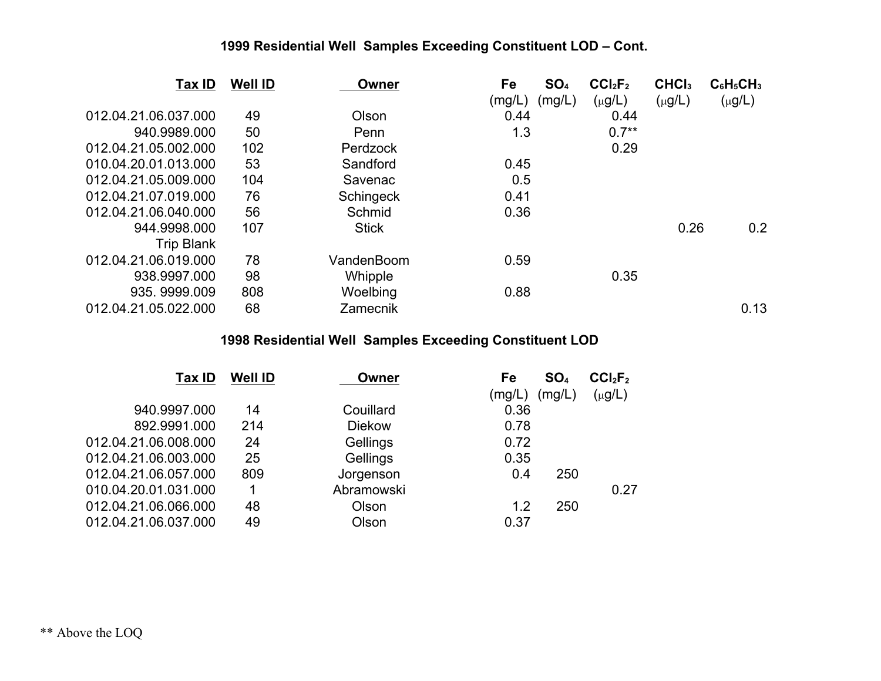| Tax ID               | <b>Well ID</b> | Owner           | Fe     | SO <sub>4</sub> | CCI <sub>2</sub> F <sub>2</sub> | CHCI <sub>3</sub> | $C_6H_5CH_3$ |
|----------------------|----------------|-----------------|--------|-----------------|---------------------------------|-------------------|--------------|
|                      |                |                 | (mg/L) | (mg/L)          | $(\mu g/L)$                     | $(\mu g/L)$       | $(\mu g/L)$  |
| 012.04.21.06.037.000 | 49             | Olson           | 0.44   |                 | 0.44                            |                   |              |
| 940.9989.000         | 50             | Penn            | 1.3    |                 | $0.7**$                         |                   |              |
| 012.04.21.05.002.000 | 102            | <b>Perdzock</b> |        |                 | 0.29                            |                   |              |
| 010.04.20.01.013.000 | 53             | Sandford        | 0.45   |                 |                                 |                   |              |
| 012.04.21.05.009.000 | 104            | Savenac         | 0.5    |                 |                                 |                   |              |
| 012.04.21.07.019.000 | 76             | Schingeck       | 0.41   |                 |                                 |                   |              |
| 012.04.21.06.040.000 | 56             | Schmid          | 0.36   |                 |                                 |                   |              |
| 944.9998.000         | 107            | <b>Stick</b>    |        |                 |                                 | 0.26              | 0.2          |
| <b>Trip Blank</b>    |                |                 |        |                 |                                 |                   |              |
| 012.04.21.06.019.000 | 78             | VandenBoom      | 0.59   |                 |                                 |                   |              |
| 938.9997.000         | 98             | Whipple         |        |                 | 0.35                            |                   |              |
| 935.9999.009         | 808            | Woelbing        | 0.88   |                 |                                 |                   |              |
| 012.04.21.05.022.000 | 68             | Zamecnik        |        |                 |                                 |                   | 0.13         |

| Tax ID               | <b>Well ID</b> | Owner         | Fe     | SO <sub>4</sub> | CCI <sub>2</sub> F <sub>2</sub> |
|----------------------|----------------|---------------|--------|-----------------|---------------------------------|
|                      |                |               | (mg/L) | (mg/L)          | $(\mu g/L)$                     |
| 940.9997.000         | 14             | Couillard     | 0.36   |                 |                                 |
| 892.9991.000         | 214            | <b>Diekow</b> | 0.78   |                 |                                 |
| 012.04.21.06.008.000 | 24             | Gellings      | 0.72   |                 |                                 |
| 012.04.21.06.003.000 | 25             | Gellings      | 0.35   |                 |                                 |
| 012.04.21.06.057.000 | 809            | Jorgenson     | 0.4    | 250             |                                 |
| 010.04.20.01.031.000 |                | Abramowski    |        |                 | 0.27                            |
| 012.04.21.06.066.000 | 48             | Olson         | 1.2    | 250             |                                 |
| 012.04.21.06.037.000 | 49             | Olson         | 0.37   |                 |                                 |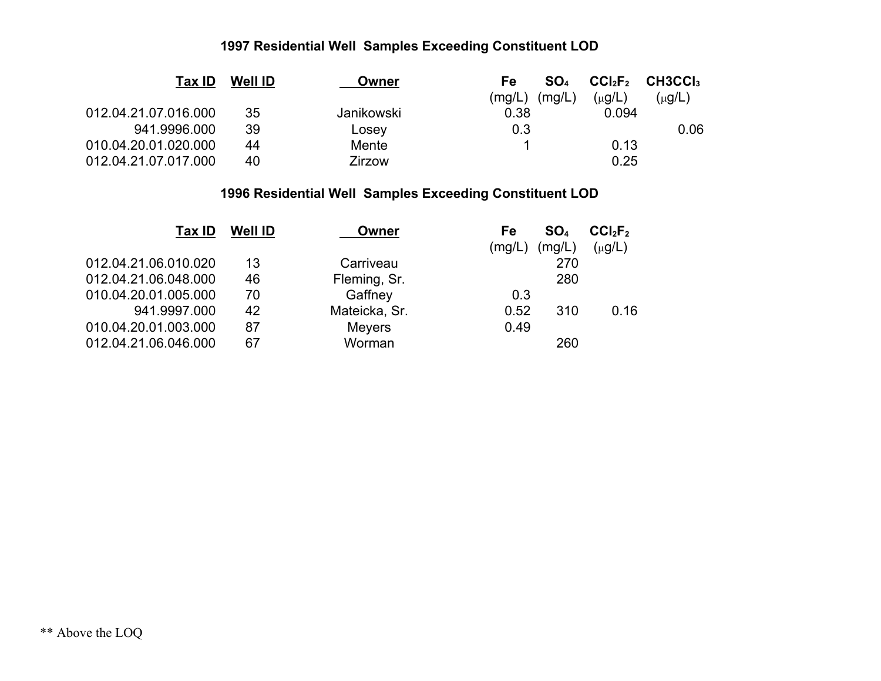| <b>Tax ID</b>        | <b>Well ID</b> | Owner         | Fe     | SO <sub>4</sub> |             | $CCl2F2$ CH3CCI <sub>3</sub> |
|----------------------|----------------|---------------|--------|-----------------|-------------|------------------------------|
|                      |                |               | (mg/L) | (mg/L)          | $(\mu g/L)$ | (µg/L)                       |
| 012.04.21.07.016.000 | 35             | Janikowski    | 0.38   |                 | 0.094       |                              |
| 941.9996.000         | 39             | Losey         | 0.3    |                 |             | 0.06                         |
| 010.04.20.01.020.000 | 44             | Mente         |        |                 | 0.13        |                              |
| 012.04.21.07.017.000 | 40             | <b>Zirzow</b> |        |                 | 0.25        |                              |

| Tax ID               | <b>Well ID</b> | Owner         | Fe     | SO <sub>4</sub> | CCI <sub>2</sub> F <sub>2</sub> |
|----------------------|----------------|---------------|--------|-----------------|---------------------------------|
|                      |                |               | (mg/L) | (mg/L)          | $(\mu g/L)$                     |
| 012.04.21.06.010.020 | 13             | Carriveau     |        | 270             |                                 |
| 012.04.21.06.048.000 | 46             | Fleming, Sr.  |        | 280             |                                 |
| 010.04.20.01.005.000 | 70             | Gaffney       | 0.3    |                 |                                 |
| 941.9997.000         | 42             | Mateicka, Sr. | 0.52   | 310             | 0.16                            |
| 010.04.20.01.003.000 | 87             | <b>Meyers</b> | 0.49   |                 |                                 |
| 012.04.21.06.046.000 | 67             | Worman        |        | 260             |                                 |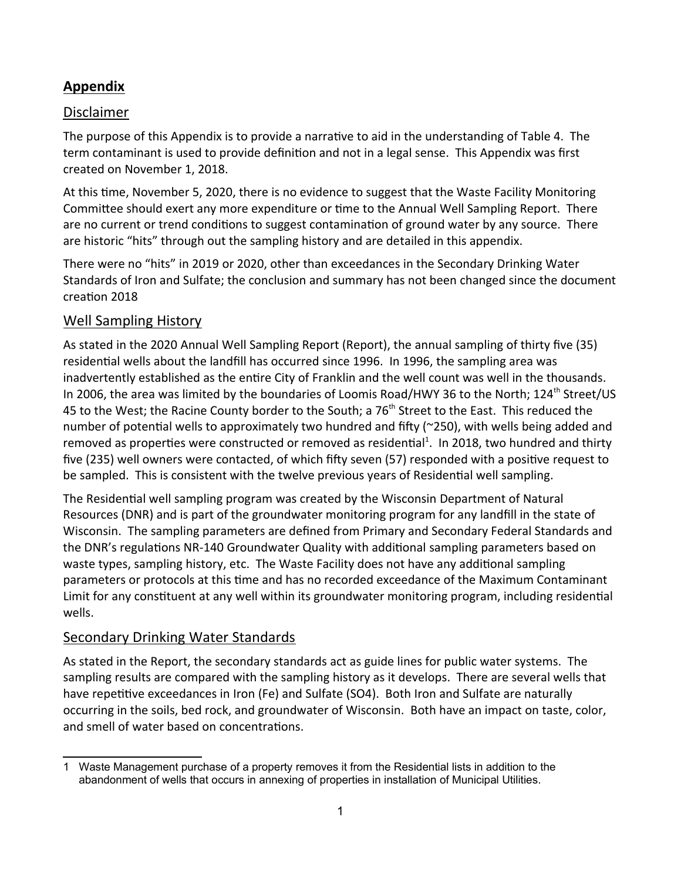#### **Appendix**

#### **Disclaimer**

The purpose of this Appendix is to provide a narrative to aid in the understanding of Table 4. The term contaminant is used to provide definition and not in a legal sense. This Appendix was first created on November 1, 2018.

At this time, November 5, 2020, there is no evidence to suggest that the Waste Facility Monitoring Committee should exert any more expenditure or time to the Annual Well Sampling Report. There are no current or trend conditions to suggest contamination of ground water by any source. There are historic "hits" through out the sampling history and are detailed in this appendix.

There were no "hits" in 2019 or 2020, other than exceedances in the Secondary Drinking Water Standards of Iron and Sulfate; the conclusion and summary has not been changed since the document creaƟon 2018

#### Well Sampling History

As stated in the 2020 Annual Well Sampling Report (Report), the annual sampling of thirty five (35) residential wells about the landfill has occurred since 1996. In 1996, the sampling area was inadvertently established as the entire City of Franklin and the well count was well in the thousands. In 2006, the area was limited by the boundaries of Loomis Road/HWY 36 to the North; 124<sup>th</sup> Street/US 45 to the West; the Racine County border to the South; a 76<sup>th</sup> Street to the East. This reduced the number of potential wells to approximately two hundred and fifty ( $\approx$ 250), with wells being added and removed as properties were constructed or removed as residential<sup>1</sup>. In 2018, two hundred and thirty five (235) well owners were contacted, of which fifty seven (57) responded with a positive request to be sampled. This is consistent with the twelve previous years of Residential well sampling.

The Residential well sampling program was created by the Wisconsin Department of Natural Resources (DNR) and is part of the groundwater monitoring program for any landfill in the state of Wisconsin. The sampling parameters are defined from Primary and Secondary Federal Standards and the DNR's regulations NR-140 Groundwater Quality with additional sampling parameters based on waste types, sampling history, etc. The Waste Facility does not have any additional sampling parameters or protocols at this time and has no recorded exceedance of the Maximum Contaminant Limit for any constituent at any well within its groundwater monitoring program, including residential wells.

#### Secondary Drinking Water Standards

As stated in the Report, the secondary standards act as guide lines for public water systems. The sampling results are compared with the sampling history as it develops. There are several wells that have repetitive exceedances in Iron (Fe) and Sulfate (SO4). Both Iron and Sulfate are naturally occurring in the soils, bed rock, and groundwater of Wisconsin. Both have an impact on taste, color, and smell of water based on concentrations.

<sup>1</sup> Waste Management purchase of a property removes it from the Residential lists in addition to the abandonment of wells that occurs in annexing of properties in installation of Municipal Utilities.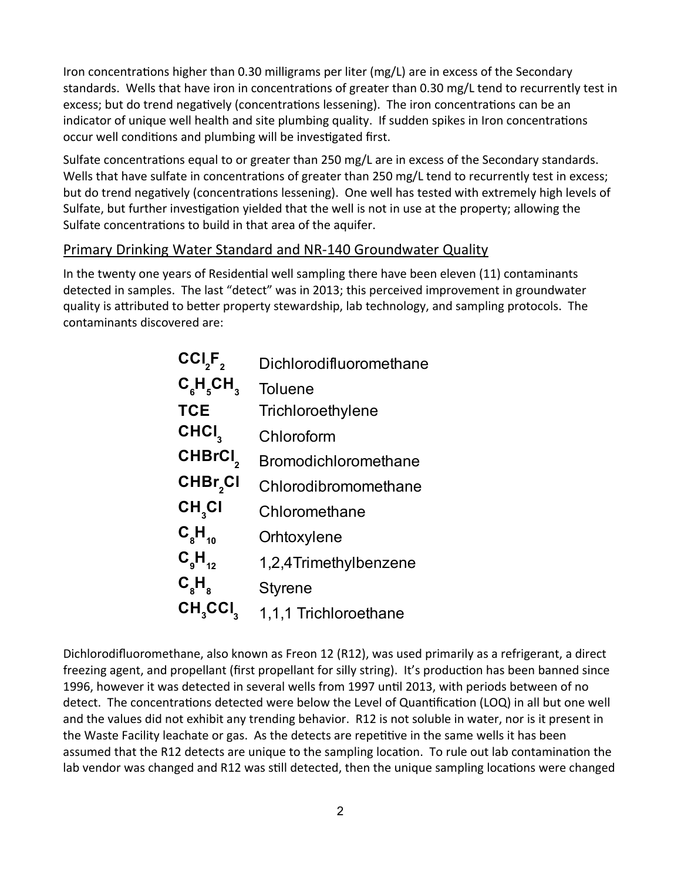Iron concentrations higher than 0.30 milligrams per liter (mg/L) are in excess of the Secondary standards. Wells that have iron in concentrations of greater than 0.30 mg/L tend to recurrently test in excess; but do trend negatively (concentrations lessening). The iron concentrations can be an indicator of unique well health and site plumbing quality. If sudden spikes in Iron concentrations occur well conditions and plumbing will be investigated first.

Sulfate concentrations equal to or greater than 250 mg/L are in excess of the Secondary standards. Wells that have sulfate in concentrations of greater than 250 mg/L tend to recurrently test in excess; but do trend negatively (concentrations lessening). One well has tested with extremely high levels of Sulfate, but further investigation yielded that the well is not in use at the property; allowing the Sulfate concentrations to build in that area of the aquifer.

#### Primary Drinking Water Standard and NR-140 Groundwater Quality

In the twenty one years of Residential well sampling there have been eleven (11) contaminants detected in samples. The last "detect" was in 2013; this perceived improvement in groundwater quality is attributed to better property stewardship, lab technology, and sampling protocols. The contaminants discovered are:

| CCI <sub>2</sub> F <sub>2</sub>                                | Dichlorodifluoromethane     |
|----------------------------------------------------------------|-----------------------------|
| $C_{\rm c}^{\rm c}$ H $_{\rm c}^{\rm c}$ CH $_{\rm a}^{\rm c}$ | <b>Toluene</b>              |
| <b>TCE</b>                                                     | Trichloroethylene           |
| CHCI <sub>3</sub>                                              | Chloroform                  |
| CHBrCI <sub>2</sub>                                            | <b>Bromodichloromethane</b> |
| CHBr <sub>2</sub> Cl                                           | Chlorodibromomethane        |
| CH <sub>3</sub> Cl                                             | Chloromethane               |
| $C_{8}H_{10}$                                                  | Orhtoxylene                 |
| $C_{\rm g}H_{_{12}}$                                           | 1,2,4Trimethylbenzene       |
| $\mathsf{C}_{\mathrm{s}}\mathsf{H}_{\mathrm{s}}$               | <b>Styrene</b>              |
| $CH3$ CCI $3$                                                  | 1,1,1 Trichloroethane       |

Dichlorodifluoromethane, also known as Freon 12 (R12), was used primarily as a refrigerant, a direct freezing agent, and propellant (first propellant for silly string). It's production has been banned since 1996, however it was detected in several wells from 1997 until 2013, with periods between of no detect. The concentrations detected were below the Level of Quantification (LOQ) in all but one well and the values did not exhibit any trending behavior. R12 is not soluble in water, nor is it present in the Waste Facility leachate or gas. As the detects are repetitive in the same wells it has been assumed that the R12 detects are unique to the sampling location. To rule out lab contamination the lab vendor was changed and R12 was still detected, then the unique sampling locations were changed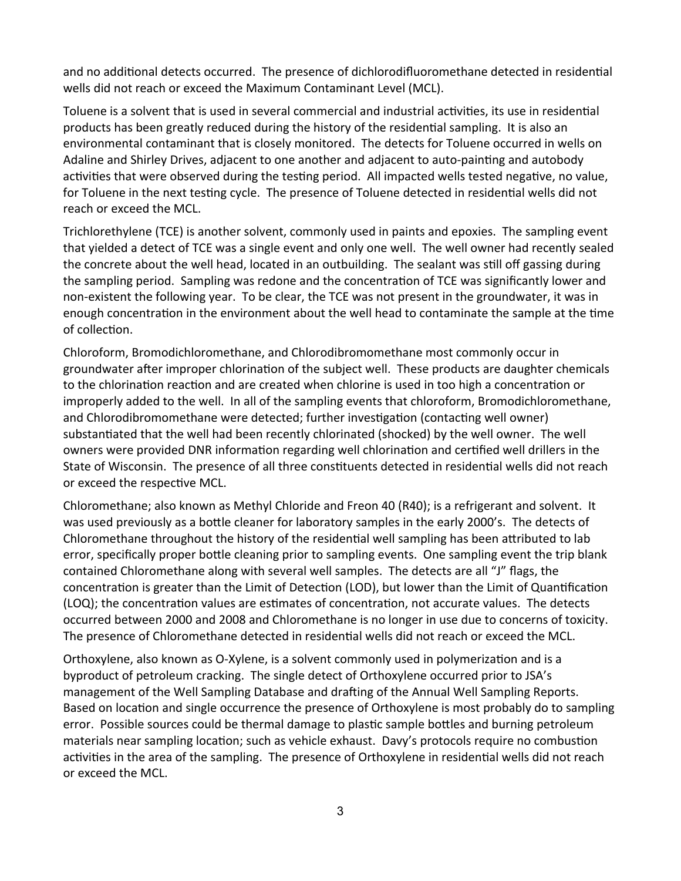and no additional detects occurred. The presence of dichlorodifluoromethane detected in residential wells did not reach or exceed the Maximum Contaminant Level (MCL).

Toluene is a solvent that is used in several commercial and industrial activities, its use in residential products has been greatly reduced during the history of the residential sampling. It is also an environmental contaminant that is closely monitored. The detects for Toluene occurred in wells on Adaline and Shirley Drives, adjacent to one another and adjacent to auto-painting and autobody activities that were observed during the testing period. All impacted wells tested negative, no value, for Toluene in the next testing cycle. The presence of Toluene detected in residential wells did not reach or exceed the MCL.

Trichlorethylene (TCE) is another solvent, commonly used in paints and epoxies. The sampling event that yielded a detect of TCE was a single event and only one well. The well owner had recently sealed the concrete about the well head, located in an outbuilding. The sealant was still off gassing during the sampling period. Sampling was redone and the concentration of TCE was significantly lower and non-existent the following year. To be clear, the TCE was not present in the groundwater, it was in enough concentration in the environment about the well head to contaminate the sample at the time of collection.

Chloroform, Bromodichloromethane, and Chlorodibromomethane most commonly occur in groundwater after improper chlorination of the subject well. These products are daughter chemicals to the chlorination reaction and are created when chlorine is used in too high a concentration or improperly added to the well. In all of the sampling events that chloroform, Bromodichloromethane, and Chlorodibromomethane were detected; further investigation (contacting well owner) substantiated that the well had been recently chlorinated (shocked) by the well owner. The well owners were provided DNR information regarding well chlorination and certified well drillers in the State of Wisconsin. The presence of all three constituents detected in residential wells did not reach or exceed the respective MCL.

Chloromethane; also known as Methyl Chloride and Freon 40 (R40); is a refrigerant and solvent. It was used previously as a bottle cleaner for laboratory samples in the early 2000's. The detects of Chloromethane throughout the history of the residential well sampling has been attributed to lab error, specifically proper bottle cleaning prior to sampling events. One sampling event the trip blank contained Chloromethane along with several well samples. The detects are all "J" flags, the concentration is greater than the Limit of Detection (LOD), but lower than the Limit of Quantification (LOQ); the concentration values are estimates of concentration, not accurate values. The detects occurred between 2000 and 2008 and Chloromethane is no longer in use due to concerns of toxicity. The presence of Chloromethane detected in residential wells did not reach or exceed the MCL.

Orthoxylene, also known as O-Xylene, is a solvent commonly used in polymerization and is a byproduct of petroleum cracking. The single detect of Orthoxylene occurred prior to JSA's management of the Well Sampling Database and drafting of the Annual Well Sampling Reports. Based on location and single occurrence the presence of Orthoxylene is most probably do to sampling error. Possible sources could be thermal damage to plastic sample bottles and burning petroleum materials near sampling location; such as vehicle exhaust. Davy's protocols require no combustion activities in the area of the sampling. The presence of Orthoxylene in residential wells did not reach or exceed the MCL.